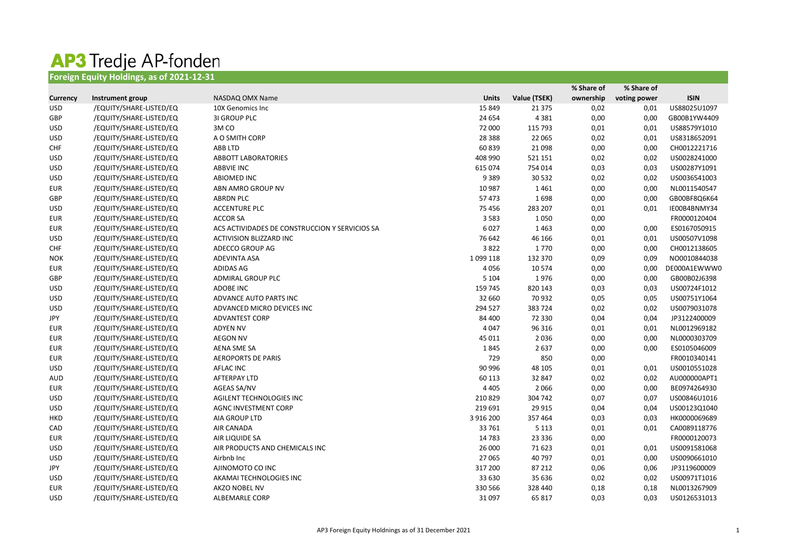## **AP3 Tredje AP-fonden**<br>Foreign Equity Holdings, as of 2021-12-31

|                 |                         |                                                |               |              | % Share of | % Share of   |              |
|-----------------|-------------------------|------------------------------------------------|---------------|--------------|------------|--------------|--------------|
| <b>Currency</b> | Instrument group        | NASDAQ OMX Name                                | <b>Units</b>  | Value (TSEK) | ownership  | voting power | <b>ISIN</b>  |
| <b>USD</b>      | /EQUITY/SHARE-LISTED/EQ | 10X Genomics Inc                               | 15 8 49       | 21 3 7 5     | 0,02       | 0,01         | US88025U1097 |
| GBP             | /EQUITY/SHARE-LISTED/EQ | <b>3I GROUP PLC</b>                            | 24 654        | 4 3 8 1      | 0,00       | 0,00         | GB00B1YW4409 |
| <b>USD</b>      | /EQUITY/SHARE-LISTED/EQ | 3MCO                                           | 72 000        | 115 793      | 0,01       | 0,01         | US88579Y1010 |
| <b>USD</b>      | /EQUITY/SHARE-LISTED/EQ | A O SMITH CORP                                 | 28 3 88       | 22 065       | 0,02       | 0,01         | US8318652091 |
| <b>CHF</b>      | /EQUITY/SHARE-LISTED/EQ | ABB LTD                                        | 60 839        | 21 0 98      | 0,00       | 0,00         | CH0012221716 |
| <b>USD</b>      | /EQUITY/SHARE-LISTED/EQ | <b>ABBOTT LABORATORIES</b>                     | 408 990       | 521 151      | 0,02       | 0,02         | US0028241000 |
| <b>USD</b>      | /EQUITY/SHARE-LISTED/EQ | <b>ABBVIE INC</b>                              | 615 074       | 754 014      | 0,03       | 0,03         | US00287Y1091 |
| <b>USD</b>      | /EQUITY/SHARE-LISTED/EQ | ABIOMED INC                                    | 9 3 8 9       | 30 5 32      | 0,02       | 0,02         | US0036541003 |
| <b>EUR</b>      | /EQUITY/SHARE-LISTED/EQ | ABN AMRO GROUP NV                              | 10 987        | 1461         | 0,00       | 0,00         | NL0011540547 |
| GBP             | /EQUITY/SHARE-LISTED/EQ | <b>ABRDN PLC</b>                               | 57 473        | 1698         | 0,00       | 0,00         | GB00BF8Q6K64 |
| <b>USD</b>      | /EQUITY/SHARE-LISTED/EQ | <b>ACCENTURE PLC</b>                           | 75 456        | 283 207      | 0,01       | 0,01         | IE00B4BNMY34 |
| <b>EUR</b>      | /EQUITY/SHARE-LISTED/EQ | <b>ACCOR SA</b>                                | 3 5 8 3       | 1050         | 0,00       |              | FR0000120404 |
| <b>EUR</b>      | /EQUITY/SHARE-LISTED/EQ | ACS ACTIVIDADES DE CONSTRUCCION Y SERVICIOS SA | 6027          | 1463         | 0,00       | 0,00         | ES0167050915 |
| <b>USD</b>      | /EQUITY/SHARE-LISTED/EQ | ACTIVISION BLIZZARD INC                        | 76 642        | 46 166       | 0,01       | 0,01         | US00507V1098 |
| <b>CHF</b>      | /EQUITY/SHARE-LISTED/EQ | ADECCO GROUP AG                                | 3822          | 1770         | 0,00       | 0,00         | CH0012138605 |
| <b>NOK</b>      | /EQUITY/SHARE-LISTED/EQ | <b>ADEVINTA ASA</b>                            | 1 0 9 1 1 1 8 | 132 370      | 0,09       | 0,09         | NO0010844038 |
| <b>EUR</b>      | /EQUITY/SHARE-LISTED/EQ | ADIDAS AG                                      | 4056          | 10 574       | 0,00       | 0,00         | DE000A1EWWW0 |
| GBP             | /EQUITY/SHARE-LISTED/EQ | <b>ADMIRAL GROUP PLC</b>                       | 5 1 0 4       | 1976         | 0,00       | 0,00         | GB00B02J6398 |
| <b>USD</b>      | /EQUITY/SHARE-LISTED/EQ | <b>ADOBE INC</b>                               | 159 745       | 820 143      | 0,03       | 0,03         | US00724F1012 |
| <b>USD</b>      | /EQUITY/SHARE-LISTED/EQ | ADVANCE AUTO PARTS INC                         | 32 660        | 70 932       | 0,05       | 0,05         | US00751Y1064 |
| <b>USD</b>      | /EQUITY/SHARE-LISTED/EQ | ADVANCED MICRO DEVICES INC                     | 294 527       | 383724       | 0,02       | 0,02         | US0079031078 |
| JPY             | /EQUITY/SHARE-LISTED/EQ | <b>ADVANTEST CORP</b>                          | 84 400        | 72 330       | 0,04       | 0,04         | JP3122400009 |
| <b>EUR</b>      | /EQUITY/SHARE-LISTED/EQ | <b>ADYEN NV</b>                                | 4 0 4 7       | 96 316       | 0,01       | 0,01         | NL0012969182 |
| <b>EUR</b>      | /EQUITY/SHARE-LISTED/EQ | <b>AEGON NV</b>                                | 45 011        | 2036         | 0,00       | 0,00         | NL0000303709 |
| <b>EUR</b>      | /EQUITY/SHARE-LISTED/EQ | AENA SME SA                                    | 1845          | 2637         | 0,00       | 0,00         | ES0105046009 |
| EUR             | /EQUITY/SHARE-LISTED/EQ | <b>AEROPORTS DE PARIS</b>                      | 729           | 850          | 0,00       |              | FR0010340141 |
| <b>USD</b>      | /EQUITY/SHARE-LISTED/EQ | AFLAC INC                                      | 90 996        | 48 105       | 0,01       | 0,01         | US0010551028 |
| AUD             | /EQUITY/SHARE-LISTED/EQ | AFTERPAY LTD                                   | 60 113        | 32 847       | 0,02       | 0,02         | AU000000APT1 |
| EUR             | /EQUITY/SHARE-LISTED/EQ | AGEAS SA/NV                                    | 4 4 0 5       | 2066         | 0,00       | 0,00         | BE0974264930 |
| <b>USD</b>      | /EQUITY/SHARE-LISTED/EQ | AGILENT TECHNOLOGIES INC                       | 210 829       | 304 742      | 0,07       | 0,07         | US00846U1016 |
| USD             | /EQUITY/SHARE-LISTED/EQ | <b>AGNC INVESTMENT CORP</b>                    | 219 691       | 29 9 15      | 0,04       | 0,04         | US00123Q1040 |
| HKD             | /EQUITY/SHARE-LISTED/EQ | AIA GROUP LTD                                  | 3 916 200     | 357 464      | 0,03       | 0,03         | HK0000069689 |
| CAD             | /EQUITY/SHARE-LISTED/EQ | AIR CANADA                                     | 33 761        | 5 1 1 3      | 0,01       | 0,01         | CA0089118776 |
| EUR             | /EQUITY/SHARE-LISTED/EQ | AIR LIQUIDE SA                                 | 14 7 83       | 23 3 3 6     | 0,00       |              | FR0000120073 |
| <b>USD</b>      | /EQUITY/SHARE-LISTED/EQ | AIR PRODUCTS AND CHEMICALS INC                 | 26 000        | 71 623       | 0,01       | 0,01         | US0091581068 |
| <b>USD</b>      | /EQUITY/SHARE-LISTED/EQ | Airbnb Inc                                     | 27 065        | 40 797       | 0,01       | 0,00         | US0090661010 |
| JPY             | /EQUITY/SHARE-LISTED/EQ | AJINOMOTO CO INC                               | 317 200       | 87 212       | 0,06       | 0,06         | JP3119600009 |
| <b>USD</b>      | /EQUITY/SHARE-LISTED/EQ | AKAMAI TECHNOLOGIES INC                        | 33 630        | 35 636       | 0,02       | 0,02         | US00971T1016 |
| EUR             | /EQUITY/SHARE-LISTED/EQ | AKZO NOBEL NV                                  | 330 566       | 328 440      | 0,18       | 0,18         | NL0013267909 |
| <b>USD</b>      | /EQUITY/SHARE-LISTED/EQ | ALBEMARLE CORP                                 | 31 097        | 65 817       | 0,03       | 0,03         | US0126531013 |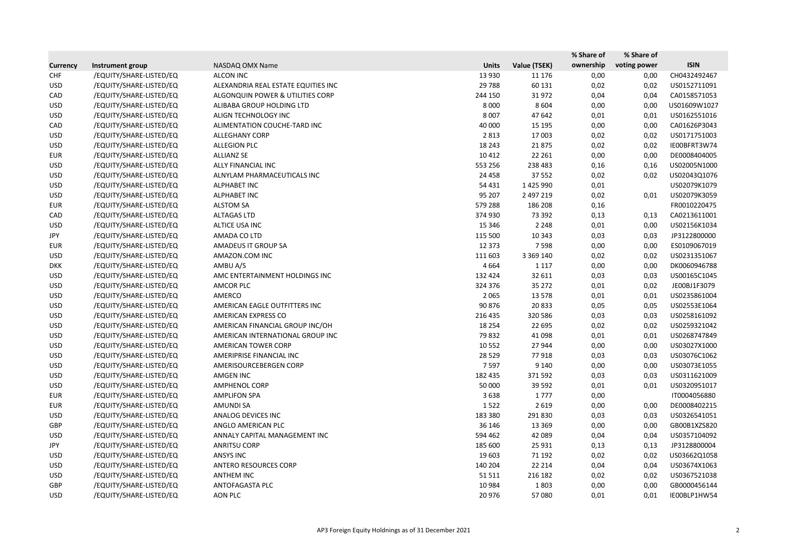|                 |                         |                                     |              |               | % Share of | % Share of   |              |
|-----------------|-------------------------|-------------------------------------|--------------|---------------|------------|--------------|--------------|
| <b>Currency</b> | Instrument group        | NASDAQ OMX Name                     | <b>Units</b> | Value (TSEK)  | ownership  | voting power | <b>ISIN</b>  |
| <b>CHF</b>      | /EQUITY/SHARE-LISTED/EQ | <b>ALCON INC</b>                    | 13 9 30      | 11 176        | 0,00       | 0,00         | CH0432492467 |
| <b>USD</b>      | /EQUITY/SHARE-LISTED/EQ | ALEXANDRIA REAL ESTATE EQUITIES INC | 29 7 88      | 60 131        | 0,02       | 0,02         | US0152711091 |
| CAD             | /EQUITY/SHARE-LISTED/EQ | ALGONQUIN POWER & UTILITIES CORP    | 244 150      | 31972         | 0,04       | 0,04         | CA0158571053 |
| <b>USD</b>      | /EQUITY/SHARE-LISTED/EQ | ALIBABA GROUP HOLDING LTD           | 8 0 0 0      | 8 6 0 4       | 0,00       | 0,00         | US01609W1027 |
| <b>USD</b>      | /EQUITY/SHARE-LISTED/EQ | ALIGN TECHNOLOGY INC                | 8 0 0 7      | 47 642        | 0,01       | 0,01         | US0162551016 |
| CAD             | /EQUITY/SHARE-LISTED/EQ | ALIMENTATION COUCHE-TARD INC        | 40 000       | 15 195        | 0,00       | 0,00         | CA01626P3043 |
| <b>USD</b>      | /EQUITY/SHARE-LISTED/EQ | <b>ALLEGHANY CORP</b>               | 2 8 1 3      | 17 003        | 0,02       | 0,02         | US0171751003 |
| <b>USD</b>      | /EQUITY/SHARE-LISTED/EQ | <b>ALLEGION PLC</b>                 | 18 24 3      | 21875         | 0,02       | 0,02         | IE00BFRT3W74 |
| <b>EUR</b>      | /EQUITY/SHARE-LISTED/EQ | <b>ALLIANZ SE</b>                   | 10 4 12      | 22 261        | 0,00       | 0,00         | DE0008404005 |
| <b>USD</b>      | /EQUITY/SHARE-LISTED/EQ | ALLY FINANCIAL INC                  | 553 256      | 238 483       | 0,16       | 0,16         | US02005N1000 |
| <b>USD</b>      | /EQUITY/SHARE-LISTED/EQ | ALNYLAM PHARMACEUTICALS INC         | 24 4 58      | 37 552        | 0,02       | 0,02         | US02043Q1076 |
| <b>USD</b>      | /EQUITY/SHARE-LISTED/EQ | <b>ALPHABET INC</b>                 | 54 431       | 1425990       | 0,01       |              | US02079K1079 |
| <b>USD</b>      | /EQUITY/SHARE-LISTED/EQ | <b>ALPHABET INC</b>                 | 95 207       | 2 497 219     | 0,02       | 0,01         | US02079K3059 |
| <b>EUR</b>      | /EQUITY/SHARE-LISTED/EQ | <b>ALSTOM SA</b>                    | 579 288      | 186 208       | 0,16       |              | FR0010220475 |
| CAD             | /EQUITY/SHARE-LISTED/EQ | <b>ALTAGAS LTD</b>                  | 374 930      | 73 392        | 0,13       | 0,13         | CA0213611001 |
| <b>USD</b>      | /EQUITY/SHARE-LISTED/EQ | ALTICE USA INC                      | 15 3 46      | 2 2 4 8       | 0,01       | 0,00         | US02156K1034 |
| JPY             | /EQUITY/SHARE-LISTED/EQ | AMADA CO LTD                        | 115 500      | 10 343        | 0,03       | 0,03         | JP3122800000 |
| <b>EUR</b>      | /EQUITY/SHARE-LISTED/EQ | <b>AMADEUS IT GROUP SA</b>          | 12 3 73      | 7598          | 0,00       | 0,00         | ES0109067019 |
| <b>USD</b>      | /EQUITY/SHARE-LISTED/EQ | AMAZON.COM INC                      | 111 603      | 3 3 6 9 1 4 0 | 0,02       | 0,02         | US0231351067 |
| <b>DKK</b>      | /EQUITY/SHARE-LISTED/EQ | AMBU A/S                            | 4 6 6 4      | 1 1 1 7       | 0,00       | 0,00         | DK0060946788 |
| <b>USD</b>      | /EQUITY/SHARE-LISTED/EQ | AMC ENTERTAINMENT HOLDINGS INC      | 132 424      | 32 611        | 0,03       | 0,03         | US00165C1045 |
| <b>USD</b>      | /EQUITY/SHARE-LISTED/EQ | AMCOR PLC                           | 324 376      | 35 27 2       | 0,01       | 0,02         | JE00BJ1F3079 |
| <b>USD</b>      | /EQUITY/SHARE-LISTED/EQ | AMERCO                              | 2 0 6 5      | 13 5 78       | 0,01       | 0,01         | US0235861004 |
| <b>USD</b>      | /EQUITY/SHARE-LISTED/EQ | AMERICAN EAGLE OUTFITTERS INC       | 90 876       | 20833         | 0,05       | 0,05         | US02553E1064 |
| <b>USD</b>      | /EQUITY/SHARE-LISTED/EQ | AMERICAN EXPRESS CO                 | 216 435      | 320 586       | 0,03       | 0,03         | US0258161092 |
| <b>USD</b>      | /EQUITY/SHARE-LISTED/EQ | AMERICAN FINANCIAL GROUP INC/OH     | 18 2 54      | 22 695        | 0,02       | 0,02         | US0259321042 |
| <b>USD</b>      | /EQUITY/SHARE-LISTED/EQ | AMERICAN INTERNATIONAL GROUP INC    | 79832        | 41 098        | 0,01       | 0,01         | US0268747849 |
| <b>USD</b>      | /EQUITY/SHARE-LISTED/EQ | AMERICAN TOWER CORP                 | 10 5 52      | 27 944        | 0,00       | 0,00         | US03027X1000 |
| <b>USD</b>      | /EQUITY/SHARE-LISTED/EQ | AMERIPRISE FINANCIAL INC            | 28 5 29      | 77918         | 0,03       | 0,03         | US03076C1062 |
| <b>USD</b>      | /EQUITY/SHARE-LISTED/EQ | AMERISOURCEBERGEN CORP              | 7 5 9 7      | 9 140         | 0,00       | 0,00         | US03073E1055 |
| <b>USD</b>      | /EQUITY/SHARE-LISTED/EQ | AMGEN INC                           | 182 435      | 371 592       | 0,03       | 0,03         | US0311621009 |
| <b>USD</b>      | /EQUITY/SHARE-LISTED/EQ | <b>AMPHENOL CORP</b>                | 50 000       | 39 5 92       | 0,01       | 0,01         | US0320951017 |
| <b>EUR</b>      | /EQUITY/SHARE-LISTED/EQ | <b>AMPLIFON SPA</b>                 | 3638         | 1777          | 0,00       |              | IT0004056880 |
| <b>EUR</b>      | /EQUITY/SHARE-LISTED/EQ | <b>AMUNDI SA</b>                    | 1522         | 2 6 1 9       | 0,00       | 0,00         | DE0008402215 |
| <b>USD</b>      | /EQUITY/SHARE-LISTED/EQ | ANALOG DEVICES INC                  | 183 380      | 291 830       | 0,03       | 0,03         | US0326541051 |
| GBP             | /EQUITY/SHARE-LISTED/EQ | ANGLO AMERICAN PLC                  | 36 146       | 13 3 69       | 0,00       | 0,00         | GB00B1XZS820 |
| <b>USD</b>      | /EQUITY/SHARE-LISTED/EQ | ANNALY CAPITAL MANAGEMENT INC       | 594 462      | 42 089        | 0,04       | 0,04         | US0357104092 |
| JPY             | /EQUITY/SHARE-LISTED/EQ | <b>ANRITSU CORP</b>                 | 185 600      | 25 9 31       | 0,13       | 0,13         | JP3128800004 |
| <b>USD</b>      | /EQUITY/SHARE-LISTED/EQ | ANSYS INC                           | 19 603       | 71 192        | 0,02       | 0,02         | US03662Q1058 |
| <b>USD</b>      | /EQUITY/SHARE-LISTED/EQ | ANTERO RESOURCES CORP               | 140 204      | 22 2 14       | 0,04       | 0,04         | US03674X1063 |
| <b>USD</b>      | /EQUITY/SHARE-LISTED/EQ | <b>ANTHEM INC</b>                   | 51 511       | 216 182       | 0,02       | 0,02         | US0367521038 |
| GBP             | /EQUITY/SHARE-LISTED/EQ | ANTOFAGASTA PLC                     | 10 9 84      | 1803          | 0,00       | 0,00         | GB0000456144 |
| <b>USD</b>      | /EQUITY/SHARE-LISTED/EQ | AON PLC                             | 20 976       | 57 080        | 0,01       | 0,01         | IE00BLP1HW54 |
|                 |                         |                                     |              |               |            |              |              |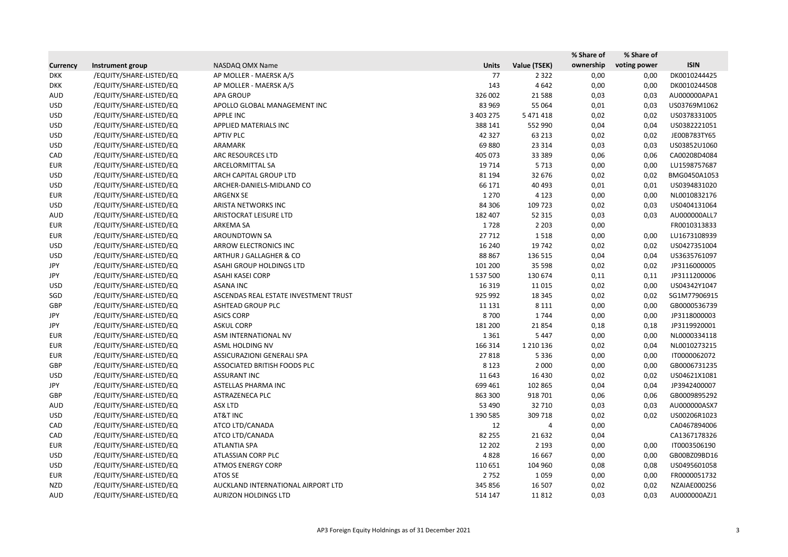|                 |                         |                                       |              |               | % Share of | % Share of   |              |
|-----------------|-------------------------|---------------------------------------|--------------|---------------|------------|--------------|--------------|
| <b>Currency</b> | Instrument group        | NASDAQ OMX Name                       | <b>Units</b> | Value (TSEK)  | ownership  | voting power | <b>ISIN</b>  |
| <b>DKK</b>      | /EQUITY/SHARE-LISTED/EQ | AP MOLLER - MAERSK A/S                | 77           | 2 3 2 2       | 0,00       | 0,00         | DK0010244425 |
| <b>DKK</b>      | /EQUITY/SHARE-LISTED/EQ | AP MOLLER - MAERSK A/S                | 143          | 4642          | 0,00       | 0,00         | DK0010244508 |
| <b>AUD</b>      | /EQUITY/SHARE-LISTED/EQ | <b>APA GROUP</b>                      | 326 002      | 21 5 88       | 0,03       | 0,03         | AU000000APA1 |
| <b>USD</b>      | /EQUITY/SHARE-LISTED/EQ | APOLLO GLOBAL MANAGEMENT INC          | 83 969       | 55 064        | 0,01       | 0,03         | US03769M1062 |
| <b>USD</b>      | /EQUITY/SHARE-LISTED/EQ | <b>APPLE INC</b>                      | 3 403 275    | 5 471 418     | 0,02       | 0,02         | US0378331005 |
| <b>USD</b>      | /EQUITY/SHARE-LISTED/EQ | APPLIED MATERIALS INC                 | 388 141      | 552 990       | 0,04       | 0,04         | US0382221051 |
| <b>USD</b>      | /EQUITY/SHARE-LISTED/EQ | <b>APTIV PLC</b>                      | 42 3 2 7     | 63 213        | 0,02       | 0,02         | JE00B783TY65 |
| <b>USD</b>      | /EQUITY/SHARE-LISTED/EQ | ARAMARK                               | 69880        | 23 3 14       | 0,03       | 0,03         | US03852U1060 |
| CAD             | /EQUITY/SHARE-LISTED/EQ | ARC RESOURCES LTD                     | 405 073      | 33 389        | 0,06       | 0,06         | CA00208D4084 |
| EUR             | /EQUITY/SHARE-LISTED/EQ | ARCELORMITTAL SA                      | 19 7 14      | 5 7 1 3       | 0,00       | 0,00         | LU1598757687 |
| <b>USD</b>      | /EQUITY/SHARE-LISTED/EQ | ARCH CAPITAL GROUP LTD                | 81 194       | 32 676        | 0,02       | 0,02         | BMG0450A1053 |
| <b>USD</b>      | /EQUITY/SHARE-LISTED/EQ | ARCHER-DANIELS-MIDLAND CO             | 66 171       | 40 4 93       | 0,01       | 0,01         | US0394831020 |
| <b>EUR</b>      | /EQUITY/SHARE-LISTED/EQ | <b>ARGENX SE</b>                      | 1 2 7 0      | 4 1 2 3       | 0,00       | 0,00         | NL0010832176 |
| <b>USD</b>      | /EQUITY/SHARE-LISTED/EQ | ARISTA NETWORKS INC                   | 84 30 6      | 109 723       | 0,02       | 0,03         | US0404131064 |
| AUD             | /EQUITY/SHARE-LISTED/EQ | ARISTOCRAT LEISURE LTD                | 182 407      | 52 315        | 0,03       | 0,03         | AU000000ALL7 |
| <b>EUR</b>      | /EQUITY/SHARE-LISTED/EQ | ARKEMA SA                             | 1728         | 2 2 0 3       | 0,00       |              | FR0010313833 |
| <b>EUR</b>      | /EQUITY/SHARE-LISTED/EQ | AROUNDTOWN SA                         | 27712        | 1518          | 0,00       | 0,00         | LU1673108939 |
| <b>USD</b>      | /EQUITY/SHARE-LISTED/EQ | <b>ARROW ELECTRONICS INC</b>          | 16 240       | 19 742        | 0,02       | 0,02         | US0427351004 |
| <b>USD</b>      | /EQUITY/SHARE-LISTED/EQ | ARTHUR J GALLAGHER & CO               | 88 867       | 136 515       | 0,04       | 0,04         | US3635761097 |
| JPY             | /EQUITY/SHARE-LISTED/EQ | ASAHI GROUP HOLDINGS LTD              | 101 200      | 35 5 98       | 0,02       | 0,02         | JP3116000005 |
| JPY             | /EQUITY/SHARE-LISTED/EQ | <b>ASAHI KASEI CORP</b>               | 1 537 500    | 130 674       | 0,11       | 0,11         | JP3111200006 |
| <b>USD</b>      | /EQUITY/SHARE-LISTED/EQ | <b>ASANA INC</b>                      | 16 3 19      | 11 0 15       | 0,02       | 0,00         | US04342Y1047 |
| SGD             | /EQUITY/SHARE-LISTED/EQ | ASCENDAS REAL ESTATE INVESTMENT TRUST | 925 992      | 18 3 45       | 0,02       | 0,02         | SG1M77906915 |
| GBP             | /EQUITY/SHARE-LISTED/EQ | <b>ASHTEAD GROUP PLC</b>              | 11 131       | 8 1 1 1       | 0,00       | 0,00         | GB0000536739 |
| JPY             | /EQUITY/SHARE-LISTED/EQ | <b>ASICS CORP</b>                     | 8700         | 1744          | 0,00       | 0,00         | JP3118000003 |
| JPY             | /EQUITY/SHARE-LISTED/EQ | <b>ASKUL CORP</b>                     | 181 200      | 21854         | 0,18       | 0,18         | JP3119920001 |
| EUR             | /EQUITY/SHARE-LISTED/EQ | ASM INTERNATIONAL NV                  | 1 3 6 1      | 5 4 4 7       | 0,00       | 0,00         | NL0000334118 |
| EUR             | /EQUITY/SHARE-LISTED/EQ | ASML HOLDING NV                       | 166 314      | 1 2 1 0 1 3 6 | 0,02       | 0,04         | NL0010273215 |
| <b>EUR</b>      | /EQUITY/SHARE-LISTED/EQ | ASSICURAZIONI GENERALI SPA            | 27818        | 5 3 3 6       | 0,00       | 0,00         | IT0000062072 |
| GBP             | /EQUITY/SHARE-LISTED/EQ | ASSOCIATED BRITISH FOODS PLC          | 8 1 2 3      | 2 0 0 0       | 0,00       | 0,00         | GB0006731235 |
| <b>USD</b>      | /EQUITY/SHARE-LISTED/EQ | <b>ASSURANT INC</b>                   | 11 643       | 16 4 30       | 0,02       | 0,02         | US04621X1081 |
| JPY             | /EQUITY/SHARE-LISTED/EQ | ASTELLAS PHARMA INC                   | 699 461      | 102 865       | 0,04       | 0,04         | JP3942400007 |
| GBP             | /EQUITY/SHARE-LISTED/EQ | ASTRAZENECA PLC                       | 863 300      | 918 701       | 0,06       | 0,06         | GB0009895292 |
| <b>AUD</b>      | /EQUITY/SHARE-LISTED/EQ | <b>ASX LTD</b>                        | 53 490       | 32 710        | 0,03       | 0,03         | AU000000ASX7 |
| <b>USD</b>      | /EQUITY/SHARE-LISTED/EQ | AT&T INC                              | 1 390 585    | 309 718       | 0,02       | 0,02         | US00206R1023 |
| CAD             | /EQUITY/SHARE-LISTED/EQ | ATCO LTD/CANADA                       | 12           | 4             | 0,00       |              | CA0467894006 |
| CAD             | /EQUITY/SHARE-LISTED/EQ | ATCO LTD/CANADA                       | 82 255       | 21 632        | 0,04       |              | CA1367178326 |
| <b>EUR</b>      | /EQUITY/SHARE-LISTED/EQ | <b>ATLANTIA SPA</b>                   | 12 202       | 2 1 9 3       | 0,00       | 0,00         | IT0003506190 |
| <b>USD</b>      | /EQUITY/SHARE-LISTED/EQ | ATLASSIAN CORP PLC                    | 4828         | 16 667        | 0,00       | 0,00         | GB00BZ09BD16 |
| <b>USD</b>      | /EQUITY/SHARE-LISTED/EQ | <b>ATMOS ENERGY CORP</b>              | 110 651      | 104 960       | 0,08       | 0,08         | US0495601058 |
| <b>EUR</b>      | /EQUITY/SHARE-LISTED/EQ | ATOS SE                               | 2 7 5 2      | 1059          | 0,00       | 0,00         | FR0000051732 |
| NZD             | /EQUITY/SHARE-LISTED/EQ | AUCKLAND INTERNATIONAL AIRPORT LTD    | 345 856      | 16 507        | 0,02       | 0,02         | NZAIAE0002S6 |
| AUD             | /EQUITY/SHARE-LISTED/EQ | <b>AURIZON HOLDINGS LTD</b>           | 514 147      | 11812         | 0,03       | 0,03         | AU000000AZJ1 |
|                 |                         |                                       |              |               |            |              |              |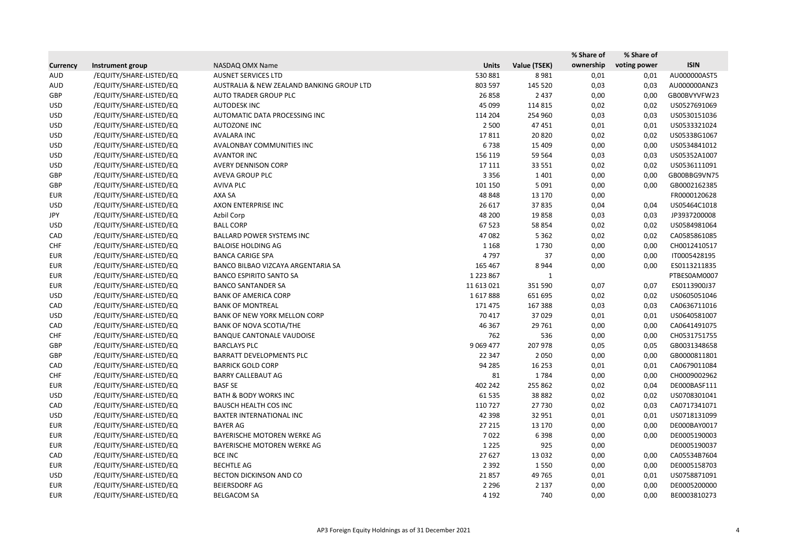|                 |                         |                                           |               |              | % Share of | % Share of   |              |
|-----------------|-------------------------|-------------------------------------------|---------------|--------------|------------|--------------|--------------|
| <b>Currency</b> | Instrument group        | NASDAQ OMX Name                           | <b>Units</b>  | Value (TSEK) | ownership  | voting power | <b>ISIN</b>  |
| <b>AUD</b>      | /EQUITY/SHARE-LISTED/EQ | <b>AUSNET SERVICES LTD</b>                | 530 881       | 8981         | 0,01       | 0,01         | AU000000AST5 |
| <b>AUD</b>      | /EQUITY/SHARE-LISTED/EQ | AUSTRALIA & NEW ZEALAND BANKING GROUP LTD | 803 597       | 145 520      | 0,03       | 0,03         | AU000000ANZ3 |
| GBP             | /EQUITY/SHARE-LISTED/EQ | AUTO TRADER GROUP PLC                     | 26 858        | 2 4 3 7      | 0,00       | 0,00         | GB00BVYVFW23 |
| <b>USD</b>      | /EQUITY/SHARE-LISTED/EQ | <b>AUTODESK INC</b>                       | 45 099        | 114 815      | 0,02       | 0,02         | US0527691069 |
| <b>USD</b>      | /EQUITY/SHARE-LISTED/EQ | AUTOMATIC DATA PROCESSING INC             | 114 204       | 254 960      | 0,03       | 0,03         | US0530151036 |
| <b>USD</b>      | /EQUITY/SHARE-LISTED/EQ | <b>AUTOZONE INC</b>                       | 2 500         | 47 451       | 0,01       | 0,01         | US0533321024 |
| <b>USD</b>      | /EQUITY/SHARE-LISTED/EQ | <b>AVALARA INC</b>                        | 17811         | 20 8 20      | 0,02       | 0,02         | US05338G1067 |
| <b>USD</b>      | /EQUITY/SHARE-LISTED/EQ | AVALONBAY COMMUNITIES INC                 | 6738          | 15 4 09      | 0,00       | 0,00         | US0534841012 |
| <b>USD</b>      | /EQUITY/SHARE-LISTED/EQ | <b>AVANTOR INC</b>                        | 156 119       | 59 564       | 0,03       | 0,03         | US05352A1007 |
| <b>USD</b>      | /EQUITY/SHARE-LISTED/EQ | <b>AVERY DENNISON CORP</b>                | 17 111        | 33 5 5 1     | 0,02       | 0,02         | US0536111091 |
| GBP             | /EQUITY/SHARE-LISTED/EQ | AVEVA GROUP PLC                           | 3 3 5 6       | 1 4 0 1      | 0,00       | 0,00         | GB00BBG9VN75 |
| GBP             | /EQUITY/SHARE-LISTED/EQ | <b>AVIVA PLC</b>                          | 101 150       | 5 0 9 1      | 0,00       | 0,00         | GB0002162385 |
| <b>EUR</b>      | /EQUITY/SHARE-LISTED/EQ | AXA SA                                    | 48 848        | 13 170       | 0,00       |              | FR0000120628 |
| <b>USD</b>      | /EQUITY/SHARE-LISTED/EQ | AXON ENTERPRISE INC                       | 26 617        | 37835        | 0,04       | 0,04         | US05464C1018 |
| JPY             | /EQUITY/SHARE-LISTED/EQ | Azbil Corp                                | 48 200        | 19858        | 0,03       | 0,03         | JP3937200008 |
| <b>USD</b>      | /EQUITY/SHARE-LISTED/EQ | <b>BALL CORP</b>                          | 67 523        | 58 854       | 0,02       | 0,02         | US0584981064 |
| CAD             | /EQUITY/SHARE-LISTED/EQ | <b>BALLARD POWER SYSTEMS INC</b>          | 47 082        | 5 3 6 2      | 0,02       | 0,02         | CA0585861085 |
| <b>CHF</b>      | /EQUITY/SHARE-LISTED/EQ | <b>BALOISE HOLDING AG</b>                 | 1 1 6 8       | 1730         | 0,00       | 0,00         | CH0012410517 |
| <b>EUR</b>      | /EQUITY/SHARE-LISTED/EQ | <b>BANCA CARIGE SPA</b>                   | 4797          | 37           | 0,00       | 0,00         | IT0005428195 |
| <b>EUR</b>      | /EQUITY/SHARE-LISTED/EQ | BANCO BILBAO VIZCAYA ARGENTARIA SA        | 165 467       | 8944         | 0,00       | 0,00         | ES0113211835 |
| <b>EUR</b>      | /EQUITY/SHARE-LISTED/EQ | <b>BANCO ESPIRITO SANTO SA</b>            | 1 2 2 3 8 6 7 | -1           |            |              | PTBES0AM0007 |
| <b>EUR</b>      | /EQUITY/SHARE-LISTED/EQ | <b>BANCO SANTANDER SA</b>                 | 11 613 021    | 351 590      | 0,07       | 0,07         | ES0113900J37 |
| <b>USD</b>      | /EQUITY/SHARE-LISTED/EQ | <b>BANK OF AMERICA CORP</b>               | 1617888       | 651 695      | 0,02       | 0,02         | US0605051046 |
| CAD             | /EQUITY/SHARE-LISTED/EQ | <b>BANK OF MONTREAL</b>                   | 171 475       | 167 388      | 0,03       | 0,03         | CA0636711016 |
| <b>USD</b>      | /EQUITY/SHARE-LISTED/EQ | <b>BANK OF NEW YORK MELLON CORP</b>       | 70 417        | 37029        | 0,01       | 0,01         | US0640581007 |
| CAD             | /EQUITY/SHARE-LISTED/EQ | <b>BANK OF NOVA SCOTIA/THE</b>            | 46 367        | 29 761       | 0,00       | 0,00         | CA0641491075 |
| <b>CHF</b>      | /EQUITY/SHARE-LISTED/EQ | <b>BANQUE CANTONALE VAUDOISE</b>          | 762           | 536          | 0,00       | 0,00         | CH0531751755 |
| GBP             | /EQUITY/SHARE-LISTED/EQ | <b>BARCLAYS PLC</b>                       | 9 0 69 4 77   | 207 978      | 0,05       | 0,05         | GB0031348658 |
| <b>GBP</b>      | /EQUITY/SHARE-LISTED/EQ | BARRATT DEVELOPMENTS PLC                  | 22 347        | 2 0 5 0      | 0,00       | 0,00         | GB0000811801 |
| CAD             | /EQUITY/SHARE-LISTED/EQ | <b>BARRICK GOLD CORP</b>                  | 94 285        | 16 253       | 0,01       | 0,01         | CA0679011084 |
| <b>CHF</b>      | /EQUITY/SHARE-LISTED/EQ | <b>BARRY CALLEBAUT AG</b>                 | 81            | 1784         | 0,00       | 0,00         | CH0009002962 |
| EUR             | /EQUITY/SHARE-LISTED/EQ | <b>BASF SE</b>                            | 402 242       | 255 862      | 0,02       | 0,04         | DE000BASF111 |
| <b>USD</b>      | /EQUITY/SHARE-LISTED/EQ | <b>BATH &amp; BODY WORKS INC</b>          | 61 535        | 38 8 82      | 0,02       | 0,02         | US0708301041 |
| CAD             | /EQUITY/SHARE-LISTED/EQ | <b>BAUSCH HEALTH COS INC</b>              | 110 727       | 27 730       | 0,02       | 0,03         | CA0717341071 |
| <b>USD</b>      | /EQUITY/SHARE-LISTED/EQ | BAXTER INTERNATIONAL INC                  | 42 3 98       | 32 951       | 0,01       | 0,01         | US0718131099 |
| <b>EUR</b>      | /EQUITY/SHARE-LISTED/EQ | <b>BAYER AG</b>                           | 27 215        | 13 170       | 0,00       | 0,00         | DE000BAY0017 |
| EUR             | /EQUITY/SHARE-LISTED/EQ | BAYERISCHE MOTOREN WERKE AG               | 7022          | 6 3 9 8      | 0,00       | 0,00         | DE0005190003 |
| <b>EUR</b>      | /EQUITY/SHARE-LISTED/EQ | BAYERISCHE MOTOREN WERKE AG               | 1 2 2 5       | 925          | 0,00       |              | DE0005190037 |
| CAD             | /EQUITY/SHARE-LISTED/EQ | <b>BCE INC</b>                            | 27 627        | 13 0 32      | 0,00       | 0,00         | CA05534B7604 |
| <b>EUR</b>      | /EQUITY/SHARE-LISTED/EQ | <b>BECHTLE AG</b>                         | 2 3 9 2       | 1550         | 0,00       | 0,00         | DE0005158703 |
| <b>USD</b>      | /EQUITY/SHARE-LISTED/EQ | BECTON DICKINSON AND CO                   | 21857         | 49 765       | 0,01       | 0,01         | US0758871091 |
| EUR             | /EQUITY/SHARE-LISTED/EQ | BEIERSDORF AG                             | 2 2 9 6       | 2 1 3 7      | 0,00       | 0,00         | DE0005200000 |
| EUR             | /EQUITY/SHARE-LISTED/EQ | <b>BELGACOM SA</b>                        | 4 1 9 2       | 740          | 0,00       | 0,00         | BE0003810273 |
|                 |                         |                                           |               |              |            |              |              |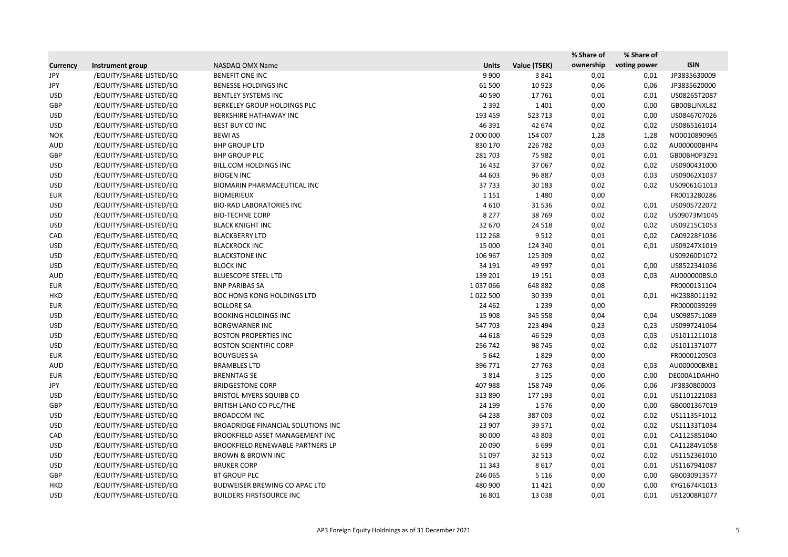|                 |                         |                                      |              |              | % Share of | % Share of   |              |
|-----------------|-------------------------|--------------------------------------|--------------|--------------|------------|--------------|--------------|
| <b>Currency</b> | Instrument group        | NASDAQ OMX Name                      | <b>Units</b> | Value (TSEK) | ownership  | voting power | <b>ISIN</b>  |
| JPY             | /EQUITY/SHARE-LISTED/EQ | <b>BENEFIT ONE INC</b>               | 9 9 0 0      | 3841         | 0,01       | 0,01         | JP3835630009 |
| JPY             | /EQUITY/SHARE-LISTED/EQ | <b>BENESSE HOLDINGS INC</b>          | 61 500       | 10923        | 0,06       | 0,06         | JP3835620000 |
| <b>USD</b>      | /EQUITY/SHARE-LISTED/EQ | <b>BENTLEY SYSTEMS INC</b>           | 40 590       | 17761        | 0,01       | 0,01         | US08265T2087 |
| GBP             | /EQUITY/SHARE-LISTED/EQ | BERKELEY GROUP HOLDINGS PLC          | 2 3 9 2      | 1 4 0 1      | 0,00       | 0,00         | GB00BLJNXL82 |
| <b>USD</b>      | /EQUITY/SHARE-LISTED/EQ | BERKSHIRE HATHAWAY INC               | 193 459      | 523 713      | 0,01       | 0,00         | US0846707026 |
| <b>USD</b>      | /EQUITY/SHARE-LISTED/EQ | BEST BUY CO INC                      | 46 391       | 42 674       | 0,02       | 0,02         | US0865161014 |
| <b>NOK</b>      | /EQUITY/SHARE-LISTED/EQ | <b>BEWI AS</b>                       | 2 000 000    | 154 007      | 1,28       | 1,28         | NO0010890965 |
| <b>AUD</b>      | /EQUITY/SHARE-LISTED/EQ | <b>BHP GROUP LTD</b>                 | 830 170      | 226 782      | 0,03       | 0,02         | AU000000BHP4 |
| GBP             | /EQUITY/SHARE-LISTED/EQ | <b>BHP GROUP PLC</b>                 | 281 703      | 75 982       | 0,01       | 0,01         | GB00BH0P3Z91 |
| <b>USD</b>      | /EQUITY/SHARE-LISTED/EQ | <b>BILL.COM HOLDINGS INC</b>         | 16 4 32      | 37 067       | 0,02       | 0,02         | US0900431000 |
| <b>USD</b>      | /EQUITY/SHARE-LISTED/EQ | <b>BIOGEN INC</b>                    | 44 603       | 96 887       | 0,03       | 0,03         | US09062X1037 |
| <b>USD</b>      | /EQUITY/SHARE-LISTED/EQ | BIOMARIN PHARMACEUTICAL INC          | 37733        | 30 183       | 0,02       | 0,02         | US09061G1013 |
| <b>EUR</b>      | /EQUITY/SHARE-LISTED/EQ | <b>BIOMERIEUX</b>                    | 1 1 5 1      | 1480         | 0,00       |              | FR0013280286 |
| <b>USD</b>      | /EQUITY/SHARE-LISTED/EQ | <b>BIO-RAD LABORATORIES INC</b>      | 4610         | 31 5 36      | 0,02       | 0,01         | US0905722072 |
| <b>USD</b>      | /EQUITY/SHARE-LISTED/EQ | <b>BIO-TECHNE CORP</b>               | 8 2 7 7      | 38 769       | 0,02       | 0,02         | US09073M1045 |
| <b>USD</b>      | /EQUITY/SHARE-LISTED/EQ | <b>BLACK KNIGHT INC</b>              | 32 670       | 24 5 18      | 0,02       | 0,02         | US09215C1053 |
| CAD             | /EQUITY/SHARE-LISTED/EQ | <b>BLACKBERRY LTD</b>                | 112 268      | 9512         | 0,01       | 0,02         | CA09228F1036 |
| <b>USD</b>      | /EQUITY/SHARE-LISTED/EQ | <b>BLACKROCK INC</b>                 | 15 000       | 124 340      | 0,01       | 0,01         | US09247X1019 |
| <b>USD</b>      | /EQUITY/SHARE-LISTED/EQ | <b>BLACKSTONE INC</b>                | 106 967      | 125 309      | 0,02       |              | US09260D1072 |
| <b>USD</b>      | /EQUITY/SHARE-LISTED/EQ | <b>BLOCK INC</b>                     | 34 191       | 49 997       | 0,01       | 0,00         | US8522341036 |
| <b>AUD</b>      | /EQUITY/SHARE-LISTED/EQ | <b>BLUESCOPE STEEL LTD</b>           | 139 201      | 19 15 1      | 0,03       | 0,03         | AU000000BSL0 |
| <b>EUR</b>      | /EQUITY/SHARE-LISTED/EQ | <b>BNP PARIBAS SA</b>                | 1037066      | 648 882      | 0,08       |              | FR0000131104 |
| <b>HKD</b>      | /EQUITY/SHARE-LISTED/EQ | <b>BOC HONG KONG HOLDINGS LTD</b>    | 1022500      | 30 339       | 0,01       | 0,01         | HK2388011192 |
| <b>EUR</b>      | /EQUITY/SHARE-LISTED/EQ | <b>BOLLORE SA</b>                    | 24 4 62      | 1 2 3 9      | 0,00       |              | FR0000039299 |
| <b>USD</b>      | /EQUITY/SHARE-LISTED/EQ | <b>BOOKING HOLDINGS INC</b>          | 15 908       | 345 558      | 0,04       | 0,04         | US09857L1089 |
| <b>USD</b>      | /EQUITY/SHARE-LISTED/EQ | <b>BORGWARNER INC</b>                | 547 703      | 223 494      | 0,23       | 0,23         | US0997241064 |
| <b>USD</b>      | /EQUITY/SHARE-LISTED/EQ | <b>BOSTON PROPERTIES INC</b>         | 44 618       | 46 5 29      | 0,03       | 0,03         | US1011211018 |
| <b>USD</b>      | /EQUITY/SHARE-LISTED/EQ | <b>BOSTON SCIENTIFIC CORP</b>        | 256 742      | 98 745       | 0,02       | 0,02         | US1011371077 |
| <b>EUR</b>      | /EQUITY/SHARE-LISTED/EQ | <b>BOUYGUES SA</b>                   | 5 6 4 2      | 1829         | 0,00       |              | FR0000120503 |
| AUD             | /EQUITY/SHARE-LISTED/EQ | <b>BRAMBLES LTD</b>                  | 396 771      | 27 763       | 0,03       | 0,03         | AU000000BXB1 |
| <b>EUR</b>      | /EQUITY/SHARE-LISTED/EQ | <b>BRENNTAG SE</b>                   | 3814         | 3 1 2 5      | 0,00       | 0,00         | DE000A1DAHH0 |
| JPY             | /EQUITY/SHARE-LISTED/EQ | <b>BRIDGESTONE CORP</b>              | 407 988      | 158 749      | 0,06       | 0,06         | JP3830800003 |
| <b>USD</b>      | /EQUITY/SHARE-LISTED/EQ | <b>BRISTOL-MYERS SQUIBB CO</b>       | 313 890      | 177 193      | 0,01       | 0,01         | US1101221083 |
| GBP             | /EQUITY/SHARE-LISTED/EQ | BRITISH LAND CO PLC/THE              | 24 199       | 1576         | 0,00       | 0,00         | GB0001367019 |
| <b>USD</b>      | /EQUITY/SHARE-LISTED/EQ | <b>BROADCOM INC</b>                  | 64 238       | 387 003      | 0,02       | 0,02         | US11135F1012 |
| <b>USD</b>      | /EQUITY/SHARE-LISTED/EQ | BROADRIDGE FINANCIAL SOLUTIONS INC   | 23 907       | 39 571       | 0,02       | 0,02         | US11133T1034 |
| CAD             | /EQUITY/SHARE-LISTED/EQ | BROOKFIELD ASSET MANAGEMENT INC      | 80 000       | 43 803       | 0,01       | 0,01         | CA1125851040 |
| <b>USD</b>      | /EQUITY/SHARE-LISTED/EQ | BROOKFIELD RENEWABLE PARTNERS LP     | 20 090       | 6699         | 0,01       | 0,01         | CA11284V1058 |
| <b>USD</b>      | /EQUITY/SHARE-LISTED/EQ | <b>BROWN &amp; BROWN INC</b>         | 51 097       | 32 513       | 0,02       | 0,02         | US1152361010 |
| <b>USD</b>      | /EQUITY/SHARE-LISTED/EQ | <b>BRUKER CORP</b>                   | 11 343       | 8617         | 0,01       | 0,01         | US1167941087 |
| GBP             | /EQUITY/SHARE-LISTED/EQ | <b>BT GROUP PLC</b>                  | 246 065      | 5 1 1 6      | 0,00       | 0,00         | GB0030913577 |
| <b>HKD</b>      | /EQUITY/SHARE-LISTED/EQ | <b>BUDWEISER BREWING CO APAC LTD</b> | 480 900      | 11 4 21      | 0,00       | 0,00         | KYG1674K1013 |
| <b>USD</b>      | /EQUITY/SHARE-LISTED/EQ | <b>BUILDERS FIRSTSOURCE INC</b>      | 16 801       | 13 0 38      | 0,01       | 0,01         | US12008R1077 |
|                 |                         |                                      |              |              |            |              |              |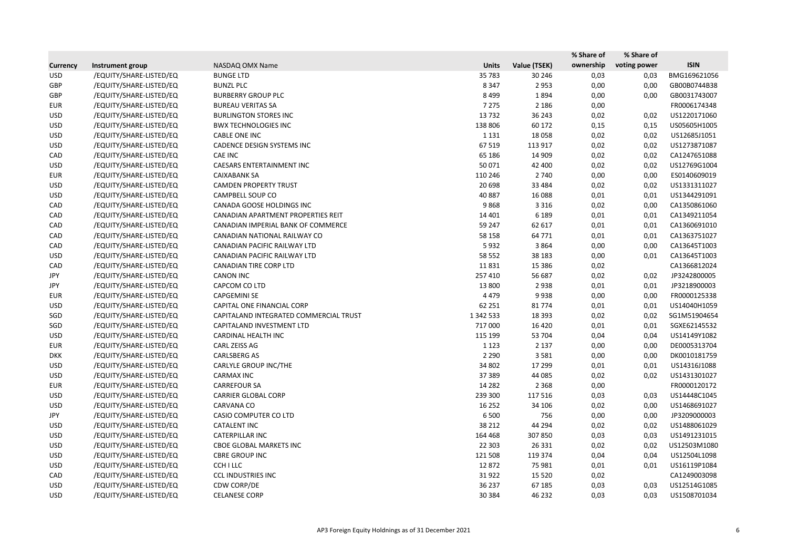|                 |                         |                                        |              |              | % Share of | % Share of   |              |
|-----------------|-------------------------|----------------------------------------|--------------|--------------|------------|--------------|--------------|
| <b>Currency</b> | Instrument group        | NASDAQ OMX Name                        | <b>Units</b> | Value (TSEK) | ownership  | voting power | <b>ISIN</b>  |
| <b>USD</b>      | /EQUITY/SHARE-LISTED/EQ | <b>BUNGE LTD</b>                       | 35 783       | 30 246       | 0,03       | 0,03         | BMG169621056 |
| GBP             | /EQUITY/SHARE-LISTED/EQ | <b>BUNZL PLC</b>                       | 8 3 4 7      | 2 9 5 3      | 0,00       | 0,00         | GB00B0744B38 |
| GBP             | /EQUITY/SHARE-LISTED/EQ | <b>BURBERRY GROUP PLC</b>              | 8499         | 1894         | 0,00       | 0,00         | GB0031743007 |
| <b>EUR</b>      | /EQUITY/SHARE-LISTED/EQ | <b>BUREAU VERITAS SA</b>               | 7 2 7 5      | 2 1 8 6      | 0,00       |              | FR0006174348 |
| <b>USD</b>      | /EQUITY/SHARE-LISTED/EQ | <b>BURLINGTON STORES INC</b>           | 13732        | 36 243       | 0,02       | 0,02         | US1220171060 |
| <b>USD</b>      | /EQUITY/SHARE-LISTED/EQ | <b>BWX TECHNOLOGIES INC</b>            | 138 806      | 60 172       | 0,15       | 0,15         | US05605H1005 |
| <b>USD</b>      | /EQUITY/SHARE-LISTED/EQ | CABLE ONE INC                          | 1 1 3 1      | 18 0 58      | 0,02       | 0,02         | US12685J1051 |
| <b>USD</b>      | /EQUITY/SHARE-LISTED/EQ | CADENCE DESIGN SYSTEMS INC             | 67 519       | 113 917      | 0,02       | 0,02         | US1273871087 |
| CAD             | /EQUITY/SHARE-LISTED/EQ | <b>CAE INC</b>                         | 65 186       | 14 909       | 0,02       | 0,02         | CA1247651088 |
| <b>USD</b>      | /EQUITY/SHARE-LISTED/EQ | CAESARS ENTERTAINMENT INC              | 50 071       | 42 400       | 0,02       | 0,02         | US12769G1004 |
| <b>EUR</b>      | /EQUITY/SHARE-LISTED/EQ | <b>CAIXABANK SA</b>                    | 110 246      | 2 740        | 0,00       | 0,00         | ES0140609019 |
| <b>USD</b>      | /EQUITY/SHARE-LISTED/EQ | <b>CAMDEN PROPERTY TRUST</b>           | 20 698       | 33 4 84      | 0,02       | 0,02         | US1331311027 |
| <b>USD</b>      | /EQUITY/SHARE-LISTED/EQ | CAMPBELL SOUP CO                       | 40 887       | 16 088       | 0,01       | 0,01         | US1344291091 |
| CAD             | /EQUITY/SHARE-LISTED/EQ | CANADA GOOSE HOLDINGS INC              | 9868         | 3 3 1 6      | 0,02       | 0,00         | CA1350861060 |
| CAD             | /EQUITY/SHARE-LISTED/EQ | CANADIAN APARTMENT PROPERTIES REIT     | 14 4 01      | 6 1 8 9      | 0,01       | 0,01         | CA1349211054 |
| CAD             | /EQUITY/SHARE-LISTED/EQ | CANADIAN IMPERIAL BANK OF COMMERCE     | 59 247       | 62 617       | 0,01       | 0,01         | CA1360691010 |
| CAD             | /EQUITY/SHARE-LISTED/EQ | CANADIAN NATIONAL RAILWAY CO           | 58 158       | 64 771       | 0,01       | 0,01         | CA1363751027 |
| CAD             | /EQUITY/SHARE-LISTED/EQ | CANADIAN PACIFIC RAILWAY LTD           | 5932         | 3864         | 0,00       | 0,00         | CA13645T1003 |
| <b>USD</b>      | /EQUITY/SHARE-LISTED/EQ | CANADIAN PACIFIC RAILWAY LTD           | 58 552       | 38 183       | 0,00       | 0,01         | CA13645T1003 |
| CAD             | /EQUITY/SHARE-LISTED/EQ | <b>CANADIAN TIRE CORP LTD</b>          | 11831        | 15 3 8 6     | 0,02       |              | CA1366812024 |
| JPY             | /EQUITY/SHARE-LISTED/EQ | <b>CANON INC</b>                       | 257 410      | 56 687       | 0,02       | 0,02         | JP3242800005 |
| JPY             | /EQUITY/SHARE-LISTED/EQ | CAPCOM CO LTD                          | 13 800       | 2938         | 0,01       | 0,01         | JP3218900003 |
| <b>EUR</b>      | /EQUITY/SHARE-LISTED/EQ | <b>CAPGEMINI SE</b>                    | 4 4 7 9      | 9938         | 0,00       | 0,00         | FR0000125338 |
| <b>USD</b>      | /EQUITY/SHARE-LISTED/EQ | CAPITAL ONE FINANCIAL CORP             | 62 251       | 81774        | 0,01       | 0,01         | US14040H1059 |
| SGD             | /EQUITY/SHARE-LISTED/EQ | CAPITALAND INTEGRATED COMMERCIAL TRUST | 1 342 533    | 18 3 93      | 0,02       | 0,02         | SG1M51904654 |
| SGD             | /EQUITY/SHARE-LISTED/EQ | CAPITALAND INVESTMENT LTD              | 717000       | 16 4 20      | 0,01       | 0,01         | SGXE62145532 |
| <b>USD</b>      | /EQUITY/SHARE-LISTED/EQ | CARDINAL HEALTH INC                    | 115 199      | 53 704       | 0,04       | 0,04         | US14149Y1082 |
| <b>EUR</b>      | /EQUITY/SHARE-LISTED/EQ | CARL ZEISS AG                          | 1 1 2 3      | 2 1 3 7      | 0,00       | 0,00         | DE0005313704 |
| <b>DKK</b>      | /EQUITY/SHARE-LISTED/EQ | <b>CARLSBERG AS</b>                    | 2 2 9 0      | 3581         | 0,00       | 0,00         | DK0010181759 |
| <b>USD</b>      | /EQUITY/SHARE-LISTED/EQ | CARLYLE GROUP INC/THE                  | 34 802       | 17 299       | 0,01       | 0,01         | US14316J1088 |
| <b>USD</b>      | /EQUITY/SHARE-LISTED/EQ | <b>CARMAX INC</b>                      | 37 389       | 44 085       | 0,02       | 0,02         | US1431301027 |
| <b>EUR</b>      | /EQUITY/SHARE-LISTED/EQ | <b>CARREFOUR SA</b>                    | 14 2 8 2     | 2 3 6 8      | 0,00       |              | FR0000120172 |
| <b>USD</b>      | /EQUITY/SHARE-LISTED/EQ | <b>CARRIER GLOBAL CORP</b>             | 239 300      | 117 516      | 0,03       | 0,03         | US14448C1045 |
| <b>USD</b>      | /EQUITY/SHARE-LISTED/EQ | CARVANA CO                             | 16 25 2      | 34 106       | 0,02       | 0,00         | US1468691027 |
| JPY             | /EQUITY/SHARE-LISTED/EQ | <b>CASIO COMPUTER CO LTD</b>           | 6 5 0 0      | 756          | 0,00       | 0,00         | JP3209000003 |
| <b>USD</b>      | /EQUITY/SHARE-LISTED/EQ | <b>CATALENT INC</b>                    | 38 212       | 44 294       | 0,02       | 0,02         | US1488061029 |
| <b>USD</b>      | /EQUITY/SHARE-LISTED/EQ | <b>CATERPILLAR INC</b>                 | 164 468      | 307 850      | 0,03       | 0,03         | US1491231015 |
| <b>USD</b>      | /EQUITY/SHARE-LISTED/EQ | <b>CBOE GLOBAL MARKETS INC</b>         | 22 303       | 26 3 31      | 0,02       | 0,02         | US12503M1080 |
| <b>USD</b>      | /EQUITY/SHARE-LISTED/EQ | <b>CBRE GROUP INC</b>                  | 121 508      | 119 374      | 0,04       | 0,04         | US12504L1098 |
| <b>USD</b>      | /EQUITY/SHARE-LISTED/EQ | <b>CCHILLC</b>                         | 12872        | 75 981       | 0,01       | 0,01         | US16119P1084 |
| CAD             | /EQUITY/SHARE-LISTED/EQ | <b>CCL INDUSTRIES INC</b>              | 31922        | 15 5 20      | 0,02       |              | CA1249003098 |
| <b>USD</b>      | /EQUITY/SHARE-LISTED/EQ | CDW CORP/DE                            | 36 237       | 67 185       | 0,03       | 0,03         | US12514G1085 |
| <b>USD</b>      | /EQUITY/SHARE-LISTED/EQ | <b>CELANESE CORP</b>                   | 30 384       | 46 232       | 0,03       | 0,03         | US1508701034 |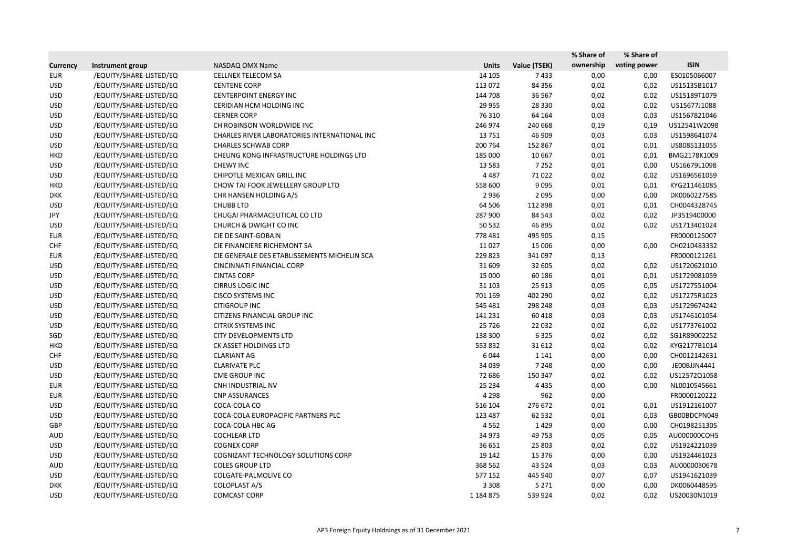|                 |                         |                                              |               |              | % Share of | % Share of   |              |
|-----------------|-------------------------|----------------------------------------------|---------------|--------------|------------|--------------|--------------|
| <b>Currency</b> | Instrument group        | NASDAQ OMX Name                              | <b>Units</b>  | Value (TSEK) | ownership  | voting power | <b>ISIN</b>  |
| <b>EUR</b>      | /EQUITY/SHARE-LISTED/EQ | <b>CELLNEX TELECOM SA</b>                    | 14 10 5       | 7433         | 0,00       | 0,00         | ES0105066007 |
| <b>USD</b>      | /EQUITY/SHARE-LISTED/EQ | <b>CENTENE CORP</b>                          | 113 072       | 84 3 56      | 0,02       | 0,02         | US15135B1017 |
| <b>USD</b>      | /EQUITY/SHARE-LISTED/EQ | <b>CENTERPOINT ENERGY INC</b>                | 144 708       | 36 567       | 0,02       | 0,02         | US15189T1079 |
| <b>USD</b>      | /EQUITY/SHARE-LISTED/EQ | CERIDIAN HCM HOLDING INC                     | 29 9 55       | 28 3 30      | 0,02       | 0,02         | US15677J1088 |
| <b>USD</b>      | /EQUITY/SHARE-LISTED/EQ | <b>CERNER CORP</b>                           | 76 310        | 64 164       | 0,03       | 0,03         | US1567821046 |
| <b>USD</b>      | /EQUITY/SHARE-LISTED/EQ | CH ROBINSON WORLDWIDE INC                    | 246 974       | 240 668      | 0,19       | 0,19         | US12541W2098 |
| <b>USD</b>      | /EQUITY/SHARE-LISTED/EQ | CHARLES RIVER LABORATORIES INTERNATIONAL INC | 13751         | 46 909       | 0,03       | 0,03         | US1598641074 |
| <b>USD</b>      | /EQUITY/SHARE-LISTED/EQ | <b>CHARLES SCHWAB CORP</b>                   | 200 764       | 152 867      | 0,01       | 0,01         | US8085131055 |
| <b>HKD</b>      | /EQUITY/SHARE-LISTED/EQ | CHEUNG KONG INFRASTRUCTURE HOLDINGS LTD      | 185 000       | 10 667       | 0,01       | 0,01         | BMG2178K1009 |
| <b>USD</b>      | /EQUITY/SHARE-LISTED/EQ | <b>CHEWY INC</b>                             | 13 5 83       | 7 2 5 2      | 0,01       | 0,00         | US16679L1098 |
| <b>USD</b>      | /EQUITY/SHARE-LISTED/EQ | CHIPOTLE MEXICAN GRILL INC                   | 4 4 8 7       | 71 0 22      | 0,02       | 0,02         | US1696561059 |
| HKD             | /EQUITY/SHARE-LISTED/EQ | CHOW TAI FOOK JEWELLERY GROUP LTD            | 558 600       | 9095         | 0,01       | 0,01         | KYG211461085 |
| <b>DKK</b>      | /EQUITY/SHARE-LISTED/EQ | CHR HANSEN HOLDING A/S                       | 2936          | 2 0 9 5      | 0,00       | 0,00         | DK0060227585 |
| <b>USD</b>      | /EQUITY/SHARE-LISTED/EQ | <b>CHUBB LTD</b>                             | 64 50 6       | 112 898      | 0,01       | 0,01         | CH0044328745 |
| JPY             | /EQUITY/SHARE-LISTED/EQ | CHUGAI PHARMACEUTICAL CO LTD                 | 287 900       | 84 543       | 0,02       | 0,02         | JP3519400000 |
| <b>USD</b>      | /EQUITY/SHARE-LISTED/EQ | <b>CHURCH &amp; DWIGHT CO INC</b>            | 50 532        | 46 895       | 0,02       | 0,02         | US1713401024 |
| <b>EUR</b>      | /EQUITY/SHARE-LISTED/EQ | CIE DE SAINT-GOBAIN                          | 778 481       | 495 905      | 0,15       |              | FR0000125007 |
| <b>CHF</b>      | /EQUITY/SHARE-LISTED/EQ | CIE FINANCIERE RICHEMONT SA                  | 11 0 27       | 15 006       | 0,00       | 0,00         | CH0210483332 |
| <b>EUR</b>      | /EQUITY/SHARE-LISTED/EQ | CIE GENERALE DES ETABLISSEMENTS MICHELIN SCA | 229823        | 341 097      | 0,13       |              | FR0000121261 |
| <b>USD</b>      | /EQUITY/SHARE-LISTED/EQ | CINCINNATI FINANCIAL CORP                    | 31 609        | 32 605       | 0,02       | 0,02         | US1720621010 |
| <b>USD</b>      | /EQUITY/SHARE-LISTED/EQ | <b>CINTAS CORP</b>                           | 15 000        | 60 186       | 0,01       | 0,01         | US1729081059 |
| <b>USD</b>      | /EQUITY/SHARE-LISTED/EQ | CIRRUS LOGIC INC                             | 31 103        | 25 913       | 0,05       | 0,05         | US1727551004 |
| <b>USD</b>      | /EQUITY/SHARE-LISTED/EQ | <b>CISCO SYSTEMS INC</b>                     | 701 169       | 402 290      | 0,02       | 0,02         | US17275R1023 |
| <b>USD</b>      | /EQUITY/SHARE-LISTED/EQ | <b>CITIGROUP INC</b>                         | 545 481       | 298 248      | 0,03       | 0,03         | US1729674242 |
| <b>USD</b>      | /EQUITY/SHARE-LISTED/EQ | CITIZENS FINANCIAL GROUP INC                 | 141 231       | 60 418       | 0,03       | 0,03         | US1746101054 |
| <b>USD</b>      | /EQUITY/SHARE-LISTED/EQ | <b>CITRIX SYSTEMS INC</b>                    | 25 7 26       | 22 0 32      | 0,02       | 0,02         | US1773761002 |
| SGD             | /EQUITY/SHARE-LISTED/EQ | <b>CITY DEVELOPMENTS LTD</b>                 | 138 300       | 6 3 2 5      | 0,02       | 0,02         | SG1R89002252 |
| <b>HKD</b>      | /EQUITY/SHARE-LISTED/EQ | CK ASSET HOLDINGS LTD                        | 553 832       | 31 612       | 0,02       | 0,02         | KYG2177B1014 |
| <b>CHF</b>      | /EQUITY/SHARE-LISTED/EQ | <b>CLARIANT AG</b>                           | 6044          | 1 1 4 1      | 0,00       | 0,00         | CH0012142631 |
| <b>USD</b>      | /EQUITY/SHARE-LISTED/EQ | CLARIVATE PLC                                | 34 039        | 7 248        | 0,00       | 0,00         | JE00BJJN4441 |
| <b>USD</b>      | /EQUITY/SHARE-LISTED/EQ | <b>CME GROUP INC</b>                         | 72 686        | 150 347      | 0,02       | 0,02         | US12572Q1058 |
| EUR             | /EQUITY/SHARE-LISTED/EQ | CNH INDUSTRIAL NV                            | 25 2 34       | 4 4 3 5      | 0,00       | 0,00         | NL0010545661 |
| <b>EUR</b>      | /EQUITY/SHARE-LISTED/EQ | <b>CNP ASSURANCES</b>                        | 4 2 9 8       | 962          | 0,00       |              | FR0000120222 |
| <b>USD</b>      | /EQUITY/SHARE-LISTED/EQ | COCA-COLA CO                                 | 516 104       | 276 672      | 0,01       | 0,01         | US1912161007 |
| <b>USD</b>      | /EQUITY/SHARE-LISTED/EQ | COCA-COLA EUROPACIFIC PARTNERS PLC           | 123 487       | 62 532       | 0,01       | 0,03         | GB00BDCPN049 |
| GBP             | /EQUITY/SHARE-LISTED/EQ | COCA-COLA HBC AG                             | 4 5 6 2       | 1429         | 0,00       | 0,00         | CH0198251305 |
| AUD             | /EQUITY/SHARE-LISTED/EQ | <b>COCHLEAR LTD</b>                          | 34 973        | 49 753       | 0,05       | 0,05         | AU000000COH5 |
| <b>USD</b>      | /EQUITY/SHARE-LISTED/EQ | <b>COGNEX CORP</b>                           | 36 651        | 25 803       | 0,02       | 0,02         | US1924221039 |
| <b>USD</b>      | /EQUITY/SHARE-LISTED/EQ | COGNIZANT TECHNOLOGY SOLUTIONS CORP          | 19 142        | 15 3 7 6     | 0,00       | 0,00         | US1924461023 |
| AUD             | /EQUITY/SHARE-LISTED/EQ | <b>COLES GROUP LTD</b>                       | 368 562       | 43 5 24      | 0,03       | 0,03         | AU0000030678 |
| <b>USD</b>      | /EQUITY/SHARE-LISTED/EQ | COLGATE-PALMOLIVE CO                         | 577 152       | 445 940      | 0,07       | 0,07         | US1941621039 |
| <b>DKK</b>      | /EQUITY/SHARE-LISTED/EQ | COLOPLAST A/S                                | 3 3 0 8       | 5 2 7 1      | 0,00       | 0,00         | DK0060448595 |
| <b>USD</b>      | /EQUITY/SHARE-LISTED/EQ | <b>COMCAST CORP</b>                          | 1 1 8 4 8 7 5 | 539 924      | 0,02       | 0,02         | US20030N1019 |
|                 |                         |                                              |               |              |            |              |              |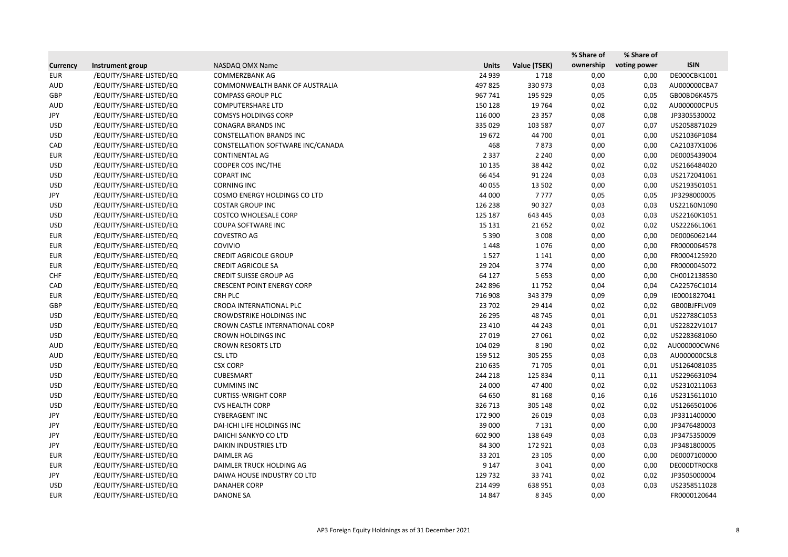|                 |                         |                                   |              |              | % Share of | % Share of   |              |
|-----------------|-------------------------|-----------------------------------|--------------|--------------|------------|--------------|--------------|
| <b>Currency</b> | Instrument group        | NASDAQ OMX Name                   | <b>Units</b> | Value (TSEK) | ownership  | voting power | <b>ISIN</b>  |
| <b>EUR</b>      | /EQUITY/SHARE-LISTED/EQ | <b>COMMERZBANK AG</b>             | 24 9 39      | 1718         | 0,00       | 0,00         | DE000CBK1001 |
| AUD             | /EQUITY/SHARE-LISTED/EQ | COMMONWEALTH BANK OF AUSTRALIA    | 497 825      | 330 973      | 0,03       | 0,03         | AU000000CBA7 |
| GBP             | /EQUITY/SHARE-LISTED/EQ | <b>COMPASS GROUP PLC</b>          | 967 741      | 195 929      | 0,05       | 0,05         | GB00BD6K4575 |
| AUD             | /EQUITY/SHARE-LISTED/EQ | <b>COMPUTERSHARE LTD</b>          | 150 128      | 19 7 64      | 0,02       | 0,02         | AU000000CPU5 |
| JPY             | /EQUITY/SHARE-LISTED/EQ | <b>COMSYS HOLDINGS CORP</b>       | 116 000      | 23 3 5 7     | 0,08       | 0,08         | JP3305530002 |
| <b>USD</b>      | /EQUITY/SHARE-LISTED/EQ | <b>CONAGRA BRANDS INC</b>         | 335 029      | 103 587      | 0,07       | 0,07         | US2058871029 |
| <b>USD</b>      | /EQUITY/SHARE-LISTED/EQ | <b>CONSTELLATION BRANDS INC</b>   | 19672        | 44 700       | 0,01       | 0,00         | US21036P1084 |
| CAD             | /EQUITY/SHARE-LISTED/EQ | CONSTELLATION SOFTWARE INC/CANADA | 468          | 7873         | 0,00       | 0,00         | CA21037X1006 |
| EUR             | /EQUITY/SHARE-LISTED/EQ | CONTINENTAL AG                    | 2 3 3 7      | 2 2 4 0      | 0,00       | 0,00         | DE0005439004 |
| <b>USD</b>      | /EQUITY/SHARE-LISTED/EQ | COOPER COS INC/THE                | 10 135       | 38 442       | 0,02       | 0,02         | US2166484020 |
| <b>USD</b>      | /EQUITY/SHARE-LISTED/EQ | <b>COPART INC</b>                 | 66 454       | 91 2 2 4     | 0,03       | 0,03         | US2172041061 |
| <b>USD</b>      | /EQUITY/SHARE-LISTED/EQ | <b>CORNING INC</b>                | 40 055       | 13 502       | 0,00       | 0,00         | US2193501051 |
| JPY             | /EQUITY/SHARE-LISTED/EQ | COSMO ENERGY HOLDINGS CO LTD      | 44 000       | 7777         | 0,05       | 0,05         | JP3298000005 |
| <b>USD</b>      | /EQUITY/SHARE-LISTED/EQ | <b>COSTAR GROUP INC</b>           | 126 238      | 90 327       | 0,03       | 0,03         | US22160N1090 |
| <b>USD</b>      | /EQUITY/SHARE-LISTED/EQ | <b>COSTCO WHOLESALE CORP</b>      | 125 187      | 643 445      | 0,03       | 0,03         | US22160K1051 |
| <b>USD</b>      | /EQUITY/SHARE-LISTED/EQ | <b>COUPA SOFTWARE INC</b>         | 15 131       | 21 6 52      | 0,02       | 0,02         | US22266L1061 |
| <b>EUR</b>      | /EQUITY/SHARE-LISTED/EQ | COVESTRO AG                       | 5 3 9 0      | 3 0 0 8      | 0,00       | 0,00         | DE0006062144 |
| <b>EUR</b>      | /EQUITY/SHARE-LISTED/EQ | <b>COVIVIO</b>                    | 1448         | 1076         | 0,00       | 0,00         | FR0000064578 |
| <b>EUR</b>      | /EQUITY/SHARE-LISTED/EQ | <b>CREDIT AGRICOLE GROUP</b>      | 1527         | 1 1 4 1      | 0,00       | 0,00         | FR0004125920 |
| <b>EUR</b>      | /EQUITY/SHARE-LISTED/EQ | <b>CREDIT AGRICOLE SA</b>         | 29 204       | 3774         | 0,00       | 0,00         | FR0000045072 |
| <b>CHF</b>      | /EQUITY/SHARE-LISTED/EQ | <b>CREDIT SUISSE GROUP AG</b>     | 64 127       | 5 6 5 3      | 0,00       | 0,00         | CH0012138530 |
| CAD             | /EQUITY/SHARE-LISTED/EQ | <b>CRESCENT POINT ENERGY CORP</b> | 242 896      | 11 752       | 0,04       | 0,04         | CA22576C1014 |
| <b>EUR</b>      | /EQUITY/SHARE-LISTED/EQ | <b>CRH PLC</b>                    | 716 908      | 343 379      | 0,09       | 0,09         | IE0001827041 |
| GBP             | /EQUITY/SHARE-LISTED/EQ | CRODA INTERNATIONAL PLC           | 23 702       | 29 4 14      | 0,02       | 0,02         | GB00BJFFLV09 |
| <b>USD</b>      | /EQUITY/SHARE-LISTED/EQ | <b>CROWDSTRIKE HOLDINGS INC</b>   | 26 29 5      | 48745        | 0,01       | 0,01         | US22788C1053 |
| <b>USD</b>      | /EQUITY/SHARE-LISTED/EQ | CROWN CASTLE INTERNATIONAL CORP   | 23 4 10      | 44 243       | 0,01       | 0,01         | US22822V1017 |
| <b>USD</b>      | /EQUITY/SHARE-LISTED/EQ | <b>CROWN HOLDINGS INC</b>         | 27 019       | 27 061       | 0,02       | 0,02         | US2283681060 |
| AUD             | /EQUITY/SHARE-LISTED/EQ | <b>CROWN RESORTS LTD</b>          | 104 029      | 8 1 9 0      | 0,02       | 0,02         | AU000000CWN6 |
| AUD             | /EQUITY/SHARE-LISTED/EQ | <b>CSL LTD</b>                    | 159 512      | 305 255      | 0,03       | 0,03         | AU000000CSL8 |
| <b>USD</b>      | /EQUITY/SHARE-LISTED/EQ | <b>CSX CORP</b>                   | 210 635      | 71 705       | 0,01       | 0,01         | US1264081035 |
| <b>USD</b>      | /EQUITY/SHARE-LISTED/EQ | CUBESMART                         | 244 218      | 125 834      | 0,11       | 0,11         | US2296631094 |
| <b>USD</b>      | /EQUITY/SHARE-LISTED/EQ | <b>CUMMINS INC</b>                | 24 000       | 47 400       | 0,02       | 0,02         | US2310211063 |
| <b>USD</b>      | /EQUITY/SHARE-LISTED/EQ | <b>CURTISS-WRIGHT CORP</b>        | 64 650       | 81 168       | 0,16       | 0,16         | US2315611010 |
| <b>USD</b>      | /EQUITY/SHARE-LISTED/EQ | <b>CVS HEALTH CORP</b>            | 326 713      | 305 148      | 0,02       | 0,02         | US1266501006 |
| JPY             | /EQUITY/SHARE-LISTED/EQ | <b>CYBERAGENT INC</b>             | 172 900      | 26 019       | 0,03       | 0,03         | JP3311400000 |
| JPY             | /EQUITY/SHARE-LISTED/EQ | DAI-ICHI LIFE HOLDINGS INC        | 39 000       | 7 1 3 1      | 0,00       | 0,00         | JP3476480003 |
| JPY             | /EQUITY/SHARE-LISTED/EQ | DAIICHI SANKYO CO LTD             | 602 900      | 138 649      | 0,03       | 0,03         | JP3475350009 |
| JPY             | /EQUITY/SHARE-LISTED/EQ | <b>DAIKIN INDUSTRIES LTD</b>      | 84 300       | 172 921      | 0,03       | 0,03         | JP3481800005 |
| <b>EUR</b>      | /EQUITY/SHARE-LISTED/EQ | DAIMLER AG                        | 33 201       | 23 105       | 0,00       | 0,00         | DE0007100000 |
| <b>EUR</b>      | /EQUITY/SHARE-LISTED/EQ | DAIMLER TRUCK HOLDING AG          | 9 1 4 7      | 3 0 4 1      | 0,00       | 0,00         | DE000DTR0CK8 |
| JPY             | /EQUITY/SHARE-LISTED/EQ | DAIWA HOUSE INDUSTRY CO LTD       | 129 732      | 33 741       | 0,02       | 0,02         | JP3505000004 |
| <b>USD</b>      | /EQUITY/SHARE-LISTED/EQ | <b>DANAHER CORP</b>               | 214 499      | 638 951      | 0,03       | 0,03         | US2358511028 |
| <b>EUR</b>      | /EQUITY/SHARE-LISTED/EQ | <b>DANONE SA</b>                  | 14 847       | 8 3 4 5      | 0,00       |              | FR0000120644 |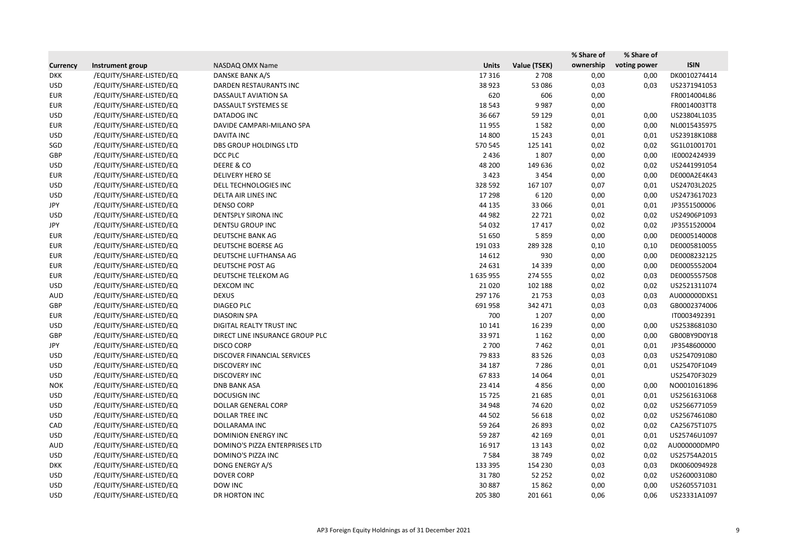|                 |                         |                                 |              |              | % Share of | % Share of   |              |
|-----------------|-------------------------|---------------------------------|--------------|--------------|------------|--------------|--------------|
| <b>Currency</b> | Instrument group        | NASDAQ OMX Name                 | <b>Units</b> | Value (TSEK) | ownership  | voting power | <b>ISIN</b>  |
| <b>DKK</b>      | /EQUITY/SHARE-LISTED/EQ | DANSKE BANK A/S                 | 17 3 16      | 2 7 0 8      | 0,00       | 0,00         | DK0010274414 |
| <b>USD</b>      | /EQUITY/SHARE-LISTED/EQ | DARDEN RESTAURANTS INC          | 38 9 23      | 53 086       | 0,03       | 0,03         | US2371941053 |
| <b>EUR</b>      | /EQUITY/SHARE-LISTED/EQ | DASSAULT AVIATION SA            | 620          | 606          | 0,00       |              | FR0014004L86 |
| <b>EUR</b>      | /EQUITY/SHARE-LISTED/EQ | DASSAULT SYSTEMES SE            | 18 5 43      | 9987         | 0,00       |              | FR0014003TT8 |
| <b>USD</b>      | /EQUITY/SHARE-LISTED/EQ | DATADOG INC                     | 36 667       | 59 129       | 0,01       | 0,00         | US23804L1035 |
| <b>EUR</b>      | /EQUITY/SHARE-LISTED/EQ | DAVIDE CAMPARI-MILANO SPA       | 11 9 55      | 1582         | 0,00       | 0,00         | NL0015435975 |
| <b>USD</b>      | /EQUITY/SHARE-LISTED/EQ | <b>DAVITA INC</b>               | 14 800       | 15 243       | 0,01       | 0,01         | US23918K1088 |
| SGD             | /EQUITY/SHARE-LISTED/EQ | <b>DBS GROUP HOLDINGS LTD</b>   | 570 545      | 125 141      | 0,02       | 0,02         | SG1L01001701 |
| GBP             | /EQUITY/SHARE-LISTED/EQ | DCC PLC                         | 2 4 3 6      | 1807         | 0,00       | 0,00         | IE0002424939 |
| <b>USD</b>      | /EQUITY/SHARE-LISTED/EQ | DEERE & CO                      | 48 200       | 149 636      | 0,02       | 0,02         | US2441991054 |
| <b>EUR</b>      | /EQUITY/SHARE-LISTED/EQ | <b>DELIVERY HERO SE</b>         | 3 4 2 3      | 3 4 5 4      | 0,00       | 0,00         | DE000A2E4K43 |
| <b>USD</b>      | /EQUITY/SHARE-LISTED/EQ | DELL TECHNOLOGIES INC           | 328 592      | 167 107      | 0,07       | 0,01         | US24703L2025 |
| <b>USD</b>      | /EQUITY/SHARE-LISTED/EQ | DELTA AIR LINES INC             | 17 298       | 6 1 2 0      | 0,00       | 0,00         | US2473617023 |
| JPY             | /EQUITY/SHARE-LISTED/EQ | <b>DENSO CORP</b>               | 44 135       | 33 066       | 0,01       | 0,01         | JP3551500006 |
| <b>USD</b>      | /EQUITY/SHARE-LISTED/EQ | <b>DENTSPLY SIRONA INC</b>      | 44 982       | 22 7 21      | 0,02       | 0,02         | US24906P1093 |
| JPY             | /EQUITY/SHARE-LISTED/EQ | <b>DENTSU GROUP INC</b>         | 54 032       | 17417        | 0,02       | 0,02         | JP3551520004 |
| <b>EUR</b>      | /EQUITY/SHARE-LISTED/EQ | <b>DEUTSCHE BANK AG</b>         | 51 650       | 5859         | 0,00       | 0,00         | DE0005140008 |
| <b>EUR</b>      | /EQUITY/SHARE-LISTED/EQ | DEUTSCHE BOERSE AG              | 191 033      | 289 328      | 0,10       | 0,10         | DE0005810055 |
| <b>EUR</b>      | /EQUITY/SHARE-LISTED/EQ | DEUTSCHE LUFTHANSA AG           | 14 6 12      | 930          | 0,00       | 0,00         | DE0008232125 |
| <b>EUR</b>      | /EQUITY/SHARE-LISTED/EQ | <b>DEUTSCHE POST AG</b>         | 24 631       | 14 3 39      | 0,00       | 0,00         | DE0005552004 |
| <b>EUR</b>      | /EQUITY/SHARE-LISTED/EQ | DEUTSCHE TELEKOM AG             | 1635955      | 274 555      | 0,02       | 0,03         | DE0005557508 |
| <b>USD</b>      | /EQUITY/SHARE-LISTED/EQ | DEXCOM INC                      | 21 0 20      | 102 188      | 0,02       | 0,02         | US2521311074 |
| <b>AUD</b>      | /EQUITY/SHARE-LISTED/EQ | <b>DEXUS</b>                    | 297 176      | 21 7 53      | 0,03       | 0,03         | AU000000DXS1 |
| GBP             | /EQUITY/SHARE-LISTED/EQ | <b>DIAGEO PLC</b>               | 691 958      | 342 471      | 0,03       | 0,03         | GB0002374006 |
| <b>EUR</b>      | /EQUITY/SHARE-LISTED/EQ | <b>DIASORIN SPA</b>             | 700          | 1 2 0 7      | 0,00       |              | IT0003492391 |
| <b>USD</b>      | /EQUITY/SHARE-LISTED/EQ | DIGITAL REALTY TRUST INC        | 10 14 1      | 16 239       | 0,00       | 0,00         | US2538681030 |
| GBP             | /EQUITY/SHARE-LISTED/EQ | DIRECT LINE INSURANCE GROUP PLC | 33 971       | 1 1 6 2      | 0,00       | 0,00         | GB00BY9D0Y18 |
| JPY             | /EQUITY/SHARE-LISTED/EQ | <b>DISCO CORP</b>               | 2 700        | 7462         | 0,01       | 0,01         | JP3548600000 |
| <b>USD</b>      | /EQUITY/SHARE-LISTED/EQ | DISCOVER FINANCIAL SERVICES     | 79833        | 83 5 26      | 0,03       | 0,03         | US2547091080 |
| <b>USD</b>      | /EQUITY/SHARE-LISTED/EQ | <b>DISCOVERY INC</b>            | 34 187       | 7 2 8 6      | 0,01       | 0,01         | US25470F1049 |
| <b>USD</b>      | /EQUITY/SHARE-LISTED/EQ | <b>DISCOVERY INC</b>            | 67833        | 14 0 64      | 0,01       |              | US25470F3029 |
| <b>NOK</b>      | /EQUITY/SHARE-LISTED/EQ | <b>DNB BANK ASA</b>             | 23 4 14      | 4856         | 0,00       | 0,00         | NO0010161896 |
| <b>USD</b>      | /EQUITY/SHARE-LISTED/EQ | <b>DOCUSIGN INC</b>             | 15 7 25      | 21 685       | 0,01       | 0,01         | US2561631068 |
| <b>USD</b>      | /EQUITY/SHARE-LISTED/EQ | DOLLAR GENERAL CORP             | 34 948       | 74 620       | 0,02       | 0,02         | US2566771059 |
| <b>USD</b>      | /EQUITY/SHARE-LISTED/EQ | DOLLAR TREE INC                 | 44 502       | 56 618       | 0,02       | 0,02         | US2567461080 |
| CAD             | /EQUITY/SHARE-LISTED/EQ | DOLLARAMA INC                   | 59 264       | 26 893       | 0,02       | 0,02         | CA25675T1075 |
| <b>USD</b>      | /EQUITY/SHARE-LISTED/EQ | <b>DOMINION ENERGY INC</b>      | 59 287       | 42 169       | 0,01       | 0,01         | US25746U1097 |
| <b>AUD</b>      | /EQUITY/SHARE-LISTED/EQ | DOMINO'S PIZZA ENTERPRISES LTD  | 16 9 17      | 13 143       | 0,02       | 0,02         | AU000000DMP0 |
| <b>USD</b>      | /EQUITY/SHARE-LISTED/EQ | DOMINO'S PIZZA INC              | 7584         | 38 749       | 0,02       | 0,02         | US25754A2015 |
| <b>DKK</b>      | /EQUITY/SHARE-LISTED/EQ | DONG ENERGY A/S                 | 133 395      | 154 230      | 0,03       | 0,03         | DK0060094928 |
| <b>USD</b>      | /EQUITY/SHARE-LISTED/EQ | <b>DOVER CORP</b>               | 31 780       | 52 252       | 0,02       | 0,02         | US2600031080 |
| <b>USD</b>      | /EQUITY/SHARE-LISTED/EQ | DOW INC                         | 30 887       | 15 8 62      | 0,00       | 0,00         | US2605571031 |
| <b>USD</b>      | /EQUITY/SHARE-LISTED/EQ | DR HORTON INC                   | 205 380      | 201 661      | 0,06       | 0,06         | US23331A1097 |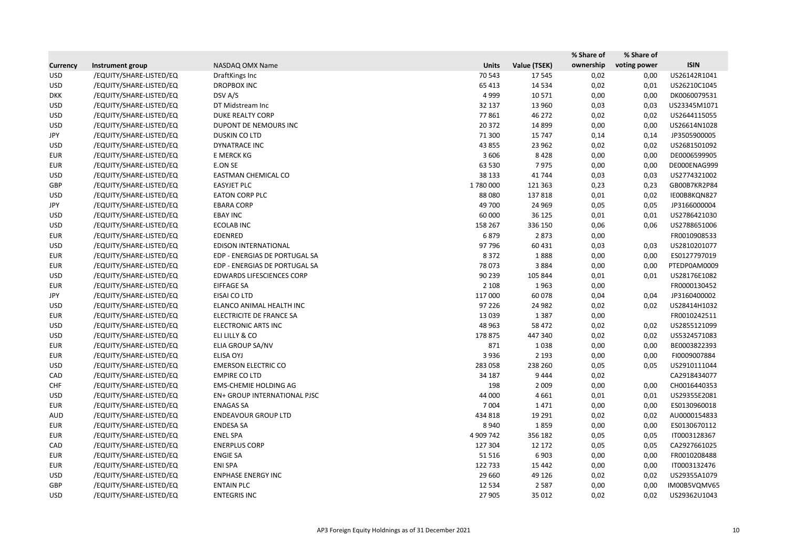|                 |                         |                                  |              |              | % Share of | % Share of   |              |
|-----------------|-------------------------|----------------------------------|--------------|--------------|------------|--------------|--------------|
| <b>Currency</b> | Instrument group        | NASDAQ OMX Name                  | <b>Units</b> | Value (TSEK) | ownership  | voting power | <b>ISIN</b>  |
| <b>USD</b>      | /EQUITY/SHARE-LISTED/EQ | DraftKings Inc                   | 70 543       | 17545        | 0,02       | 0,00         | US26142R1041 |
| <b>USD</b>      | /EQUITY/SHARE-LISTED/EQ | <b>DROPBOX INC</b>               | 65 413       | 14 5 34      | 0,02       | 0,01         | US26210C1045 |
| <b>DKK</b>      | /EQUITY/SHARE-LISTED/EQ | DSV A/S                          | 4 9 9 9      | 10 5 7 1     | 0,00       | 0,00         | DK0060079531 |
| <b>USD</b>      | /EQUITY/SHARE-LISTED/EQ | DT Midstream Inc                 | 32 137       | 13 960       | 0,03       | 0,03         | US23345M1071 |
| <b>USD</b>      | /EQUITY/SHARE-LISTED/EQ | <b>DUKE REALTY CORP</b>          | 77861        | 46 272       | 0,02       | 0,02         | US2644115055 |
| <b>USD</b>      | /EQUITY/SHARE-LISTED/EQ | DUPONT DE NEMOURS INC            | 20 372       | 14 8 99      | 0,00       | 0,00         | US26614N1028 |
| JPY             | /EQUITY/SHARE-LISTED/EQ | DUSKIN CO LTD                    | 71 300       | 15 747       | 0,14       | 0,14         | JP3505900005 |
| <b>USD</b>      | /EQUITY/SHARE-LISTED/EQ | <b>DYNATRACE INC</b>             | 43 855       | 23 962       | 0,02       | 0,02         | US2681501092 |
| <b>EUR</b>      | /EQUITY/SHARE-LISTED/EQ | E MERCK KG                       | 3 6 0 6      | 8428         | 0,00       | 0,00         | DE0006599905 |
| <b>EUR</b>      | /EQUITY/SHARE-LISTED/EQ | E.ON SE                          | 63 530       | 7975         | 0,00       | 0,00         | DE000ENAG999 |
| <b>USD</b>      | /EQUITY/SHARE-LISTED/EQ | EASTMAN CHEMICAL CO              | 38 133       | 41 744       | 0,03       | 0,03         | US2774321002 |
| GBP             | /EQUITY/SHARE-LISTED/EQ | <b>EASYJET PLC</b>               | 1780000      | 121 363      | 0,23       | 0,23         | GB00B7KR2P84 |
| <b>USD</b>      | /EQUITY/SHARE-LISTED/EQ | <b>EATON CORP PLC</b>            | 88 0 80      | 137818       | 0,01       | 0,02         | IE00B8KQN827 |
| JPY             | /EQUITY/SHARE-LISTED/EQ | <b>EBARA CORP</b>                | 49 700       | 24 9 69      | 0,05       | 0,05         | JP3166000004 |
| <b>USD</b>      | /EQUITY/SHARE-LISTED/EQ | <b>EBAY INC</b>                  | 60 000       | 36 125       | 0,01       | 0,01         | US2786421030 |
| <b>USD</b>      | /EQUITY/SHARE-LISTED/EQ | <b>ECOLAB INC</b>                | 158 267      | 336 150      | 0,06       | 0,06         | US2788651006 |
| <b>EUR</b>      | /EQUITY/SHARE-LISTED/EQ | EDENRED                          | 6879         | 2873         | 0,00       |              | FR0010908533 |
| <b>USD</b>      | /EQUITY/SHARE-LISTED/EQ | EDISON INTERNATIONAL             | 97 796       | 60 431       | 0,03       | 0,03         | US2810201077 |
| EUR             | /EQUITY/SHARE-LISTED/EQ | EDP - ENERGIAS DE PORTUGAL SA    | 8 3 7 2      | 1888         | 0,00       | 0,00         | ES0127797019 |
| <b>EUR</b>      | /EQUITY/SHARE-LISTED/EQ | EDP - ENERGIAS DE PORTUGAL SA    | 78 073       | 3884         | 0,00       | 0,00         | PTEDP0AM0009 |
| <b>USD</b>      | /EQUITY/SHARE-LISTED/EQ | <b>EDWARDS LIFESCIENCES CORP</b> | 90 239       | 105 844      | 0,01       | 0,01         | US28176E1082 |
| <b>EUR</b>      | /EQUITY/SHARE-LISTED/EQ | <b>EIFFAGE SA</b>                | 2 1 0 8      | 1963         | 0,00       |              | FR0000130452 |
| JPY             | /EQUITY/SHARE-LISTED/EQ | EISAI CO LTD                     | 117 000      | 60 078       | 0,04       | 0,04         | JP3160400002 |
| <b>USD</b>      | /EQUITY/SHARE-LISTED/EQ | ELANCO ANIMAL HEALTH INC         | 97 226       | 24 982       | 0,02       | 0,02         | US28414H1032 |
| <b>EUR</b>      | /EQUITY/SHARE-LISTED/EQ | ELECTRICITE DE FRANCE SA         | 13 0 39      | 1 3 8 7      | 0,00       |              | FR0010242511 |
| <b>USD</b>      | /EQUITY/SHARE-LISTED/EQ | <b>ELECTRONIC ARTS INC</b>       | 48 9 63      | 58 472       | 0,02       | 0,02         | US2855121099 |
| <b>USD</b>      | /EQUITY/SHARE-LISTED/EQ | ELI LILLY & CO                   | 178 875      | 447 340      | 0,02       | 0,02         | US5324571083 |
| <b>EUR</b>      | /EQUITY/SHARE-LISTED/EQ | ELIA GROUP SA/NV                 | 871          | 1038         | 0,00       | 0,00         | BE0003822393 |
| <b>EUR</b>      | /EQUITY/SHARE-LISTED/EQ | ELISA OYJ                        | 3 9 3 6      | 2 1 9 3      | 0,00       | 0,00         | FI0009007884 |
| <b>USD</b>      | /EQUITY/SHARE-LISTED/EQ | <b>EMERSON ELECTRIC CO</b>       | 283 058      | 238 260      | 0,05       | 0,05         | US2910111044 |
| CAD             | /EQUITY/SHARE-LISTED/EQ | <b>EMPIRE CO LTD</b>             | 34 187       | 9444         | 0,02       |              | CA2918434077 |
| <b>CHF</b>      | /EQUITY/SHARE-LISTED/EQ | <b>EMS-CHEMIE HOLDING AG</b>     | 198          | 2 0 0 9      | 0,00       | 0,00         | CH0016440353 |
| <b>USD</b>      | /EQUITY/SHARE-LISTED/EQ | EN+ GROUP INTERNATIONAL PJSC     | 44 000       | 4 6 6 1      | 0,01       | 0,01         | US29355E2081 |
| EUR             | /EQUITY/SHARE-LISTED/EQ | <b>ENAGAS SA</b>                 | 7 0 0 4      | 1471         | 0,00       | 0,00         | ES0130960018 |
| AUD             | /EQUITY/SHARE-LISTED/EQ | <b>ENDEAVOUR GROUP LTD</b>       | 434 818      | 19 291       | 0,02       | 0,02         | AU0000154833 |
| <b>EUR</b>      | /EQUITY/SHARE-LISTED/EQ | <b>ENDESA SA</b>                 | 8 9 4 0      | 1859         | 0,00       | 0,00         | ES0130670112 |
| <b>EUR</b>      | /EQUITY/SHARE-LISTED/EQ | <b>ENEL SPA</b>                  | 4 909 742    | 356 182      | 0,05       | 0,05         | IT0003128367 |
| CAD             | /EQUITY/SHARE-LISTED/EQ | <b>ENERPLUS CORP</b>             | 127 304      | 12 172       | 0,05       | 0,05         | CA2927661025 |
| <b>EUR</b>      | /EQUITY/SHARE-LISTED/EQ | <b>ENGIE SA</b>                  | 51 516       | 6 9 0 3      | 0,00       | 0,00         | FR0010208488 |
| <b>EUR</b>      | /EQUITY/SHARE-LISTED/EQ | <b>ENI SPA</b>                   | 122 733      | 15 4 42      | 0,00       | 0,00         | IT0003132476 |
| <b>USD</b>      | /EQUITY/SHARE-LISTED/EQ | <b>ENPHASE ENERGY INC</b>        | 29 6 60      | 49 1 26      | 0,02       | 0,02         | US29355A1079 |
| GBP             | /EQUITY/SHARE-LISTED/EQ | <b>ENTAIN PLC</b>                | 12 5 34      | 2 5 8 7      | 0,00       | 0,00         | IM00B5VQMV65 |
| <b>USD</b>      | /EQUITY/SHARE-LISTED/EQ | <b>ENTEGRIS INC</b>              | 27 905       | 35 012       | 0,02       | 0,02         | US29362U1043 |
|                 |                         |                                  |              |              |            |              |              |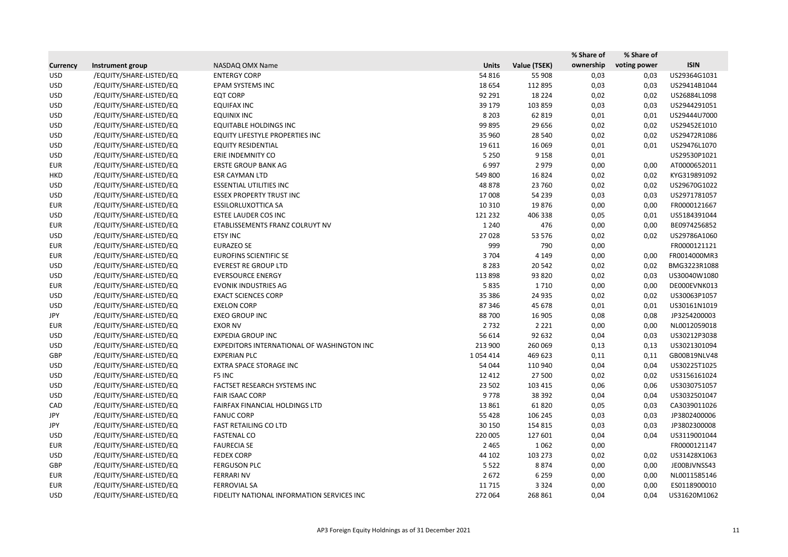|                 |                         |                                            |              |              | % Share of | % Share of   |              |
|-----------------|-------------------------|--------------------------------------------|--------------|--------------|------------|--------------|--------------|
| <b>Currency</b> | Instrument group        | NASDAQ OMX Name                            | <b>Units</b> | Value (TSEK) | ownership  | voting power | <b>ISIN</b>  |
| <b>USD</b>      | /EQUITY/SHARE-LISTED/EQ | <b>ENTERGY CORP</b>                        | 54 816       | 55 908       | 0,03       | 0,03         | US29364G1031 |
| <b>USD</b>      | /EQUITY/SHARE-LISTED/EQ | EPAM SYSTEMS INC                           | 18 6 54      | 112 895      | 0,03       | 0,03         | US29414B1044 |
| <b>USD</b>      | /EQUITY/SHARE-LISTED/EQ | <b>EQT CORP</b>                            | 92 291       | 18 2 24      | 0,02       | 0,02         | US26884L1098 |
| <b>USD</b>      | /EQUITY/SHARE-LISTED/EQ | <b>EQUIFAX INC</b>                         | 39 179       | 103 859      | 0,03       | 0,03         | US2944291051 |
| <b>USD</b>      | /EQUITY/SHARE-LISTED/EQ | <b>EQUINIX INC</b>                         | 8 2 0 3      | 62 819       | 0,01       | 0,01         | US29444U7000 |
| <b>USD</b>      | /EQUITY/SHARE-LISTED/EQ | <b>EQUITABLE HOLDINGS INC</b>              | 99 895       | 29 65 6      | 0,02       | 0,02         | US29452E1010 |
| <b>USD</b>      | /EQUITY/SHARE-LISTED/EQ | <b>EQUITY LIFESTYLE PROPERTIES INC</b>     | 35 960       | 28 540       | 0,02       | 0,02         | US29472R1086 |
| <b>USD</b>      | /EQUITY/SHARE-LISTED/EQ | <b>EQUITY RESIDENTIAL</b>                  | 19611        | 16 0 69      | 0,01       | 0,01         | US29476L1070 |
| <b>USD</b>      | /EQUITY/SHARE-LISTED/EQ | ERIE INDEMNITY CO                          | 5 2 5 0      | 9 1 5 8      | 0,01       |              | US29530P1021 |
| <b>EUR</b>      | /EQUITY/SHARE-LISTED/EQ | <b>ERSTE GROUP BANK AG</b>                 | 6997         | 2 9 7 9      | 0,00       | 0,00         | AT0000652011 |
| <b>HKD</b>      | /EQUITY/SHARE-LISTED/EQ | <b>ESR CAYMAN LTD</b>                      | 549 800      | 16824        | 0,02       | 0,02         | KYG319891092 |
| <b>USD</b>      | /EQUITY/SHARE-LISTED/EQ | <b>ESSENTIAL UTILITIES INC</b>             | 48 878       | 23 760       | 0,02       | 0,02         | US29670G1022 |
| <b>USD</b>      | /EQUITY/SHARE-LISTED/EQ | <b>ESSEX PROPERTY TRUST INC</b>            | 17 008       | 54 239       | 0,03       | 0,03         | US2971781057 |
| <b>EUR</b>      | /EQUITY/SHARE-LISTED/EQ | <b>ESSILORLUXOTTICA SA</b>                 | 10 3 10      | 19876        | 0,00       | 0,00         | FR0000121667 |
| <b>USD</b>      | /EQUITY/SHARE-LISTED/EQ | <b>ESTEE LAUDER COS INC</b>                | 121 232      | 406 338      | 0,05       | 0,01         | US5184391044 |
| <b>EUR</b>      | /EQUITY/SHARE-LISTED/EQ | ETABLISSEMENTS FRANZ COLRUYT NV            | 1 2 4 0      | 476          | 0,00       | 0,00         | BE0974256852 |
| <b>USD</b>      | /EQUITY/SHARE-LISTED/EQ | <b>ETSY INC</b>                            | 27 0 28      | 53 576       | 0,02       | 0,02         | US29786A1060 |
| <b>EUR</b>      | /EQUITY/SHARE-LISTED/EQ | <b>EURAZEO SE</b>                          | 999          | 790          | 0,00       |              | FR0000121121 |
| <b>EUR</b>      | /EQUITY/SHARE-LISTED/EQ | <b>EUROFINS SCIENTIFIC SE</b>              | 3 7 0 4      | 4 1 4 9      | 0,00       | 0,00         | FR0014000MR3 |
| <b>USD</b>      | /EQUITY/SHARE-LISTED/EQ | <b>EVEREST RE GROUP LTD</b>                | 8 2 8 3      | 20 542       | 0,02       | 0,02         | BMG3223R1088 |
| <b>USD</b>      | /EQUITY/SHARE-LISTED/EQ | <b>EVERSOURCE ENERGY</b>                   | 113 898      | 93 820       | 0,02       | 0,03         | US30040W1080 |
| <b>EUR</b>      | /EQUITY/SHARE-LISTED/EQ | <b>EVONIK INDUSTRIES AG</b>                | 5835         | 1710         | 0,00       | 0,00         | DE000EVNK013 |
| <b>USD</b>      | /EQUITY/SHARE-LISTED/EQ | <b>EXACT SCIENCES CORP</b>                 | 35 386       | 24 9 35      | 0,02       | 0,02         | US30063P1057 |
| <b>USD</b>      | /EQUITY/SHARE-LISTED/EQ | <b>EXELON CORP</b>                         | 87 346       | 45 678       | 0,01       | 0,01         | US30161N1019 |
| JPY             | /EQUITY/SHARE-LISTED/EQ | <b>EXEO GROUP INC</b>                      | 88 700       | 16 905       | 0,08       | 0,08         | JP3254200003 |
| <b>EUR</b>      | /EQUITY/SHARE-LISTED/EQ | <b>EXOR NV</b>                             | 2732         | 2 2 2 1      | 0,00       | 0,00         | NL0012059018 |
| <b>USD</b>      | /EQUITY/SHARE-LISTED/EQ | <b>EXPEDIA GROUP INC</b>                   | 56 614       | 92 632       | 0,04       | 0,03         | US30212P3038 |
| <b>USD</b>      | /EQUITY/SHARE-LISTED/EQ | EXPEDITORS INTERNATIONAL OF WASHINGTON INC | 213 900      | 260 069      | 0,13       | 0,13         | US3021301094 |
| <b>GBP</b>      | /EQUITY/SHARE-LISTED/EQ | <b>EXPERIAN PLC</b>                        | 1054414      | 469 623      | 0,11       | 0,11         | GB00B19NLV48 |
| <b>USD</b>      | /EQUITY/SHARE-LISTED/EQ | EXTRA SPACE STORAGE INC                    | 54 044       | 110 940      | 0,04       | 0,04         | US30225T1025 |
| <b>USD</b>      | /EQUITY/SHARE-LISTED/EQ | F5 INC                                     | 12 4 12      | 27 500       | 0,02       | 0,02         | US3156161024 |
| <b>USD</b>      | /EQUITY/SHARE-LISTED/EQ | FACTSET RESEARCH SYSTEMS INC               | 23 502       | 103 415      | 0,06       | 0,06         | US3030751057 |
| <b>USD</b>      | /EQUITY/SHARE-LISTED/EQ | <b>FAIR ISAAC CORP</b>                     | 9778         | 38 392       | 0,04       | 0,04         | US3032501047 |
| CAD             | /EQUITY/SHARE-LISTED/EQ | FAIRFAX FINANCIAL HOLDINGS LTD             | 13 8 61      | 61820        | 0,05       | 0,03         | CA3039011026 |
| JPY             | /EQUITY/SHARE-LISTED/EQ | <b>FANUC CORP</b>                          | 55 4 28      | 106 245      | 0,03       | 0,03         | JP3802400006 |
| JPY             | /EQUITY/SHARE-LISTED/EQ | <b>FAST RETAILING CO LTD</b>               | 30 150       | 154 815      | 0,03       | 0,03         | JP3802300008 |
| <b>USD</b>      | /EQUITY/SHARE-LISTED/EQ | <b>FASTENAL CO</b>                         | 220 005      | 127 601      | 0,04       | 0,04         | US3119001044 |
| <b>EUR</b>      | /EQUITY/SHARE-LISTED/EQ | <b>FAURECIA SE</b>                         | 2 4 6 5      | 1062         | 0,00       |              | FR0000121147 |
| <b>USD</b>      | /EQUITY/SHARE-LISTED/EQ | <b>FEDEX CORP</b>                          | 44 102       | 103 273      | 0,02       | 0,02         | US31428X1063 |
| GBP             | /EQUITY/SHARE-LISTED/EQ | <b>FERGUSON PLC</b>                        | 5 5 2 2      | 8874         | 0,00       | 0,00         | JE00BJVNSS43 |
| <b>EUR</b>      | /EQUITY/SHARE-LISTED/EQ | <b>FERRARI NV</b>                          | 2672         | 6 2 5 9      | 0,00       | 0,00         | NL0011585146 |
| EUR             | /EQUITY/SHARE-LISTED/EQ | <b>FERROVIAL SA</b>                        | 11 7 15      | 3 3 2 4      | 0,00       | 0,00         | ES0118900010 |
| <b>USD</b>      | /EQUITY/SHARE-LISTED/EQ | FIDELITY NATIONAL INFORMATION SERVICES INC | 272 064      | 268 861      | 0,04       | 0,04         | US31620M1062 |
|                 |                         |                                            |              |              |            |              |              |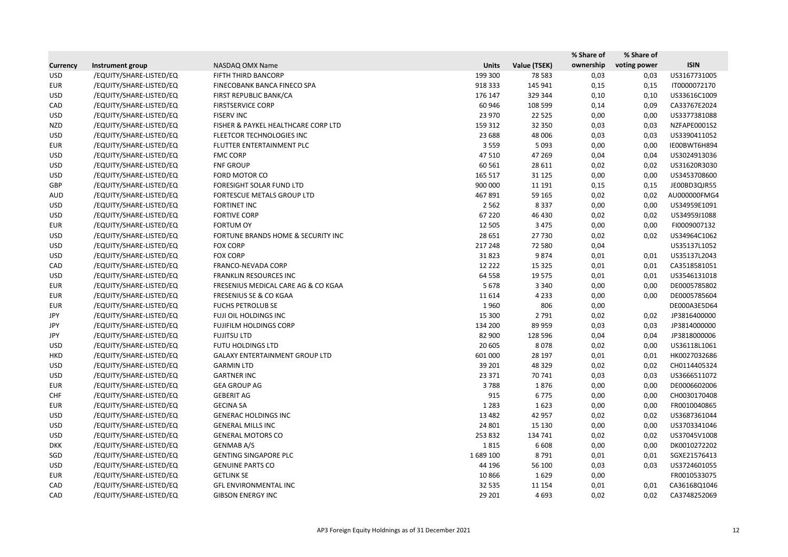|                 |                         |                                       |              |              | % Share of | % Share of   |              |
|-----------------|-------------------------|---------------------------------------|--------------|--------------|------------|--------------|--------------|
| <b>Currency</b> | Instrument group        | NASDAQ OMX Name                       | <b>Units</b> | Value (TSEK) | ownership  | voting power | <b>ISIN</b>  |
| <b>USD</b>      | /EQUITY/SHARE-LISTED/EQ | FIFTH THIRD BANCORP                   | 199 300      | 78 5 83      | 0,03       | 0,03         | US3167731005 |
| <b>EUR</b>      | /EQUITY/SHARE-LISTED/EQ | FINECOBANK BANCA FINECO SPA           | 918 333      | 145 941      | 0,15       | 0,15         | IT0000072170 |
| <b>USD</b>      | /EQUITY/SHARE-LISTED/EQ | FIRST REPUBLIC BANK/CA                | 176 147      | 329 344      | 0,10       | 0,10         | US33616C1009 |
| CAD             | /EQUITY/SHARE-LISTED/EQ | <b>FIRSTSERVICE CORP</b>              | 60 946       | 108 599      | 0,14       | 0,09         | CA33767E2024 |
| <b>USD</b>      | /EQUITY/SHARE-LISTED/EQ | <b>FISERV INC</b>                     | 23 970       | 22 5 25      | 0,00       | 0,00         | US3377381088 |
| <b>NZD</b>      | /EQUITY/SHARE-LISTED/EQ | FISHER & PAYKEL HEALTHCARE CORP LTD   | 159 312      | 32 350       | 0,03       | 0,03         | NZFAPE0001S2 |
| <b>USD</b>      | /EQUITY/SHARE-LISTED/EQ | FLEETCOR TECHNOLOGIES INC             | 23 688       | 48 006       | 0,03       | 0,03         | US3390411052 |
| <b>EUR</b>      | /EQUITY/SHARE-LISTED/EQ | FLUTTER ENTERTAINMENT PLC             | 3 5 5 9      | 5 0 9 3      | 0,00       | 0,00         | IE00BWT6H894 |
| <b>USD</b>      | /EQUITY/SHARE-LISTED/EQ | <b>FMC CORP</b>                       | 47 510       | 47 269       | 0,04       | 0,04         | US3024913036 |
| <b>USD</b>      | /EQUITY/SHARE-LISTED/EQ | <b>FNF GROUP</b>                      | 60 5 61      | 28 611       | 0,02       | 0,02         | US31620R3030 |
| <b>USD</b>      | /EQUITY/SHARE-LISTED/EQ | FORD MOTOR CO                         | 165 517      | 31 1 25      | 0,00       | 0,00         | US3453708600 |
| GBP             | /EQUITY/SHARE-LISTED/EQ | FORESIGHT SOLAR FUND LTD              | 900 000      | 11 191       | 0,15       | 0,15         | JE00BD3QJR55 |
| <b>AUD</b>      | /EQUITY/SHARE-LISTED/EQ | FORTESCUE METALS GROUP LTD            | 467891       | 59 165       | 0,02       | 0,02         | AU000000FMG4 |
| <b>USD</b>      | /EQUITY/SHARE-LISTED/EQ | <b>FORTINET INC</b>                   | 2 5 6 2      | 8 3 3 7      | 0,00       | 0,00         | US34959E1091 |
| <b>USD</b>      | /EQUITY/SHARE-LISTED/EQ | <b>FORTIVE CORP</b>                   | 67 2 20      | 46 430       | 0,02       | 0,02         | US34959J1088 |
| <b>EUR</b>      | /EQUITY/SHARE-LISTED/EQ | <b>FORTUM OY</b>                      | 12 5 05      | 3 4 7 5      | 0,00       | 0,00         | FI0009007132 |
| <b>USD</b>      | /EQUITY/SHARE-LISTED/EQ | FORTUNE BRANDS HOME & SECURITY INC    | 28 651       | 27 730       | 0,02       | 0,02         | US34964C1062 |
| <b>USD</b>      | /EQUITY/SHARE-LISTED/EQ | <b>FOX CORP</b>                       | 217 248      | 72 580       | 0,04       |              | US35137L1052 |
| <b>USD</b>      | /EQUITY/SHARE-LISTED/EQ | <b>FOX CORP</b>                       | 31823        | 9874         | 0,01       | 0,01         | US35137L2043 |
| CAD             | /EQUITY/SHARE-LISTED/EQ | FRANCO-NEVADA CORP                    | 12 2 2 2     | 15 3 25      | 0,01       | 0,01         | CA3518581051 |
| <b>USD</b>      | /EQUITY/SHARE-LISTED/EQ | <b>FRANKLIN RESOURCES INC</b>         | 64 5 58      | 19 5 7 5     | 0,01       | 0,01         | US3546131018 |
| <b>EUR</b>      | /EQUITY/SHARE-LISTED/EQ | FRESENIUS MEDICAL CARE AG & CO KGAA   | 5678         | 3 3 4 0      | 0,00       | 0,00         | DE0005785802 |
| <b>EUR</b>      | /EQUITY/SHARE-LISTED/EQ | FRESENIUS SE & CO KGAA                | 11 6 14      | 4 2 3 3      | 0,00       | 0,00         | DE0005785604 |
| <b>EUR</b>      | /EQUITY/SHARE-LISTED/EQ | <b>FUCHS PETROLUB SE</b>              | 1960         | 806          | 0,00       |              | DE000A3E5D64 |
| <b>JPY</b>      | /EQUITY/SHARE-LISTED/EQ | FUJI OIL HOLDINGS INC                 | 15 300       | 2 7 9 1      | 0,02       | 0,02         | JP3816400000 |
| JPY             | /EQUITY/SHARE-LISTED/EQ | <b>FUJIFILM HOLDINGS CORP</b>         | 134 200      | 89 959       | 0,03       | 0,03         | JP3814000000 |
| JPY             | /EQUITY/SHARE-LISTED/EQ | <b>FUJITSU LTD</b>                    | 82 900       | 128 596      | 0,04       | 0,04         | JP3818000006 |
| <b>USD</b>      | /EQUITY/SHARE-LISTED/EQ | FUTU HOLDINGS LTD                     | 20 605       | 8078         | 0,02       | 0,00         | US36118L1061 |
| <b>HKD</b>      | /EQUITY/SHARE-LISTED/EQ | <b>GALAXY ENTERTAINMENT GROUP LTD</b> | 601 000      | 28 197       | 0,01       | 0,01         | HK0027032686 |
| <b>USD</b>      | /EQUITY/SHARE-LISTED/EQ | <b>GARMIN LTD</b>                     | 39 201       | 48 329       | 0,02       | 0,02         | CH0114405324 |
| <b>USD</b>      | /EQUITY/SHARE-LISTED/EQ | <b>GARTNER INC</b>                    | 23 371       | 70 741       | 0,03       | 0,03         | US3666511072 |
| EUR             | /EQUITY/SHARE-LISTED/EQ | <b>GEA GROUP AG</b>                   | 3788         | 1876         | 0,00       | 0,00         | DE0006602006 |
| <b>CHF</b>      | /EQUITY/SHARE-LISTED/EQ | <b>GEBERIT AG</b>                     | 915          | 6775         | 0,00       | 0,00         | CH0030170408 |
| <b>EUR</b>      | /EQUITY/SHARE-LISTED/EQ | <b>GECINA SA</b>                      | 1 2 8 3      | 1623         | 0,00       | 0,00         | FR0010040865 |
| <b>USD</b>      | /EQUITY/SHARE-LISTED/EQ | <b>GENERAC HOLDINGS INC</b>           | 13 4 82      | 42 957       | 0,02       | 0,02         | US3687361044 |
| <b>USD</b>      | /EQUITY/SHARE-LISTED/EQ | <b>GENERAL MILLS INC</b>              | 24 801       | 15 130       | 0,00       | 0,00         | US3703341046 |
| <b>USD</b>      | /EQUITY/SHARE-LISTED/EQ | <b>GENERAL MOTORS CO</b>              | 253 832      | 134 741      | 0,02       | 0,02         | US37045V1008 |
| <b>DKK</b>      | /EQUITY/SHARE-LISTED/EQ | <b>GENMAB A/S</b>                     | 1815         | 6 6 0 8      | 0,00       | 0,00         | DK0010272202 |
| SGD             | /EQUITY/SHARE-LISTED/EQ | <b>GENTING SINGAPORE PLC</b>          | 1689 100     | 8791         | 0,01       | 0,01         | SGXE21576413 |
| <b>USD</b>      | /EQUITY/SHARE-LISTED/EQ | <b>GENUINE PARTS CO</b>               | 44 196       | 56 100       | 0,03       | 0,03         | US3724601055 |
| <b>EUR</b>      | /EQUITY/SHARE-LISTED/EQ | <b>GETLINK SE</b>                     | 10866        | 1629         | 0,00       |              | FR0010533075 |
| CAD             | /EQUITY/SHARE-LISTED/EQ | <b>GFL ENVIRONMENTAL INC</b>          | 32 5 35      | 11 154       | 0,01       | 0,01         | CA36168Q1046 |
| CAD             | /EQUITY/SHARE-LISTED/EQ | <b>GIBSON ENERGY INC</b>              | 29 201       | 4 6 9 3      | 0,02       | 0,02         | CA3748252069 |
|                 |                         |                                       |              |              |            |              |              |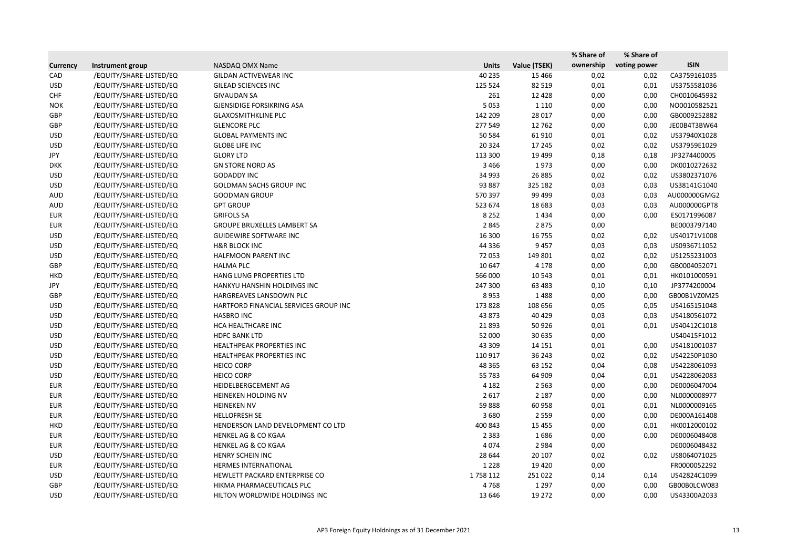|                 |                         |                                       |              |              | % Share of | % Share of   |              |
|-----------------|-------------------------|---------------------------------------|--------------|--------------|------------|--------------|--------------|
| <b>Currency</b> | Instrument group        | NASDAQ OMX Name                       | <b>Units</b> | Value (TSEK) | ownership  | voting power | <b>ISIN</b>  |
| CAD             | /EQUITY/SHARE-LISTED/EQ | <b>GILDAN ACTIVEWEAR INC</b>          | 40 235       | 15 4 66      | 0,02       | 0,02         | CA3759161035 |
| <b>USD</b>      | /EQUITY/SHARE-LISTED/EQ | <b>GILEAD SCIENCES INC</b>            | 125 524      | 82 519       | 0,01       | 0,01         | US3755581036 |
| <b>CHF</b>      | /EQUITY/SHARE-LISTED/EQ | <b>GIVAUDAN SA</b>                    | 261          | 12 4 28      | 0,00       | 0,00         | CH0010645932 |
| <b>NOK</b>      | /EQUITY/SHARE-LISTED/EQ | <b>GJENSIDIGE FORSIKRING ASA</b>      | 5 0 5 3      | 1 1 1 0      | 0,00       | 0,00         | NO0010582521 |
| GBP             | /EQUITY/SHARE-LISTED/EQ | <b>GLAXOSMITHKLINE PLC</b>            | 142 209      | 28 017       | 0,00       | 0,00         | GB0009252882 |
| GBP             | /EQUITY/SHARE-LISTED/EQ | <b>GLENCORE PLC</b>                   | 277 549      | 12762        | 0,00       | 0,00         | JE00B4T3BW64 |
| <b>USD</b>      | /EQUITY/SHARE-LISTED/EQ | <b>GLOBAL PAYMENTS INC</b>            | 50 584       | 61 910       | 0,01       | 0,02         | US37940X1028 |
| <b>USD</b>      | /EQUITY/SHARE-LISTED/EQ | <b>GLOBE LIFE INC</b>                 | 20 3 24      | 17 245       | 0,02       | 0,02         | US37959E1029 |
| JPY             | /EQUITY/SHARE-LISTED/EQ | <b>GLORY LTD</b>                      | 113 300      | 19 4 99      | 0,18       | 0,18         | JP3274400005 |
| <b>DKK</b>      | /EQUITY/SHARE-LISTED/EQ | <b>GN STORE NORD AS</b>               | 3 4 6 6      | 1973         | 0,00       | 0,00         | DK0010272632 |
| <b>USD</b>      | /EQUITY/SHARE-LISTED/EQ | <b>GODADDY INC</b>                    | 34 993       | 26 8 85      | 0,02       | 0,02         | US3802371076 |
| <b>USD</b>      | /EQUITY/SHARE-LISTED/EQ | GOLDMAN SACHS GROUP INC               | 93 887       | 325 182      | 0,03       | 0,03         | US38141G1040 |
| AUD             | /EQUITY/SHARE-LISTED/EQ | <b>GOODMAN GROUP</b>                  | 570 397      | 99 499       | 0,03       | 0,03         | AU000000GMG2 |
| <b>AUD</b>      | /EQUITY/SHARE-LISTED/EQ | <b>GPT GROUP</b>                      | 523 674      | 18 683       | 0,03       | 0,03         | AU000000GPT8 |
| <b>EUR</b>      | /EQUITY/SHARE-LISTED/EQ | <b>GRIFOLS SA</b>                     | 8 2 5 2      | 1434         | 0,00       | 0,00         | ES0171996087 |
| <b>EUR</b>      | /EQUITY/SHARE-LISTED/EQ | <b>GROUPE BRUXELLES LAMBERT SA</b>    | 2845         | 2875         | 0,00       |              | BE0003797140 |
| <b>USD</b>      | /EQUITY/SHARE-LISTED/EQ | <b>GUIDEWIRE SOFTWARE INC</b>         | 16 300       | 16 755       | 0,02       | 0,02         | US40171V1008 |
| <b>USD</b>      | /EQUITY/SHARE-LISTED/EQ | <b>H&amp;R BLOCK INC</b>              | 44 3 36      | 9 4 5 7      | 0,03       | 0,03         | US0936711052 |
| <b>USD</b>      | /EQUITY/SHARE-LISTED/EQ | HALFMOON PARENT INC                   | 72 053       | 149 801      | 0,02       | 0,02         | US1255231003 |
| GBP             | /EQUITY/SHARE-LISTED/EQ | <b>HALMA PLC</b>                      | 10 647       | 4 1 7 8      | 0,00       | 0,00         | GB0004052071 |
| <b>HKD</b>      | /EQUITY/SHARE-LISTED/EQ | HANG LUNG PROPERTIES LTD              | 566 000      | 10 543       | 0,01       | 0,01         | HK0101000591 |
| JPY             | /EQUITY/SHARE-LISTED/EQ | HANKYU HANSHIN HOLDINGS INC           | 247 300      | 63 4 83      | 0,10       | 0,10         | JP3774200004 |
| GBP             | /EQUITY/SHARE-LISTED/EQ | HARGREAVES LANSDOWN PLC               | 8953         | 1488         | 0,00       | 0,00         | GB00B1VZ0M25 |
| <b>USD</b>      | /EQUITY/SHARE-LISTED/EQ | HARTFORD FINANCIAL SERVICES GROUP INC | 173 828      | 108 656      | 0,05       | 0,05         | US4165151048 |
| <b>USD</b>      | /EQUITY/SHARE-LISTED/EQ | <b>HASBRO INC</b>                     | 43 873       | 40 4 29      | 0,03       | 0,03         | US4180561072 |
| <b>USD</b>      | /EQUITY/SHARE-LISTED/EQ | HCA HEALTHCARE INC                    | 21 8 93      | 50 9 26      | 0,01       | 0,01         | US40412C1018 |
| <b>USD</b>      | /EQUITY/SHARE-LISTED/EQ | <b>HDFC BANK LTD</b>                  | 52 000       | 30 635       | 0,00       |              | US40415F1012 |
| <b>USD</b>      | /EQUITY/SHARE-LISTED/EQ | HEALTHPEAK PROPERTIES INC             | 43 309       | 14 15 1      | 0,01       | 0,00         | US4181001037 |
| <b>USD</b>      | /EQUITY/SHARE-LISTED/EQ | HEALTHPEAK PROPERTIES INC             | 110 917      | 36 243       | 0,02       | 0,02         | US42250P1030 |
| <b>USD</b>      | /EQUITY/SHARE-LISTED/EQ | <b>HEICO CORP</b>                     | 48 3 65      | 63 152       | 0,04       | 0,08         | US4228061093 |
| <b>USD</b>      | /EQUITY/SHARE-LISTED/EQ | <b>HEICO CORP</b>                     | 55 783       | 64 909       | 0,04       | 0,01         | US4228062083 |
| <b>EUR</b>      | /EQUITY/SHARE-LISTED/EQ | HEIDELBERGCEMENT AG                   | 4 1 8 2      | 2 5 6 3      | 0,00       | 0,00         | DE0006047004 |
| <b>EUR</b>      | /EQUITY/SHARE-LISTED/EQ | HEINEKEN HOLDING NV                   | 2 6 1 7      | 2 1 8 7      | 0,00       | 0,00         | NL0000008977 |
| <b>EUR</b>      | /EQUITY/SHARE-LISTED/EQ | <b>HEINEKEN NV</b>                    | 59888        | 60 958       | 0,01       | 0,01         | NL0000009165 |
| <b>EUR</b>      | /EQUITY/SHARE-LISTED/EQ | <b>HELLOFRESH SE</b>                  | 3680         | 2 5 5 9      | 0,00       | 0,00         | DE000A161408 |
| <b>HKD</b>      | /EQUITY/SHARE-LISTED/EQ | HENDERSON LAND DEVELOPMENT CO LTD     | 400 843      | 15 4 55      | 0,00       | 0,01         | HK0012000102 |
| <b>EUR</b>      | /EQUITY/SHARE-LISTED/EQ | <b>HENKEL AG &amp; CO KGAA</b>        | 2 3 8 3      | 1686         | 0,00       | 0,00         | DE0006048408 |
| <b>EUR</b>      | /EQUITY/SHARE-LISTED/EQ | <b>HENKEL AG &amp; CO KGAA</b>        | 4074         | 2 9 8 4      | 0,00       |              | DE0006048432 |
| <b>USD</b>      | /EQUITY/SHARE-LISTED/EQ | HENRY SCHEIN INC                      | 28 644       | 20 10 7      | 0,02       | 0,02         | US8064071025 |
| EUR             | /EQUITY/SHARE-LISTED/EQ | <b>HERMES INTERNATIONAL</b>           | 1 2 2 8      | 19 4 20      | 0,00       |              | FR0000052292 |
| <b>USD</b>      | /EQUITY/SHARE-LISTED/EQ | HEWLETT PACKARD ENTERPRISE CO         | 1758112      | 251 022      | 0,14       | 0,14         | US42824C1099 |
| GBP             | /EQUITY/SHARE-LISTED/EQ | HIKMA PHARMACEUTICALS PLC             | 4768         | 1 2 9 7      | 0,00       | 0,00         | GB00B0LCW083 |
| USD             | /EQUITY/SHARE-LISTED/EQ | HILTON WORLDWIDE HOLDINGS INC         | 13 646       | 19 27 2      | 0,00       | 0,00         | US43300A2033 |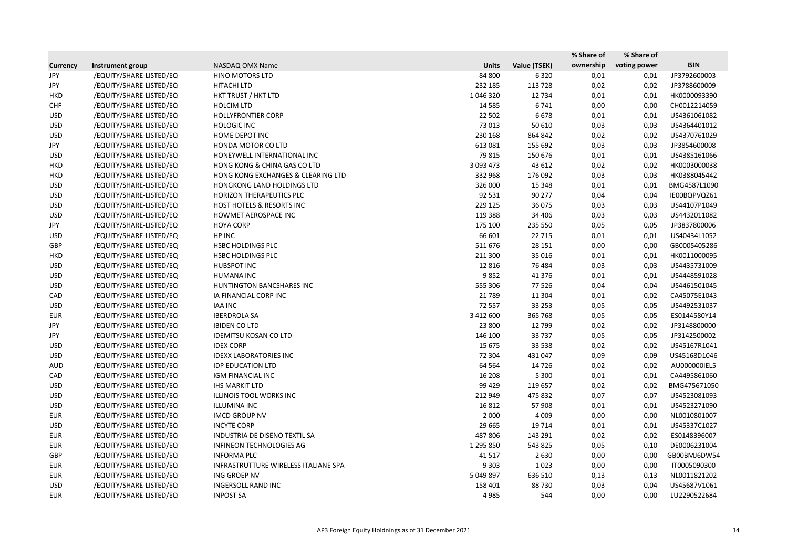|                 |                         |                                      |              |              | % Share of | % Share of   |              |
|-----------------|-------------------------|--------------------------------------|--------------|--------------|------------|--------------|--------------|
| <b>Currency</b> | Instrument group        | NASDAQ OMX Name                      | <b>Units</b> | Value (TSEK) | ownership  | voting power | <b>ISIN</b>  |
| <b>JPY</b>      | /EQUITY/SHARE-LISTED/EQ | <b>HINO MOTORS LTD</b>               | 84 800       | 6320         | 0,01       | 0,01         | JP3792600003 |
| JPY             | /EQUITY/SHARE-LISTED/EQ | HITACHI LTD                          | 232 185      | 113 728      | 0,02       | 0,02         | JP3788600009 |
| <b>HKD</b>      | /EQUITY/SHARE-LISTED/EQ | HKT TRUST / HKT LTD                  | 1046320      | 12 7 34      | 0,01       | 0,01         | HK0000093390 |
| <b>CHF</b>      | /EQUITY/SHARE-LISTED/EQ | <b>HOLCIM LTD</b>                    | 14 5 8 5     | 6741         | 0,00       | 0,00         | CH0012214059 |
| <b>USD</b>      | /EQUITY/SHARE-LISTED/EQ | <b>HOLLYFRONTIER CORP</b>            | 22 502       | 6678         | 0,01       | 0,01         | US4361061082 |
| <b>USD</b>      | /EQUITY/SHARE-LISTED/EQ | <b>HOLOGIC INC</b>                   | 73 013       | 50 610       | 0,03       | 0,03         | US4364401012 |
| <b>USD</b>      | /EQUITY/SHARE-LISTED/EQ | HOME DEPOT INC                       | 230 168      | 864 842      | 0,02       | 0,02         | US4370761029 |
| JPY             | /EQUITY/SHARE-LISTED/EQ | HONDA MOTOR CO LTD                   | 613 081      | 155 692      | 0,03       | 0,03         | JP3854600008 |
| <b>USD</b>      | /EQUITY/SHARE-LISTED/EQ | HONEYWELL INTERNATIONAL INC          | 79 815       | 150 676      | 0,01       | 0,01         | US4385161066 |
| <b>HKD</b>      | /EQUITY/SHARE-LISTED/EQ | HONG KONG & CHINA GAS CO LTD         | 3 093 473    | 43 612       | 0,02       | 0,02         | HK0003000038 |
| <b>HKD</b>      | /EQUITY/SHARE-LISTED/EQ | HONG KONG EXCHANGES & CLEARING LTD   | 332 968      | 176 092      | 0,03       | 0,03         | HK0388045442 |
| <b>USD</b>      | /EQUITY/SHARE-LISTED/EQ | HONGKONG LAND HOLDINGS LTD           | 326 000      | 15 3 48      | 0,01       | 0,01         | BMG4587L1090 |
| <b>USD</b>      | /EQUITY/SHARE-LISTED/EQ | <b>HORIZON THERAPEUTICS PLC</b>      | 92 531       | 90 277       | 0,04       | 0,04         | IE00BQPVQZ61 |
| <b>USD</b>      | /EQUITY/SHARE-LISTED/EQ | HOST HOTELS & RESORTS INC            | 229 125      | 36 075       | 0,03       | 0,03         | US44107P1049 |
| <b>USD</b>      | /EQUITY/SHARE-LISTED/EQ | HOWMET AEROSPACE INC                 | 119 388      | 34 40 6      | 0,03       | 0,03         | US4432011082 |
| JPY             | /EQUITY/SHARE-LISTED/EQ | <b>HOYA CORP</b>                     | 175 100      | 235 550      | 0,05       | 0,05         | JP3837800006 |
| <b>USD</b>      | /EQUITY/SHARE-LISTED/EQ | HP INC                               | 66 601       | 22 7 15      | 0,01       | 0,01         | US40434L1052 |
| GBP             | /EQUITY/SHARE-LISTED/EQ | <b>HSBC HOLDINGS PLC</b>             | 511 676      | 28 15 1      | 0,00       | 0,00         | GB0005405286 |
| <b>HKD</b>      | /EQUITY/SHARE-LISTED/EQ | HSBC HOLDINGS PLC                    | 211 300      | 35 016       | 0,01       | 0,01         | HK0011000095 |
| <b>USD</b>      | /EQUITY/SHARE-LISTED/EQ | <b>HUBSPOT INC</b>                   | 12 8 16      | 76 484       | 0,03       | 0,03         | US4435731009 |
| <b>USD</b>      | /EQUITY/SHARE-LISTED/EQ | <b>HUMANA INC</b>                    | 9852         | 41 376       | 0,01       | 0,01         | US4448591028 |
| <b>USD</b>      | /EQUITY/SHARE-LISTED/EQ | HUNTINGTON BANCSHARES INC            | 555 306      | 77 526       | 0,04       | 0,04         | US4461501045 |
| CAD             | /EQUITY/SHARE-LISTED/EQ | IA FINANCIAL CORP INC                | 21 7 89      | 11 304       | 0,01       | 0,02         | CA45075E1043 |
| <b>USD</b>      | /EQUITY/SHARE-LISTED/EQ | IAA INC                              | 72 557       | 33 253       | 0,05       | 0,05         | US4492531037 |
| <b>EUR</b>      | /EQUITY/SHARE-LISTED/EQ | <b>IBERDROLA SA</b>                  | 3 412 600    | 365 768      | 0,05       | 0,05         | ES0144580Y14 |
| JPY             | /EQUITY/SHARE-LISTED/EQ | <b>IBIDEN CO LTD</b>                 | 23 800       | 12 799       | 0,02       | 0,02         | JP3148800000 |
| JPY             | /EQUITY/SHARE-LISTED/EQ | <b>IDEMITSU KOSAN CO LTD</b>         | 146 100      | 33 737       | 0,05       | 0,05         | JP3142500002 |
| <b>USD</b>      | /EQUITY/SHARE-LISTED/EQ | <b>IDEX CORP</b>                     | 15 675       | 33 5 38      | 0,02       | 0,02         | US45167R1041 |
| <b>USD</b>      | /EQUITY/SHARE-LISTED/EQ | <b>IDEXX LABORATORIES INC</b>        | 72 304       | 431 047      | 0,09       | 0,09         | US45168D1046 |
| <b>AUD</b>      | /EQUITY/SHARE-LISTED/EQ | <b>IDP EDUCATION LTD</b>             | 64 5 64      | 14 7 26      | 0,02       | 0,02         | AU000000IEL5 |
| CAD             | /EQUITY/SHARE-LISTED/EQ | IGM FINANCIAL INC                    | 16 208       | 5 3 0 0      | 0,01       | 0,01         | CA4495861060 |
| <b>USD</b>      | /EQUITY/SHARE-LISTED/EQ | <b>IHS MARKIT LTD</b>                | 99 4 29      | 119 657      | 0,02       | 0,02         | BMG475671050 |
| <b>USD</b>      | /EQUITY/SHARE-LISTED/EQ | ILLINOIS TOOL WORKS INC              | 212 949      | 475 832      | 0,07       | 0,07         | US4523081093 |
| <b>USD</b>      | /EQUITY/SHARE-LISTED/EQ | <b>ILLUMINA INC</b>                  | 16812        | 57 908       | 0,01       | 0,01         | US4523271090 |
| <b>EUR</b>      | /EQUITY/SHARE-LISTED/EQ | <b>IMCD GROUP NV</b>                 | 2 0 0 0      | 4 0 0 9      | 0,00       | 0,00         | NL0010801007 |
| <b>USD</b>      | /EQUITY/SHARE-LISTED/EQ | <b>INCYTE CORP</b>                   | 29 6 65      | 19 714       | 0,01       | 0,01         | US45337C1027 |
| <b>EUR</b>      | /EQUITY/SHARE-LISTED/EQ | INDUSTRIA DE DISENO TEXTIL SA        | 487 806      | 143 291      | 0,02       | 0,02         | ES0148396007 |
| <b>EUR</b>      | /EQUITY/SHARE-LISTED/EQ | <b>INFINEON TECHNOLOGIES AG</b>      | 1 295 850    | 543 825      | 0,05       | 0,10         | DE0006231004 |
| GBP             | /EQUITY/SHARE-LISTED/EQ | <b>INFORMA PLC</b>                   | 41 517       | 2 6 3 0      | 0,00       | 0,00         | GB00BMJ6DW54 |
| <b>EUR</b>      | /EQUITY/SHARE-LISTED/EQ | INFRASTRUTTURE WIRELESS ITALIANE SPA | 9 3 0 3      | 1023         | 0,00       | 0,00         | IT0005090300 |
| EUR             | /EQUITY/SHARE-LISTED/EQ | ING GROEP NV                         | 5 049 897    | 636 510      | 0,13       | 0,13         | NL0011821202 |
| <b>USD</b>      | /EQUITY/SHARE-LISTED/EQ | INGERSOLL RAND INC                   | 158 401      | 88730        | 0,03       | 0,04         | US45687V1061 |
| <b>EUR</b>      | /EQUITY/SHARE-LISTED/EQ | <b>INPOST SA</b>                     | 4985         | 544          | 0,00       | 0,00         | LU2290522684 |
|                 |                         |                                      |              |              |            |              |              |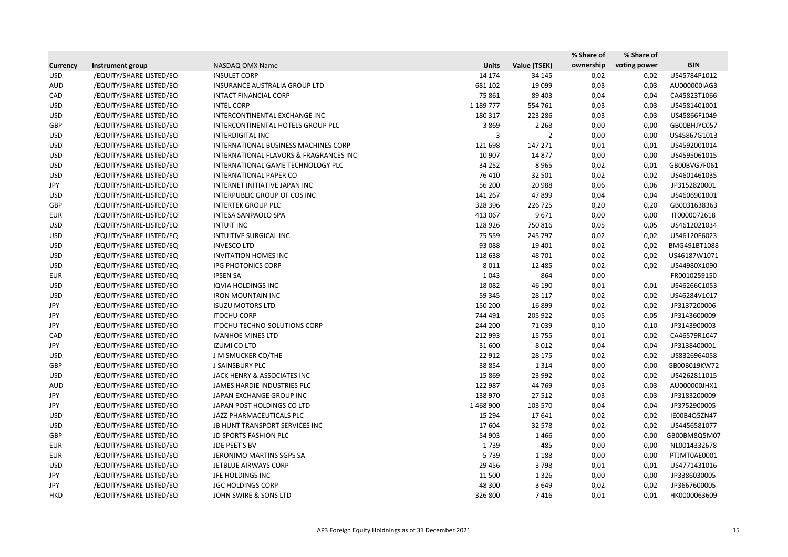|                 |                         |                                        |              |                | % Share of | % Share of   |              |
|-----------------|-------------------------|----------------------------------------|--------------|----------------|------------|--------------|--------------|
| <b>Currency</b> | Instrument group        | NASDAQ OMX Name                        | <b>Units</b> | Value (TSEK)   | ownership  | voting power | <b>ISIN</b>  |
| <b>USD</b>      | /EQUITY/SHARE-LISTED/EQ | <b>INSULET CORP</b>                    | 14 174       | 34 145         | 0,02       | 0,02         | US45784P1012 |
| <b>AUD</b>      | /EQUITY/SHARE-LISTED/EQ | <b>INSURANCE AUSTRALIA GROUP LTD</b>   | 681 102      | 19 099         | 0,03       | 0,03         | AU000000IAG3 |
| CAD             | /EQUITY/SHARE-LISTED/EQ | INTACT FINANCIAL CORP                  | 75 861       | 89 403         | 0,04       | 0,04         | CA45823T1066 |
| <b>USD</b>      | /EQUITY/SHARE-LISTED/EQ | <b>INTEL CORP</b>                      | 1 189 777    | 554 761        | 0,03       | 0,03         | US4581401001 |
| <b>USD</b>      | /EQUITY/SHARE-LISTED/EQ | INTERCONTINENTAL EXCHANGE INC          | 180 317      | 223 286        | 0,03       | 0,03         | US45866F1049 |
| GBP             | /EQUITY/SHARE-LISTED/EQ | INTERCONTINENTAL HOTELS GROUP PLC      | 3869         | 2 2 6 8        | 0,00       | 0,00         | GB00BHJYC057 |
| <b>USD</b>      | /EQUITY/SHARE-LISTED/EQ | <b>INTERDIGITAL INC</b>                | 3            | $\overline{2}$ | 0,00       | 0,00         | US45867G1013 |
| <b>USD</b>      | /EQUITY/SHARE-LISTED/EQ | INTERNATIONAL BUSINESS MACHINES CORP   | 121 698      | 147 271        | 0,01       | 0,01         | US4592001014 |
| <b>USD</b>      | /EQUITY/SHARE-LISTED/EQ | INTERNATIONAL FLAVORS & FRAGRANCES INC | 10 907       | 14 877         | 0,00       | 0,00         | US4595061015 |
| <b>USD</b>      | /EQUITY/SHARE-LISTED/EQ | INTERNATIONAL GAME TECHNOLOGY PLC      | 34 25 2      | 8965           | 0,02       | 0,01         | GB00BVG7F061 |
| <b>USD</b>      | /EQUITY/SHARE-LISTED/EQ | INTERNATIONAL PAPER CO                 | 76 410       | 32 501         | 0,02       | 0,02         | US4601461035 |
| JPY             | /EQUITY/SHARE-LISTED/EQ | INTERNET INITIATIVE JAPAN INC          | 56 200       | 20 988         | 0,06       | 0,06         | JP3152820001 |
| <b>USD</b>      | /EQUITY/SHARE-LISTED/EQ | INTERPUBLIC GROUP OF COS INC           | 141 267      | 47899          | 0,04       | 0,04         | US4606901001 |
| GBP             | /EQUITY/SHARE-LISTED/EQ | <b>INTERTEK GROUP PLC</b>              | 328 396      | 226 725        | 0,20       | 0,20         | GB0031638363 |
| EUR             | /EQUITY/SHARE-LISTED/EQ | <b>INTESA SANPAOLO SPA</b>             | 413 067      | 9671           | 0,00       | 0,00         | IT0000072618 |
| <b>USD</b>      | /EQUITY/SHARE-LISTED/EQ | <b>INTUIT INC</b>                      | 128 926      | 750 816        | 0,05       | 0,05         | US4612021034 |
| <b>USD</b>      | /EQUITY/SHARE-LISTED/EQ | INTUITIVE SURGICAL INC                 | 75 559       | 245 797        | 0,02       | 0,02         | US46120E6023 |
| <b>USD</b>      | /EQUITY/SHARE-LISTED/EQ | <b>INVESCO LTD</b>                     | 93 088       | 19 401         | 0,02       | 0,02         | BMG491BT1088 |
| <b>USD</b>      | /EQUITY/SHARE-LISTED/EQ | <b>INVITATION HOMES INC</b>            | 118 638      | 48 701         | 0,02       | 0,02         | US46187W1071 |
| <b>USD</b>      | /EQUITY/SHARE-LISTED/EQ | IPG PHOTONICS CORP                     | 8 0 1 1      | 12 4 8 5       | 0,02       | 0,02         | US44980X1090 |
| <b>EUR</b>      | /EQUITY/SHARE-LISTED/EQ | <b>IPSEN SA</b>                        | 1 0 4 3      | 864            | 0,00       |              | FR0010259150 |
| <b>USD</b>      | /EQUITY/SHARE-LISTED/EQ | <b>IQVIA HOLDINGS INC</b>              | 18 0 82      | 46 190         | 0,01       | 0,01         | US46266C1053 |
| <b>USD</b>      | /EQUITY/SHARE-LISTED/EQ | <b>IRON MOUNTAIN INC</b>               | 59 345       | 28 117         | 0,02       | 0,02         | US46284V1017 |
| JPY             | /EQUITY/SHARE-LISTED/EQ | <b>ISUZU MOTORS LTD</b>                | 150 200      | 16 899         | 0,02       | 0,02         | JP3137200006 |
| JPY             | /EQUITY/SHARE-LISTED/EQ | <b>ITOCHU CORP</b>                     | 744 491      | 205 922        | 0,05       | 0,05         | JP3143600009 |
| JPY             | /EQUITY/SHARE-LISTED/EQ | <b>ITOCHU TECHNO-SOLUTIONS CORP</b>    | 244 200      | 71 0 39        | 0,10       | 0,10         | JP3143900003 |
| CAD             | /EQUITY/SHARE-LISTED/EQ | <b>IVANHOE MINES LTD</b>               | 212 993      | 15 7 55        | 0,01       | 0,02         | CA46579R1047 |
| JPY             | /EQUITY/SHARE-LISTED/EQ | <b>IZUMI CO LTD</b>                    | 31 600       | 8012           | 0,04       | 0,04         | JP3138400001 |
| <b>USD</b>      | /EQUITY/SHARE-LISTED/EQ | J M SMUCKER CO/THE                     | 22 912       | 28 175         | 0,02       | 0,02         | US8326964058 |
| GBP             | /EQUITY/SHARE-LISTED/EQ | J SAINSBURY PLC                        | 38 854       | 1 3 1 4        | 0,00       | 0,00         | GB00B019KW72 |
| <b>USD</b>      | /EQUITY/SHARE-LISTED/EQ | JACK HENRY & ASSOCIATES INC            | 15 8 69      | 23 992         | 0,02       | 0,02         | US4262811015 |
| AUD             | /EQUITY/SHARE-LISTED/EQ | JAMES HARDIE INDUSTRIES PLC            | 122 987      | 44 769         | 0,03       | 0,03         | AU000000JHX1 |
| JPY             | /EQUITY/SHARE-LISTED/EQ | JAPAN EXCHANGE GROUP INC               | 138 970      | 27 512         | 0,03       | 0,03         | JP3183200009 |
| JPY             | /EQUITY/SHARE-LISTED/EQ | JAPAN POST HOLDINGS CO LTD             | 1468900      | 103 570        | 0,04       | 0,04         | JP3752900005 |
| <b>USD</b>      | /EQUITY/SHARE-LISTED/EQ | JAZZ PHARMACEUTICALS PLC               | 15 2 94      | 17641          | 0,02       | 0,02         | IE00B4Q5ZN47 |
| <b>USD</b>      | /EQUITY/SHARE-LISTED/EQ | JB HUNT TRANSPORT SERVICES INC         | 17 604       | 32 578         | 0,02       | 0,02         | US4456581077 |
| GBP             | /EQUITY/SHARE-LISTED/EQ | <b>JD SPORTS FASHION PLC</b>           | 54 903       | 1466           | 0,00       | 0,00         | GB00BM8Q5M07 |
| <b>EUR</b>      | /EQUITY/SHARE-LISTED/EQ | JDE PEET'S BV                          | 1739         | 485            | 0,00       | 0,00         | NL0014332678 |
| <b>EUR</b>      | /EQUITY/SHARE-LISTED/EQ | JERONIMO MARTINS SGPS SA               | 5739         | 1 1 8 8        | 0,00       | 0,00         | PTJMT0AE0001 |
| <b>USD</b>      | /EQUITY/SHARE-LISTED/EQ | JETBLUE AIRWAYS CORP                   | 29 4 5 6     | 3798           | 0,01       | 0,01         | US4771431016 |
| JPY             | /EQUITY/SHARE-LISTED/EQ | JFE HOLDINGS INC                       | 11 500       | 1 3 2 6        | 0,00       | 0,00         | JP3386030005 |
| JPY             | /EQUITY/SHARE-LISTED/EQ | <b>JGC HOLDINGS CORP</b>               | 48 300       | 3649           | 0,02       | 0,02         | JP3667600005 |
| HKD             | /EQUITY/SHARE-LISTED/EQ | JOHN SWIRE & SONS LTD                  | 326 800      | 7416           | 0,01       | 0,01         | HK0000063609 |
|                 |                         |                                        |              |                |            |              |              |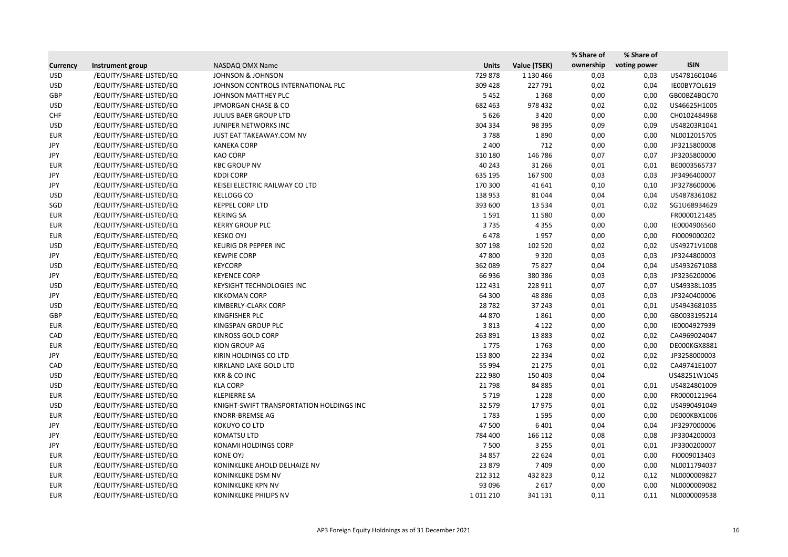|                 |                         |                                          |              |              | % Share of | % Share of   |              |
|-----------------|-------------------------|------------------------------------------|--------------|--------------|------------|--------------|--------------|
| <b>Currency</b> | Instrument group        | NASDAQ OMX Name                          | <b>Units</b> | Value (TSEK) | ownership  | voting power | <b>ISIN</b>  |
| <b>USD</b>      | /EQUITY/SHARE-LISTED/EQ | <b>JOHNSON &amp; JOHNSON</b>             | 729 878      | 1 130 466    | 0,03       | 0,03         | US4781601046 |
| <b>USD</b>      | /EQUITY/SHARE-LISTED/EQ | JOHNSON CONTROLS INTERNATIONAL PLC       | 309 428      | 227 791      | 0,02       | 0,04         | IE00BY7QL619 |
| GBP             | /EQUITY/SHARE-LISTED/EQ | JOHNSON MATTHEY PLC                      | 5452         | 1 3 6 8      | 0,00       | 0,00         | GB00BZ4BQC70 |
| <b>USD</b>      | /EQUITY/SHARE-LISTED/EQ | <b>JPMORGAN CHASE &amp; CO</b>           | 682 463      | 978 432      | 0,02       | 0,02         | US46625H1005 |
| <b>CHF</b>      | /EQUITY/SHARE-LISTED/EQ | JULIUS BAER GROUP LTD                    | 5 6 2 6      | 3 4 2 0      | 0,00       | 0,00         | CH0102484968 |
| <b>USD</b>      | /EQUITY/SHARE-LISTED/EQ | JUNIPER NETWORKS INC                     | 304 334      | 98 395       | 0,09       | 0,09         | US48203R1041 |
| <b>EUR</b>      | /EQUITY/SHARE-LISTED/EQ | JUST EAT TAKEAWAY.COM NV                 | 3788         | 1890         | 0,00       | 0,00         | NL0012015705 |
| JPY             | /EQUITY/SHARE-LISTED/EQ | <b>KANEKA CORP</b>                       | 2 4 0 0      | 712          | 0,00       | 0,00         | JP3215800008 |
| JPY             | /EQUITY/SHARE-LISTED/EQ | <b>KAO CORP</b>                          | 310 180      | 146 786      | 0,07       | 0,07         | JP3205800000 |
| <b>EUR</b>      | /EQUITY/SHARE-LISTED/EQ | <b>KBC GROUP NV</b>                      | 40 24 3      | 31 266       | 0,01       | 0,01         | BE0003565737 |
| JPY             | /EQUITY/SHARE-LISTED/EQ | <b>KDDI CORP</b>                         | 635 195      | 167 900      | 0,03       | 0,03         | JP3496400007 |
| JPY             | /EQUITY/SHARE-LISTED/EQ | KEISEI ELECTRIC RAILWAY CO LTD           | 170 300      | 41 641       | 0,10       | 0,10         | JP3278600006 |
| <b>USD</b>      | /EQUITY/SHARE-LISTED/EQ | <b>KELLOGG CO</b>                        | 138 953      | 81 044       | 0,04       | 0,04         | US4878361082 |
| SGD             | /EQUITY/SHARE-LISTED/EQ | <b>KEPPEL CORP LTD</b>                   | 393 600      | 13 5 34      | 0,01       | 0,02         | SG1U68934629 |
| <b>EUR</b>      | /EQUITY/SHARE-LISTED/EQ | <b>KERING SA</b>                         | 1591         | 11 5 8 0     | 0,00       |              | FR0000121485 |
| <b>EUR</b>      | /EQUITY/SHARE-LISTED/EQ | <b>KERRY GROUP PLC</b>                   | 3735         | 4 3 5 5      | 0,00       | 0,00         | IE0004906560 |
| <b>EUR</b>      | /EQUITY/SHARE-LISTED/EQ | <b>KESKO OYJ</b>                         | 6478         | 1957         | 0,00       | 0,00         | FI0009000202 |
| <b>USD</b>      | /EQUITY/SHARE-LISTED/EQ | KEURIG DR PEPPER INC                     | 307 198      | 102 520      | 0,02       | 0,02         | US49271V1008 |
| JPY             | /EQUITY/SHARE-LISTED/EQ | <b>KEWPIE CORP</b>                       | 47800        | 9 3 2 0      | 0,03       | 0,03         | JP3244800003 |
| <b>USD</b>      | /EQUITY/SHARE-LISTED/EQ | <b>KEYCORP</b>                           | 362 089      | 75 827       | 0,04       | 0,04         | US4932671088 |
| JPY             | /EQUITY/SHARE-LISTED/EQ | <b>KEYENCE CORP</b>                      | 66 936       | 380 386      | 0,03       | 0,03         | JP3236200006 |
| <b>USD</b>      | /EQUITY/SHARE-LISTED/EQ | <b>KEYSIGHT TECHNOLOGIES INC</b>         | 122 431      | 228 911      | 0,07       | 0,07         | US49338L1035 |
| JPY             | /EQUITY/SHARE-LISTED/EQ | <b>KIKKOMAN CORP</b>                     | 64 300       | 48 8 86      | 0,03       | 0,03         | JP3240400006 |
| <b>USD</b>      | /EQUITY/SHARE-LISTED/EQ | KIMBERLY-CLARK CORP                      | 28 7 82      | 37 243       | 0,01       | 0,01         | US4943681035 |
| GBP             | /EQUITY/SHARE-LISTED/EQ | KINGFISHER PLC                           | 44 870       | 1861         | 0,00       | 0,00         | GB0033195214 |
| <b>EUR</b>      | /EQUITY/SHARE-LISTED/EQ | KINGSPAN GROUP PLC                       | 3813         | 4 1 2 2      | 0,00       | 0,00         | IE0004927939 |
| CAD             | /EQUITY/SHARE-LISTED/EQ | KINROSS GOLD CORP                        | 263 891      | 13 8 83      | 0,02       | 0,02         | CA4969024047 |
| <b>EUR</b>      | /EQUITY/SHARE-LISTED/EQ | KION GROUP AG                            | 1775         | 1763         | 0,00       | 0,00         | DE000KGX8881 |
| JPY             | /EQUITY/SHARE-LISTED/EQ | KIRIN HOLDINGS CO LTD                    | 153 800      | 22 3 34      | 0,02       | 0,02         | JP3258000003 |
| CAD             | /EQUITY/SHARE-LISTED/EQ | KIRKLAND LAKE GOLD LTD                   | 55 994       | 21 275       | 0,01       | 0,02         | CA49741E1007 |
| <b>USD</b>      | /EQUITY/SHARE-LISTED/EQ | <b>KKR &amp; CO INC</b>                  | 222 980      | 150 403      | 0,04       |              | US48251W1045 |
| <b>USD</b>      | /EQUITY/SHARE-LISTED/EQ | <b>KLA CORP</b>                          | 21798        | 84 885       | 0,01       | 0,01         | US4824801009 |
| <b>EUR</b>      | /EQUITY/SHARE-LISTED/EQ | <b>KLEPIERRE SA</b>                      | 5 7 1 9      | 1 2 2 8      | 0,00       | 0,00         | FR0000121964 |
| <b>USD</b>      | /EQUITY/SHARE-LISTED/EQ | KNIGHT-SWIFT TRANSPORTATION HOLDINGS INC | 32 579       | 17975        | 0,01       | 0,02         | US4990491049 |
| <b>EUR</b>      | /EQUITY/SHARE-LISTED/EQ | <b>KNORR-BREMSE AG</b>                   | 1783         | 1595         | 0,00       | 0,00         | DE000KBX1006 |
| JPY             | /EQUITY/SHARE-LISTED/EQ | KOKUYO CO LTD                            | 47 500       | 6 4 0 1      | 0,04       | 0,04         | JP3297000006 |
| JPY             | /EQUITY/SHARE-LISTED/EQ | <b>KOMATSU LTD</b>                       | 784 400      | 166 112      | 0,08       | 0,08         | JP3304200003 |
| JPY             | /EQUITY/SHARE-LISTED/EQ | KONAMI HOLDINGS CORP                     | 7 500        | 3 2 5 5      | 0,01       | 0,01         | JP3300200007 |
| <b>EUR</b>      | /EQUITY/SHARE-LISTED/EQ | <b>KONE OYJ</b>                          | 34 857       | 22 6 24      | 0,01       | 0,00         | FI0009013403 |
| <b>EUR</b>      | /EQUITY/SHARE-LISTED/EQ | KONINKLIJKE AHOLD DELHAIZE NV            | 23 879       | 7409         | 0,00       | 0,00         | NL0011794037 |
| <b>EUR</b>      | /EQUITY/SHARE-LISTED/EQ | KONINKLIJKE DSM NV                       | 212 312      | 432 823      | 0,12       | 0,12         | NL0000009827 |
| <b>EUR</b>      | /EQUITY/SHARE-LISTED/EQ | KONINKLIJKE KPN NV                       | 93 096       | 2617         | 0,00       | 0,00         | NL0000009082 |
| <b>EUR</b>      | /EQUITY/SHARE-LISTED/EQ | KONINKLIJKE PHILIPS NV                   | 1011210      | 341 131      | 0,11       | 0,11         | NL0000009538 |
|                 |                         |                                          |              |              |            |              |              |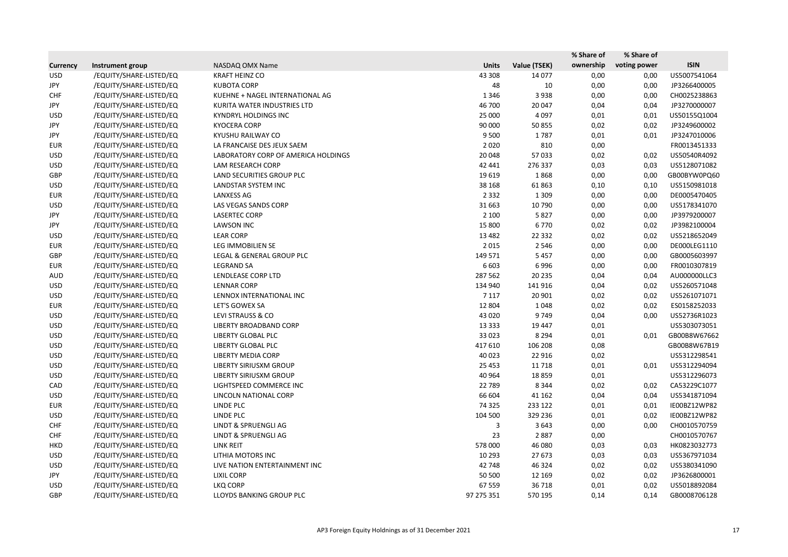|                 |                         |                                     |              |              | % Share of | % Share of   |              |
|-----------------|-------------------------|-------------------------------------|--------------|--------------|------------|--------------|--------------|
| <b>Currency</b> | Instrument group        | NASDAQ OMX Name                     | <b>Units</b> | Value (TSEK) | ownership  | voting power | <b>ISIN</b>  |
| <b>USD</b>      | /EQUITY/SHARE-LISTED/EQ | <b>KRAFT HEINZ CO</b>               | 43 308       | 14 077       | 0,00       | 0,00         | US5007541064 |
| JPY             | /EQUITY/SHARE-LISTED/EQ | <b>KUBOTA CORP</b>                  | 48           | 10           | 0,00       | 0,00         | JP3266400005 |
| <b>CHF</b>      | /EQUITY/SHARE-LISTED/EQ | KUEHNE + NAGEL INTERNATIONAL AG     | 1 3 4 6      | 3 9 3 8      | 0,00       | 0,00         | CH0025238863 |
| JPY             | /EQUITY/SHARE-LISTED/EQ | KURITA WATER INDUSTRIES LTD         | 46 700       | 20 047       | 0,04       | 0,04         | JP3270000007 |
| <b>USD</b>      | /EQUITY/SHARE-LISTED/EQ | <b>KYNDRYL HOLDINGS INC</b>         | 25 000       | 4 0 9 7      | 0,01       | 0,01         | US50155Q1004 |
| JPY             | /EQUITY/SHARE-LISTED/EQ | <b>KYOCERA CORP</b>                 | 90 000       | 50 855       | 0,02       | 0,02         | JP3249600002 |
| JPY             | /EQUITY/SHARE-LISTED/EQ | KYUSHU RAILWAY CO                   | 9 5 0 0      | 1787         | 0,01       | 0,01         | JP3247010006 |
| <b>EUR</b>      | /EQUITY/SHARE-LISTED/EQ | LA FRANCAISE DES JEUX SAEM          | 2020         | 810          | 0,00       |              | FR0013451333 |
| <b>USD</b>      | /EQUITY/SHARE-LISTED/EQ | LABORATORY CORP OF AMERICA HOLDINGS | 20 048       | 57 033       | 0,02       | 0,02         | US50540R4092 |
| <b>USD</b>      | /EQUITY/SHARE-LISTED/EQ | LAM RESEARCH CORP                   | 42 441       | 276 337      | 0,03       | 0,03         | US5128071082 |
| GBP             | /EQUITY/SHARE-LISTED/EQ | LAND SECURITIES GROUP PLC           | 19 6 19      | 1868         | 0,00       | 0,00         | GB00BYW0PQ60 |
| <b>USD</b>      | /EQUITY/SHARE-LISTED/EQ | LANDSTAR SYSTEM INC                 | 38 168       | 61 863       | 0,10       | 0,10         | US5150981018 |
| <b>EUR</b>      | /EQUITY/SHARE-LISTED/EQ | <b>LANXESS AG</b>                   | 2 3 3 2      | 1 3 0 9      | 0,00       | 0,00         | DE0005470405 |
| <b>USD</b>      | /EQUITY/SHARE-LISTED/EQ | LAS VEGAS SANDS CORP                | 31 663       | 10 790       | 0,00       | 0,00         | US5178341070 |
| JPY             | /EQUITY/SHARE-LISTED/EQ | <b>LASERTEC CORP</b>                | 2 100        | 5827         | 0,00       | 0,00         | JP3979200007 |
| JPY             | /EQUITY/SHARE-LISTED/EQ | <b>LAWSON INC</b>                   | 15 800       | 6770         | 0,02       | 0,02         | JP3982100004 |
| <b>USD</b>      | /EQUITY/SHARE-LISTED/EQ | <b>LEAR CORP</b>                    | 13 4 82      | 22 3 32      | 0,02       | 0,02         | US5218652049 |
| <b>EUR</b>      | /EQUITY/SHARE-LISTED/EQ | LEG IMMOBILIEN SE                   | 2015         | 2 5 4 6      | 0,00       | 0,00         | DE000LEG1110 |
| GBP             | /EQUITY/SHARE-LISTED/EQ | LEGAL & GENERAL GROUP PLC           | 149 571      | 5 4 5 7      | 0,00       | 0,00         | GB0005603997 |
| <b>EUR</b>      | /EQUITY/SHARE-LISTED/EQ | <b>LEGRAND SA</b>                   | 6 6 0 3      | 6996         | 0,00       | 0,00         | FR0010307819 |
| <b>AUD</b>      | /EQUITY/SHARE-LISTED/EQ | LENDLEASE CORP LTD                  | 287 562      | 20 235       | 0,04       | 0,04         | AU000000LLC3 |
| <b>USD</b>      | /EQUITY/SHARE-LISTED/EQ | <b>LENNAR CORP</b>                  | 134 940      | 141 916      | 0,04       | 0,02         | US5260571048 |
| <b>USD</b>      | /EQUITY/SHARE-LISTED/EQ | LENNOX INTERNATIONAL INC            | 7 1 1 7      | 20 901       | 0,02       | 0,02         | US5261071071 |
| <b>EUR</b>      | /EQUITY/SHARE-LISTED/EQ | LET'S GOWEX SA                      | 12 804       | 1048         | 0,02       | 0,02         | ES0158252033 |
| <b>USD</b>      | /EQUITY/SHARE-LISTED/EQ | LEVI STRAUSS & CO                   | 43 0 20      | 9749         | 0,04       | 0,00         | US52736R1023 |
| <b>USD</b>      | /EQUITY/SHARE-LISTED/EQ | LIBERTY BROADBAND CORP              | 13 3 3 3     | 19 447       | 0,01       |              | US5303073051 |
| <b>USD</b>      | /EQUITY/SHARE-LISTED/EQ | LIBERTY GLOBAL PLC                  | 33 0 23      | 8 2 9 4      | 0,01       | 0,01         | GB00B8W67662 |
| <b>USD</b>      | /EQUITY/SHARE-LISTED/EQ | <b>LIBERTY GLOBAL PLC</b>           | 417 610      | 106 208      | 0,08       |              | GB00B8W67B19 |
| <b>USD</b>      | /EQUITY/SHARE-LISTED/EQ | <b>LIBERTY MEDIA CORP</b>           | 40 023       | 22 9 16      | 0,02       |              | US5312298541 |
| <b>USD</b>      | /EQUITY/SHARE-LISTED/EQ | LIBERTY SIRIUSXM GROUP              | 25 4 53      | 11 718       | 0,01       | 0,01         | US5312294094 |
| <b>USD</b>      | /EQUITY/SHARE-LISTED/EQ | LIBERTY SIRIUSXM GROUP              | 40 964       | 18859        | 0,01       |              | US5312296073 |
| CAD             | /EQUITY/SHARE-LISTED/EQ | LIGHTSPEED COMMERCE INC             | 22 789       | 8 3 4 4      | 0,02       | 0,02         | CA53229C1077 |
| <b>USD</b>      | /EQUITY/SHARE-LISTED/EQ | LINCOLN NATIONAL CORP               | 66 604       | 41 162       | 0,04       | 0,04         | US5341871094 |
| <b>EUR</b>      | /EQUITY/SHARE-LISTED/EQ | LINDE PLC                           | 74 3 25      | 233 122      | 0,01       | 0,01         | IE00BZ12WP82 |
| <b>USD</b>      | /EQUITY/SHARE-LISTED/EQ | <b>LINDE PLC</b>                    | 104 500      | 329 236      | 0,01       | 0,02         | IE00BZ12WP82 |
| <b>CHF</b>      | /EQUITY/SHARE-LISTED/EQ | <b>LINDT &amp; SPRUENGLI AG</b>     | 3            | 3 6 4 3      | 0,00       | 0,00         | CH0010570759 |
| <b>CHF</b>      | /EQUITY/SHARE-LISTED/EQ | LINDT & SPRUENGLI AG                | 23           | 2887         | 0,00       |              | CH0010570767 |
| HKD             | /EQUITY/SHARE-LISTED/EQ | LINK REIT                           | 578 000      | 46 080       | 0,03       | 0,03         | HK0823032773 |
| <b>USD</b>      | /EQUITY/SHARE-LISTED/EQ | LITHIA MOTORS INC                   | 10 293       | 27 673       | 0,03       | 0,03         | US5367971034 |
| <b>USD</b>      | /EQUITY/SHARE-LISTED/EQ | LIVE NATION ENTERTAINMENT INC       | 42 748       | 46 3 24      | 0,02       | 0,02         | US5380341090 |
| JPY             | /EQUITY/SHARE-LISTED/EQ | <b>LIXIL CORP</b>                   | 50 500       | 12 169       | 0,02       | 0,02         | JP3626800001 |
| <b>USD</b>      | /EQUITY/SHARE-LISTED/EQ | <b>LKQ CORP</b>                     | 67 559       | 36 718       | 0,01       | 0,02         | US5018892084 |
| GBP             | /EQUITY/SHARE-LISTED/EQ | LLOYDS BANKING GROUP PLC            | 97 275 351   | 570 195      | 0,14       | 0,14         | GB0008706128 |
|                 |                         |                                     |              |              |            |              |              |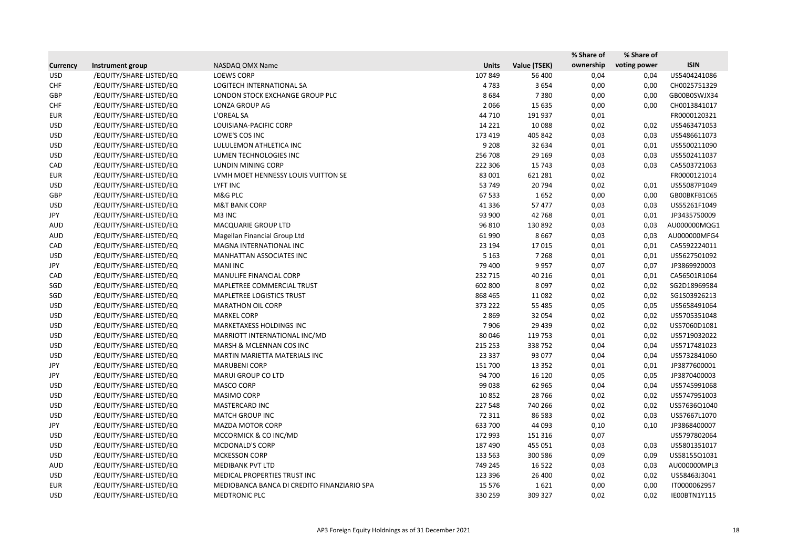|                 |                         |                                             |              |              | % Share of | % Share of   |              |
|-----------------|-------------------------|---------------------------------------------|--------------|--------------|------------|--------------|--------------|
| <b>Currency</b> | Instrument group        | NASDAQ OMX Name                             | <b>Units</b> | Value (TSEK) | ownership  | voting power | <b>ISIN</b>  |
| <b>USD</b>      | /EQUITY/SHARE-LISTED/EQ | <b>LOEWS CORP</b>                           | 107 849      | 56 400       | 0,04       | 0,04         | US5404241086 |
| <b>CHF</b>      | /EQUITY/SHARE-LISTED/EQ | LOGITECH INTERNATIONAL SA                   | 4783         | 3654         | 0,00       | 0,00         | CH0025751329 |
| GBP             | /EQUITY/SHARE-LISTED/EQ | LONDON STOCK EXCHANGE GROUP PLC             | 8684         | 7380         | 0,00       | 0,00         | GB00B0SWJX34 |
| <b>CHF</b>      | /EQUITY/SHARE-LISTED/EQ | LONZA GROUP AG                              | 2066         | 15 6 35      | 0,00       | 0,00         | CH0013841017 |
| <b>EUR</b>      | /EQUITY/SHARE-LISTED/EQ | L'OREAL SA                                  | 44 710       | 191 937      | 0,01       |              | FR0000120321 |
| <b>USD</b>      | /EQUITY/SHARE-LISTED/EQ | LOUISIANA-PACIFIC CORP                      | 14 2 2 1     | 10 0 88      | 0,02       | 0,02         | US5463471053 |
| <b>USD</b>      | /EQUITY/SHARE-LISTED/EQ | LOWE'S COS INC                              | 173 419      | 405 842      | 0,03       | 0,03         | US5486611073 |
| <b>USD</b>      | /EQUITY/SHARE-LISTED/EQ | LULULEMON ATHLETICA INC                     | 9 2 0 8      | 32 634       | 0,01       | 0,01         | US5500211090 |
| <b>USD</b>      | /EQUITY/SHARE-LISTED/EQ | LUMEN TECHNOLOGIES INC                      | 256 708      | 29 169       | 0,03       | 0,03         | US5502411037 |
| CAD             | /EQUITY/SHARE-LISTED/EQ | <b>LUNDIN MINING CORP</b>                   | 222 306      | 15 743       | 0,03       | 0,03         | CA5503721063 |
| <b>EUR</b>      | /EQUITY/SHARE-LISTED/EQ | LVMH MOET HENNESSY LOUIS VUITTON SE         | 83 001       | 621 281      | 0,02       |              | FR0000121014 |
| <b>USD</b>      | /EQUITY/SHARE-LISTED/EQ | <b>LYFT INC</b>                             | 53 749       | 20 794       | 0,02       | 0,01         | US55087P1049 |
| GBP             | /EQUITY/SHARE-LISTED/EQ | M&G PLC                                     | 67 533       | 1652         | 0,00       | 0,00         | GB00BKFB1C65 |
| <b>USD</b>      | /EQUITY/SHARE-LISTED/EQ | <b>M&amp;T BANK CORP</b>                    | 41 3 3 6     | 57 477       | 0,03       | 0,03         | US55261F1049 |
| JPY             | /EQUITY/SHARE-LISTED/EQ | M3 INC                                      | 93 900       | 42 768       | 0,01       | 0,01         | JP3435750009 |
| <b>AUD</b>      | /EQUITY/SHARE-LISTED/EQ | MACQUARIE GROUP LTD                         | 96 810       | 130 892      | 0,03       | 0,03         | AU000000MQG1 |
| AUD             | /EQUITY/SHARE-LISTED/EQ | Magellan Financial Group Ltd                | 61 990       | 8667         | 0,03       | 0,03         | AU000000MFG4 |
| CAD             | /EQUITY/SHARE-LISTED/EQ | MAGNA INTERNATIONAL INC                     | 23 194       | 17015        | 0,01       | 0,01         | CA5592224011 |
| <b>USD</b>      | /EQUITY/SHARE-LISTED/EQ | <b>MANHATTAN ASSOCIATES INC</b>             | 5 1 6 3      | 7 2 6 8      | 0,01       | 0,01         | US5627501092 |
| JPY             | /EQUITY/SHARE-LISTED/EQ | <b>MANI INC</b>                             | 79 400       | 9957         | 0,07       | 0,07         | JP3869920003 |
| CAD             | /EQUITY/SHARE-LISTED/EQ | MANULIFE FINANCIAL CORP                     | 232 715      | 40 216       | 0,01       | 0,01         | CA56501R1064 |
| SGD             | /EQUITY/SHARE-LISTED/EQ | MAPLETREE COMMERCIAL TRUST                  | 602 800      | 8097         | 0,02       | 0,02         | SG2D18969584 |
| SGD             | /EQUITY/SHARE-LISTED/EQ | <b>MAPLETREE LOGISTICS TRUST</b>            | 868 465      | 11 0 82      | 0,02       | 0,02         | SG1S03926213 |
| <b>USD</b>      | /EQUITY/SHARE-LISTED/EQ | <b>MARATHON OIL CORP</b>                    | 373 222      | 55 4 85      | 0,05       | 0,05         | US5658491064 |
| <b>USD</b>      | /EQUITY/SHARE-LISTED/EQ | <b>MARKEL CORP</b>                          | 2869         | 32 054       | 0,02       | 0,02         | US5705351048 |
| <b>USD</b>      | /EQUITY/SHARE-LISTED/EQ | MARKETAXESS HOLDINGS INC                    | 7906         | 29 439       | 0,02       | 0,02         | US57060D1081 |
| <b>USD</b>      | /EQUITY/SHARE-LISTED/EQ | MARRIOTT INTERNATIONAL INC/MD               | 80 046       | 119 753      | 0,01       | 0,02         | US5719032022 |
| <b>USD</b>      | /EQUITY/SHARE-LISTED/EQ | MARSH & MCLENNAN COS INC                    | 215 253      | 338752       | 0,04       | 0,04         | US5717481023 |
| <b>USD</b>      | /EQUITY/SHARE-LISTED/EQ | MARTIN MARIETTA MATERIALS INC               | 23 3 3 7     | 93 077       | 0,04       | 0,04         | US5732841060 |
| JPY             | /EQUITY/SHARE-LISTED/EQ | <b>MARUBENI CORP</b>                        | 151 700      | 13 3 5 2     | 0,01       | 0,01         | JP3877600001 |
| JPY             | /EQUITY/SHARE-LISTED/EQ | <b>MARUI GROUP CO LTD</b>                   | 94 700       | 16 120       | 0,05       | 0,05         | JP3870400003 |
| <b>USD</b>      | /EQUITY/SHARE-LISTED/EQ | MASCO CORP                                  | 99 038       | 62 965       | 0,04       | 0,04         | US5745991068 |
| <b>USD</b>      | /EQUITY/SHARE-LISTED/EQ | MASIMO CORP                                 | 10852        | 28 7 66      | 0,02       | 0,02         | US5747951003 |
| <b>USD</b>      | /EQUITY/SHARE-LISTED/EQ | MASTERCARD INC                              | 227 548      | 740 266      | 0,02       | 0,02         | US57636Q1040 |
| <b>USD</b>      | /EQUITY/SHARE-LISTED/EQ | <b>MATCH GROUP INC</b>                      | 72 311       | 86 583       | 0,02       | 0,03         | US57667L1070 |
| JPY             | /EQUITY/SHARE-LISTED/EQ | <b>MAZDA MOTOR CORP</b>                     | 633 700      | 44 093       | 0,10       | 0,10         | JP3868400007 |
| <b>USD</b>      | /EQUITY/SHARE-LISTED/EQ | MCCORMICK & CO INC/MD                       | 172 993      | 151 316      | 0,07       |              | US5797802064 |
| <b>USD</b>      | /EQUITY/SHARE-LISTED/EQ | <b>MCDONALD'S CORP</b>                      | 187 490      | 455 051      | 0,03       | 0,03         | US5801351017 |
| <b>USD</b>      | /EQUITY/SHARE-LISTED/EQ | MCKESSON CORP                               | 133 563      | 300 586      | 0,09       | 0,09         | US58155Q1031 |
| AUD             | /EQUITY/SHARE-LISTED/EQ | <b>MEDIBANK PVT LTD</b>                     | 749 245      | 16 5 22      | 0,03       | 0,03         | AU000000MPL3 |
| <b>USD</b>      | /EQUITY/SHARE-LISTED/EQ | MEDICAL PROPERTIES TRUST INC                | 123 396      | 26 400       | 0,02       | 0,02         | US58463J3041 |
| <b>EUR</b>      | /EQUITY/SHARE-LISTED/EQ | MEDIOBANCA BANCA DI CREDITO FINANZIARIO SPA | 15 5 76      | 1621         | 0,00       | 0,00         | IT0000062957 |
| <b>USD</b>      | /EQUITY/SHARE-LISTED/EQ | <b>MEDTRONIC PLC</b>                        | 330 259      | 309 327      | 0,02       | 0,02         | IE00BTN1Y115 |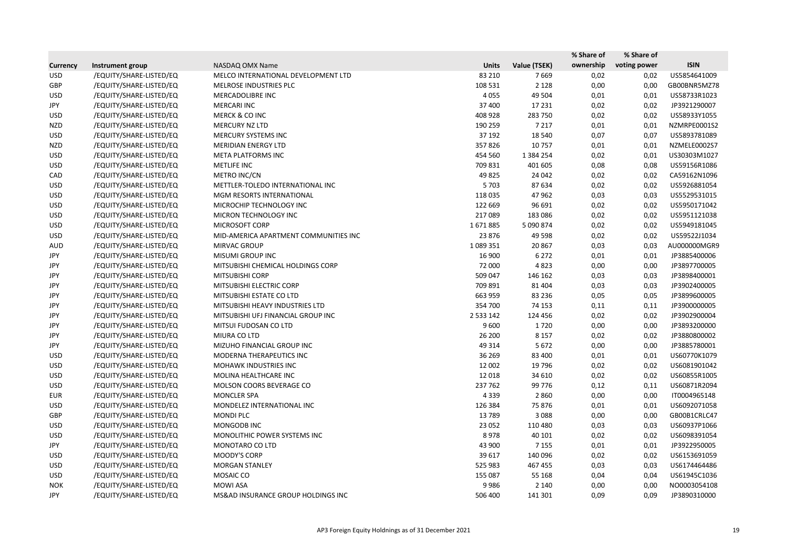|                 |                         |                                       |              |               | % Share of | % Share of   |              |
|-----------------|-------------------------|---------------------------------------|--------------|---------------|------------|--------------|--------------|
| <b>Currency</b> | Instrument group        | NASDAQ OMX Name                       | <b>Units</b> | Value (TSEK)  | ownership  | voting power | <b>ISIN</b>  |
| <b>USD</b>      | /EQUITY/SHARE-LISTED/EQ | MELCO INTERNATIONAL DEVELOPMENT LTD   | 83 210       | 7669          | 0,02       | 0,02         | US5854641009 |
| GBP             | /EQUITY/SHARE-LISTED/EQ | MELROSE INDUSTRIES PLC                | 108 531      | 2 1 2 8       | 0,00       | 0,00         | GB00BNR5MZ78 |
| <b>USD</b>      | /EQUITY/SHARE-LISTED/EQ | MERCADOLIBRE INC                      | 4 0 5 5      | 49 504        | 0,01       | 0,01         | US58733R1023 |
| JPY             | /EQUITY/SHARE-LISTED/EQ | <b>MERCARI INC</b>                    | 37 400       | 17 231        | 0,02       | 0,02         | JP3921290007 |
| <b>USD</b>      | /EQUITY/SHARE-LISTED/EQ | <b>MERCK &amp; CO INC</b>             | 408 928      | 283 750       | 0,02       | 0,02         | US58933Y1055 |
| <b>NZD</b>      | /EQUITY/SHARE-LISTED/EQ | MERCURY NZ LTD                        | 190 259      | 7 2 1 7       | 0,01       | 0,01         | NZMRPE0001S2 |
| <b>USD</b>      | /EQUITY/SHARE-LISTED/EQ | MERCURY SYSTEMS INC                   | 37 192       | 18 540        | 0,07       | 0,07         | US5893781089 |
| <b>NZD</b>      | /EQUITY/SHARE-LISTED/EQ | <b>MERIDIAN ENERGY LTD</b>            | 357826       | 10757         | 0,01       | 0,01         | NZMELE0002S7 |
| <b>USD</b>      | /EQUITY/SHARE-LISTED/EQ | META PLATFORMS INC                    | 454 560      | 1 3 8 4 2 5 4 | 0,02       | 0,01         | US30303M1027 |
| <b>USD</b>      | /EQUITY/SHARE-LISTED/EQ | METLIFE INC                           | 709 831      | 401 605       | 0,08       | 0,08         | US59156R1086 |
| CAD             | /EQUITY/SHARE-LISTED/EQ | METRO INC/CN                          | 49 8 25      | 24 042        | 0,02       | 0,02         | CA59162N1096 |
| <b>USD</b>      | /EQUITY/SHARE-LISTED/EQ | METTLER-TOLEDO INTERNATIONAL INC      | 5 7 0 3      | 87 634        | 0,02       | 0,02         | US5926881054 |
| <b>USD</b>      | /EQUITY/SHARE-LISTED/EQ | MGM RESORTS INTERNATIONAL             | 118 035      | 47 962        | 0,03       | 0,03         | US5529531015 |
| <b>USD</b>      | /EQUITY/SHARE-LISTED/EQ | MICROCHIP TECHNOLOGY INC              | 122 669      | 96 691        | 0,02       | 0,02         | US5950171042 |
| <b>USD</b>      | /EQUITY/SHARE-LISTED/EQ | MICRON TECHNOLOGY INC                 | 217089       | 183 086       | 0,02       | 0,02         | US5951121038 |
| <b>USD</b>      | /EQUITY/SHARE-LISTED/EQ | MICROSOFT CORP                        | 1671885      | 5 090 874     | 0,02       | 0,02         | US5949181045 |
| <b>USD</b>      | /EQUITY/SHARE-LISTED/EQ | MID-AMERICA APARTMENT COMMUNITIES INC | 23 876       | 49 5 98       | 0,02       | 0,02         | US59522J1034 |
| AUD             | /EQUITY/SHARE-LISTED/EQ | MIRVAC GROUP                          | 1089351      | 20 867        | 0,03       | 0,03         | AU000000MGR9 |
| JPY             | /EQUITY/SHARE-LISTED/EQ | <b>MISUMI GROUP INC</b>               | 16 900       | 6 2 7 2       | 0,01       | 0,01         | JP3885400006 |
| JPY             | /EQUITY/SHARE-LISTED/EQ | MITSUBISHI CHEMICAL HOLDINGS CORP     | 72 000       | 4823          | 0,00       | 0,00         | JP3897700005 |
| JPY             | /EQUITY/SHARE-LISTED/EQ | MITSUBISHI CORP                       | 509 047      | 146 162       | 0,03       | 0,03         | JP3898400001 |
| JPY             | /EQUITY/SHARE-LISTED/EQ | MITSUBISHI ELECTRIC CORP              | 709 891      | 81 404        | 0,03       | 0,03         | JP3902400005 |
| JPY             | /EQUITY/SHARE-LISTED/EQ | MITSUBISHI ESTATE CO LTD              | 663 959      | 83 236        | 0,05       | 0,05         | JP3899600005 |
| JPY             | /EQUITY/SHARE-LISTED/EQ | MITSUBISHI HEAVY INDUSTRIES LTD       | 354 700      | 74 153        | 0,11       | 0,11         | JP3900000005 |
| JPY             | /EQUITY/SHARE-LISTED/EQ | MITSUBISHI UFJ FINANCIAL GROUP INC    | 2 5 3 1 4 2  | 124 456       | 0,02       | 0,02         | JP3902900004 |
| JPY             | /EQUITY/SHARE-LISTED/EQ | MITSUI FUDOSAN CO LTD                 | 9600         | 1720          | 0,00       | 0,00         | JP3893200000 |
| JPY             | /EQUITY/SHARE-LISTED/EQ | MIURA CO LTD                          | 26 200       | 8 1 5 7       | 0,02       | 0,02         | JP3880800002 |
| JPY             | /EQUITY/SHARE-LISTED/EQ | MIZUHO FINANCIAL GROUP INC            | 49 3 14      | 5672          | 0,00       | 0,00         | JP3885780001 |
| <b>USD</b>      | /EQUITY/SHARE-LISTED/EQ | MODERNA THERAPEUTICS INC              | 36 269       | 83 400        | 0,01       | 0,01         | US60770K1079 |
| <b>USD</b>      | /EQUITY/SHARE-LISTED/EQ | <b>MOHAWK INDUSTRIES INC</b>          | 12 002       | 19 796        | 0,02       | 0,02         | US6081901042 |
| <b>USD</b>      | /EQUITY/SHARE-LISTED/EQ | MOLINA HEALTHCARE INC                 | 12 018       | 34 610        | 0,02       | 0,02         | US60855R1005 |
| <b>USD</b>      | /EQUITY/SHARE-LISTED/EQ | MOLSON COORS BEVERAGE CO              | 237 762      | 99 776        | 0,12       | 0,11         | US60871R2094 |
| <b>EUR</b>      | /EQUITY/SHARE-LISTED/EQ | <b>MONCLER SPA</b>                    | 4 3 3 9      | 2860          | 0,00       | 0,00         | IT0004965148 |
| <b>USD</b>      | /EQUITY/SHARE-LISTED/EQ | MONDELEZ INTERNATIONAL INC            | 126 384      | 75 876        | 0,01       | 0,01         | US6092071058 |
| GBP             | /EQUITY/SHARE-LISTED/EQ | <b>MONDI PLC</b>                      | 13789        | 3 0 8 8       | 0,00       | 0,00         | GB00B1CRLC47 |
| <b>USD</b>      | /EQUITY/SHARE-LISTED/EQ | MONGODB INC                           | 23 052       | 110 480       | 0,03       | 0,03         | US60937P1066 |
| <b>USD</b>      | /EQUITY/SHARE-LISTED/EQ | MONOLITHIC POWER SYSTEMS INC          | 8978         | 40 101        | 0,02       | 0,02         | US6098391054 |
| JPY             | /EQUITY/SHARE-LISTED/EQ | MONOTARO CO LTD                       | 43 900       | 7 1 5 5       | 0,01       | 0,01         | JP3922950005 |
| <b>USD</b>      | /EQUITY/SHARE-LISTED/EQ | MOODY'S CORP                          | 39 617       | 140 096       | 0,02       | 0,02         | US6153691059 |
| <b>USD</b>      | /EQUITY/SHARE-LISTED/EQ | <b>MORGAN STANLEY</b>                 | 525 983      | 467 455       | 0,03       | 0,03         | US6174464486 |
| <b>USD</b>      | /EQUITY/SHARE-LISTED/EQ | MOSAIC CO                             | 155 087      | 55 168        | 0,04       | 0,04         | US61945C1036 |
| <b>NOK</b>      | /EQUITY/SHARE-LISTED/EQ | <b>MOWI ASA</b>                       | 9986         | 2 1 4 0       | 0,00       | 0,00         | NO0003054108 |
| JPY             | /EQUITY/SHARE-LISTED/EQ | MS&AD INSURANCE GROUP HOLDINGS INC    | 506 400      | 141 301       | 0,09       | 0,09         | JP3890310000 |
|                 |                         |                                       |              |               |            |              |              |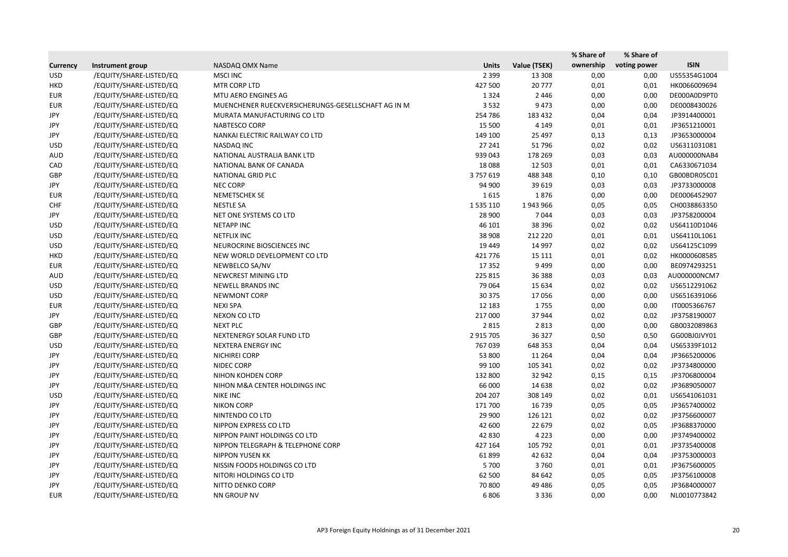|                 |                         |                                                    |              |              | % Share of | % Share of   |              |
|-----------------|-------------------------|----------------------------------------------------|--------------|--------------|------------|--------------|--------------|
| <b>Currency</b> | Instrument group        | NASDAQ OMX Name                                    | <b>Units</b> | Value (TSEK) | ownership  | voting power | <b>ISIN</b>  |
| <b>USD</b>      | /EQUITY/SHARE-LISTED/EQ | <b>MSCI INC</b>                                    | 2 3 9 9      | 13 308       | 0,00       | 0,00         | US55354G1004 |
| <b>HKD</b>      | /EQUITY/SHARE-LISTED/EQ | MTR CORP LTD                                       | 427 500      | 20 777       | 0,01       | 0,01         | HK0066009694 |
| <b>EUR</b>      | /EQUITY/SHARE-LISTED/EQ | MTU AERO ENGINES AG                                | 1 3 2 4      | 2 4 4 6      | 0,00       | 0,00         | DE000A0D9PT0 |
| <b>EUR</b>      | /EQUITY/SHARE-LISTED/EQ | MUENCHENER RUECKVERSICHERUNGS-GESELLSCHAFT AG IN M | 3 5 3 2      | 9 4 7 3      | 0,00       | 0,00         | DE0008430026 |
| JPY             | /EQUITY/SHARE-LISTED/EQ | MURATA MANUFACTURING CO LTD                        | 254 786      | 183 432      | 0,04       | 0,04         | JP3914400001 |
| JPY             | /EQUITY/SHARE-LISTED/EQ | NABTESCO CORP                                      | 15 500       | 4 1 4 9      | 0,01       | 0,01         | JP3651210001 |
| JPY             | /EQUITY/SHARE-LISTED/EQ | NANKAI ELECTRIC RAILWAY CO LTD                     | 149 100      | 25 4 97      | 0,13       | 0,13         | JP3653000004 |
| <b>USD</b>      | /EQUITY/SHARE-LISTED/EQ | NASDAQ INC                                         | 27 241       | 51 796       | 0,02       | 0,02         | US6311031081 |
| <b>AUD</b>      | /EQUITY/SHARE-LISTED/EQ | NATIONAL AUSTRALIA BANK LTD                        | 939 043      | 178 269      | 0,03       | 0,03         | AU000000NAB4 |
| CAD             | /EQUITY/SHARE-LISTED/EQ | NATIONAL BANK OF CANADA                            | 18088        | 12 503       | 0,01       | 0,01         | CA6330671034 |
| GBP             | /EQUITY/SHARE-LISTED/EQ | NATIONAL GRID PLC                                  | 3757619      | 488 348      | 0,10       | 0,10         | GB00BDR05C01 |
| JPY             | /EQUITY/SHARE-LISTED/EQ | NEC CORP                                           | 94 900       | 39 619       | 0,03       | 0,03         | JP3733000008 |
| <b>EUR</b>      | /EQUITY/SHARE-LISTED/EQ | <b>NEMETSCHEK SE</b>                               | 1615         | 1876         | 0,00       | 0,00         | DE0006452907 |
| <b>CHF</b>      | /EQUITY/SHARE-LISTED/EQ | <b>NESTLE SA</b>                                   | 1 535 110    | 1943966      | 0,05       | 0,05         | CH0038863350 |
| JPY             | /EQUITY/SHARE-LISTED/EQ | NET ONE SYSTEMS CO LTD                             | 28 900       | 7044         | 0,03       | 0,03         | JP3758200004 |
| <b>USD</b>      | /EQUITY/SHARE-LISTED/EQ | <b>NETAPP INC</b>                                  | 46 101       | 38 39 6      | 0,02       | 0,02         | US64110D1046 |
| <b>USD</b>      | /EQUITY/SHARE-LISTED/EQ | <b>NETFLIX INC</b>                                 | 38 908       | 212 220      | 0,01       | 0,01         | US64110L1061 |
| <b>USD</b>      | /EQUITY/SHARE-LISTED/EQ | NEUROCRINE BIOSCIENCES INC                         | 19 449       | 14 9 97      | 0,02       | 0,02         | US64125C1099 |
| <b>HKD</b>      | /EQUITY/SHARE-LISTED/EQ | NEW WORLD DEVELOPMENT CO LTD                       | 421 776      | 15 111       | 0,01       | 0,02         | HK0000608585 |
| <b>EUR</b>      | /EQUITY/SHARE-LISTED/EQ | NEWBELCO SA/NV                                     | 17 3 52      | 9 4 9 9      | 0,00       | 0,00         | BE0974293251 |
| AUD             | /EQUITY/SHARE-LISTED/EQ | NEWCREST MINING LTD                                | 225 815      | 36 388       | 0,03       | 0,03         | AU000000NCM7 |
| <b>USD</b>      | /EQUITY/SHARE-LISTED/EQ | NEWELL BRANDS INC                                  | 79 0 64      | 15 6 34      | 0,02       | 0,02         | US6512291062 |
| <b>USD</b>      | /EQUITY/SHARE-LISTED/EQ | <b>NEWMONT CORP</b>                                | 30 375       | 17056        | 0,00       | 0,00         | US6516391066 |
| <b>EUR</b>      | /EQUITY/SHARE-LISTED/EQ | <b>NEXI SPA</b>                                    | 12 183       | 1755         | 0,00       | 0,00         | IT0005366767 |
| JPY             | /EQUITY/SHARE-LISTED/EQ | NEXON CO LTD                                       | 217 000      | 37 944       | 0,02       | 0,02         | JP3758190007 |
| GBP             | /EQUITY/SHARE-LISTED/EQ | <b>NEXT PLC</b>                                    | 2 8 1 5      | 2 8 1 3      | 0,00       | 0,00         | GB0032089863 |
| GBP             | /EQUITY/SHARE-LISTED/EQ | NEXTENERGY SOLAR FUND LTD                          | 2 915 705    | 36 327       | 0,50       | 0,50         | GG00BJ0JVY01 |
| <b>USD</b>      | /EQUITY/SHARE-LISTED/EQ | NEXTERA ENERGY INC                                 | 767 039      | 648 353      | 0,04       | 0,04         | US65339F1012 |
| JPY             | /EQUITY/SHARE-LISTED/EQ | <b>NICHIREI CORP</b>                               | 53 800       | 11 2 64      | 0,04       | 0,04         | JP3665200006 |
| JPY             | /EQUITY/SHARE-LISTED/EQ | NIDEC CORP                                         | 99 100       | 105 341      | 0,02       | 0,02         | JP3734800000 |
| JPY             | /EQUITY/SHARE-LISTED/EQ | NIHON KOHDEN CORP                                  | 132 800      | 32 942       | 0,15       | 0,15         | JP3706800004 |
| JPY             | /EQUITY/SHARE-LISTED/EQ | NIHON M&A CENTER HOLDINGS INC                      | 66 000       | 14 638       | 0,02       | 0,02         | JP3689050007 |
| <b>USD</b>      | /EQUITY/SHARE-LISTED/EQ | <b>NIKE INC</b>                                    | 204 207      | 308 149      | 0,02       | 0,01         | US6541061031 |
| JPY             | /EQUITY/SHARE-LISTED/EQ | <b>NIKON CORP</b>                                  | 171 700      | 16 739       | 0,05       | 0,05         | JP3657400002 |
| JPY             | /EQUITY/SHARE-LISTED/EQ | NINTENDO CO LTD                                    | 29 900       | 126 121      | 0,02       | 0,02         | JP3756600007 |
| JPY             | /EQUITY/SHARE-LISTED/EQ | NIPPON EXPRESS CO LTD                              | 42 600       | 22 679       | 0,02       | 0,05         | JP3688370000 |
| JPY             | /EQUITY/SHARE-LISTED/EQ | NIPPON PAINT HOLDINGS CO LTD                       | 42 830       | 4 2 2 3      | 0,00       | 0,00         | JP3749400002 |
| JPY             | /EQUITY/SHARE-LISTED/EQ | NIPPON TELEGRAPH & TELEPHONE CORP                  | 427 164      | 105 792      | 0,01       | 0,01         | JP3735400008 |
| JPY             | /EQUITY/SHARE-LISTED/EQ | <b>NIPPON YUSEN KK</b>                             | 61899        | 42 632       | 0,04       | 0,04         | JP3753000003 |
| JPY             | /EQUITY/SHARE-LISTED/EQ | NISSIN FOODS HOLDINGS CO LTD                       | 5 700        | 3760         | 0,01       | 0,01         | JP3675600005 |
| JPY             | /EQUITY/SHARE-LISTED/EQ | NITORI HOLDINGS CO LTD                             | 62 500       | 84 642       | 0,05       | 0,05         | JP3756100008 |
| JPY             | /EQUITY/SHARE-LISTED/EQ | NITTO DENKO CORP                                   | 70 800       | 49 4 86      | 0,05       | 0,05         | JP3684000007 |
| EUR             | /EQUITY/SHARE-LISTED/EQ | NN GROUP NV                                        | 6806         | 3 3 3 6      | 0,00       | 0,00         | NL0010773842 |
|                 |                         |                                                    |              |              |            |              |              |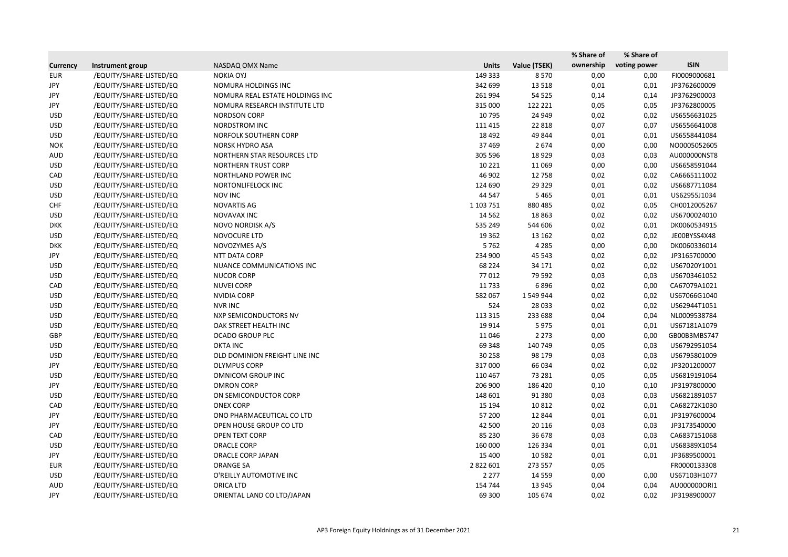|                 |                         |                                 |              |              | % Share of | % Share of   |              |
|-----------------|-------------------------|---------------------------------|--------------|--------------|------------|--------------|--------------|
| <b>Currency</b> | Instrument group        | NASDAQ OMX Name                 | <b>Units</b> | Value (TSEK) | ownership  | voting power | <b>ISIN</b>  |
| <b>EUR</b>      | /EQUITY/SHARE-LISTED/EQ | <b>NOKIA OYJ</b>                | 149 333      | 8570         | 0,00       | 0,00         | FI0009000681 |
| JPY             | /EQUITY/SHARE-LISTED/EQ | NOMURA HOLDINGS INC             | 342 699      | 13 5 18      | 0,01       | 0,01         | JP3762600009 |
| JPY             | /EQUITY/SHARE-LISTED/EQ | NOMURA REAL ESTATE HOLDINGS INC | 261 994      | 54 5 25      | 0,14       | 0,14         | JP3762900003 |
| JPY             | /EQUITY/SHARE-LISTED/EQ | NOMURA RESEARCH INSTITUTE LTD   | 315 000      | 122 221      | 0,05       | 0,05         | JP3762800005 |
| <b>USD</b>      | /EQUITY/SHARE-LISTED/EQ | <b>NORDSON CORP</b>             | 10 795       | 24 949       | 0,02       | 0,02         | US6556631025 |
| <b>USD</b>      | /EQUITY/SHARE-LISTED/EQ | NORDSTROM INC                   | 111 415      | 22 8 18      | 0,07       | 0,07         | US6556641008 |
| <b>USD</b>      | /EQUITY/SHARE-LISTED/EQ | NORFOLK SOUTHERN CORP           | 18 4 92      | 49 844       | 0,01       | 0,01         | US6558441084 |
| <b>NOK</b>      | /EQUITY/SHARE-LISTED/EQ | <b>NORSK HYDRO ASA</b>          | 37 4 69      | 2674         | 0,00       | 0,00         | NO0005052605 |
| <b>AUD</b>      | /EQUITY/SHARE-LISTED/EQ | NORTHERN STAR RESOURCES LTD     | 305 596      | 18 9 29      | 0,03       | 0,03         | AU000000NST8 |
| <b>USD</b>      | /EQUITY/SHARE-LISTED/EQ | <b>NORTHERN TRUST CORP</b>      | 10 2 21      | 11 0 69      | 0,00       | 0,00         | US6658591044 |
| CAD             | /EQUITY/SHARE-LISTED/EQ | NORTHLAND POWER INC             | 46 902       | 12 758       | 0,02       | 0,02         | CA6665111002 |
| <b>USD</b>      | /EQUITY/SHARE-LISTED/EQ | NORTONLIFELOCK INC              | 124 690      | 29 3 29      | 0,01       | 0,02         | US6687711084 |
| <b>USD</b>      | /EQUITY/SHARE-LISTED/EQ | <b>NOV INC</b>                  | 44 5 47      | 5 4 6 5      | 0,01       | 0,01         | US62955J1034 |
| <b>CHF</b>      | /EQUITY/SHARE-LISTED/EQ | NOVARTIS AG                     | 1 103 751    | 880 485      | 0,02       | 0,05         | CH0012005267 |
| <b>USD</b>      | /EQUITY/SHARE-LISTED/EQ | NOVAVAX INC                     | 14 5 62      | 18 8 63      | 0,02       | 0,02         | US6700024010 |
| <b>DKK</b>      | /EQUITY/SHARE-LISTED/EQ | NOVO NORDISK A/S                | 535 249      | 544 606      | 0,02       | 0,01         | DK0060534915 |
| <b>USD</b>      | /EQUITY/SHARE-LISTED/EQ | NOVOCURE LTD                    | 19 3 62      | 13 162       | 0,02       | 0,02         | JE00BYSS4X48 |
| <b>DKK</b>      | /EQUITY/SHARE-LISTED/EQ | NOVOZYMES A/S                   | 5762         | 4 2 8 5      | 0,00       | 0,00         | DK0060336014 |
| JPY             | /EQUITY/SHARE-LISTED/EQ | NTT DATA CORP                   | 234 900      | 45 543       | 0,02       | 0,02         | JP3165700000 |
| <b>USD</b>      | /EQUITY/SHARE-LISTED/EQ | NUANCE COMMUNICATIONS INC       | 68 2 24      | 34 171       | 0,02       | 0,02         | US67020Y1001 |
| <b>USD</b>      | /EQUITY/SHARE-LISTED/EQ | <b>NUCOR CORP</b>               | 77012        | 79 592       | 0,03       | 0,03         | US6703461052 |
| CAD             | /EQUITY/SHARE-LISTED/EQ | <b>NUVEI CORP</b>               | 11 7 33      | 6896         | 0,02       | 0,00         | CA67079A1021 |
| <b>USD</b>      | /EQUITY/SHARE-LISTED/EQ | <b>NVIDIA CORP</b>              | 582 067      | 1 549 944    | 0,02       | 0,02         | US67066G1040 |
| <b>USD</b>      | /EQUITY/SHARE-LISTED/EQ | <b>NVR INC</b>                  | 524          | 28 0 33      | 0,02       | 0,02         | US62944T1051 |
| <b>USD</b>      | /EQUITY/SHARE-LISTED/EQ | <b>NXP SEMICONDUCTORS NV</b>    | 113 315      | 233 688      | 0,04       | 0,04         | NL0009538784 |
| <b>USD</b>      | /EQUITY/SHARE-LISTED/EQ | OAK STREET HEALTH INC           | 19 9 14      | 5975         | 0,01       | 0,01         | US67181A1079 |
| GBP             | /EQUITY/SHARE-LISTED/EQ | <b>OCADO GROUP PLC</b>          | 11 046       | 2 2 7 3      | 0,00       | 0,00         | GB00B3MBS747 |
| <b>USD</b>      | /EQUITY/SHARE-LISTED/EQ | <b>OKTA INC</b>                 | 69 348       | 140 749      | 0,05       | 0,03         | US6792951054 |
| <b>USD</b>      | /EQUITY/SHARE-LISTED/EQ | OLD DOMINION FREIGHT LINE INC   | 30 258       | 98 179       | 0,03       | 0,03         | US6795801009 |
| JPY             | /EQUITY/SHARE-LISTED/EQ | <b>OLYMPUS CORP</b>             | 317 000      | 66 034       | 0,02       | 0,02         | JP3201200007 |
| <b>USD</b>      | /EQUITY/SHARE-LISTED/EQ | OMNICOM GROUP INC               | 110 467      | 73 281       | 0,05       | 0,05         | US6819191064 |
| JPY             | /EQUITY/SHARE-LISTED/EQ | <b>OMRON CORP</b>               | 206 900      | 186 420      | 0,10       | 0,10         | JP3197800000 |
| <b>USD</b>      | /EQUITY/SHARE-LISTED/EQ | ON SEMICONDUCTOR CORP           | 148 601      | 91 380       | 0,03       | 0,03         | US6821891057 |
| CAD             | /EQUITY/SHARE-LISTED/EQ | <b>ONEX CORP</b>                | 15 194       | 10 812       | 0,02       | 0,01         | CA68272K1030 |
| JPY             | /EQUITY/SHARE-LISTED/EQ | ONO PHARMACEUTICAL CO LTD       | 57 200       | 12 844       | 0,01       | 0,01         | JP3197600004 |
| JPY             | /EQUITY/SHARE-LISTED/EQ | OPEN HOUSE GROUP CO LTD         | 42 500       | 20 116       | 0,03       | 0,03         | JP3173540000 |
| CAD             | /EQUITY/SHARE-LISTED/EQ | <b>OPEN TEXT CORP</b>           | 85 230       | 36 678       | 0,03       | 0,03         | CA6837151068 |
| <b>USD</b>      | /EQUITY/SHARE-LISTED/EQ | ORACLE CORP                     | 160 000      | 126 334      | 0,01       | 0,01         | US68389X1054 |
| JPY             | /EQUITY/SHARE-LISTED/EQ | ORACLE CORP JAPAN               | 15 400       | 10 5 82      | 0,01       | 0,01         | JP3689500001 |
| <b>EUR</b>      | /EQUITY/SHARE-LISTED/EQ | <b>ORANGE SA</b>                | 2 822 601    | 273 557      | 0,05       |              | FR0000133308 |
| <b>USD</b>      | /EQUITY/SHARE-LISTED/EQ | O'REILLY AUTOMOTIVE INC         | 2 2 7 7      | 14 5 5 9     | 0,00       | 0,00         | US67103H1077 |
| AUD             | /EQUITY/SHARE-LISTED/EQ | ORICA LTD                       | 154 744      | 13 945       | 0,04       | 0,04         | AU0000000RI1 |
| JPY             | /EQUITY/SHARE-LISTED/EQ | ORIENTAL LAND CO LTD/JAPAN      | 69 300       | 105 674      | 0,02       | 0,02         | JP3198900007 |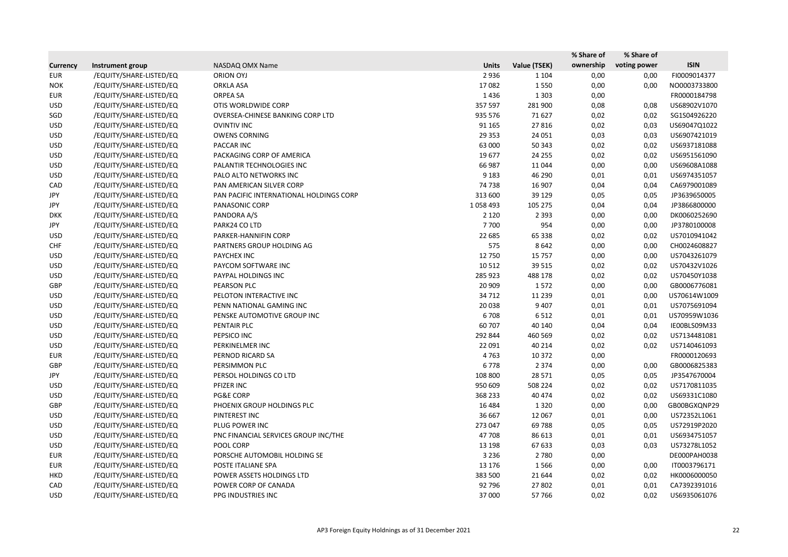|                 |                         |                                         |              |              | % Share of | % Share of   |              |
|-----------------|-------------------------|-----------------------------------------|--------------|--------------|------------|--------------|--------------|
| <b>Currency</b> | Instrument group        | NASDAQ OMX Name                         | <b>Units</b> | Value (TSEK) | ownership  | voting power | <b>ISIN</b>  |
| <b>EUR</b>      | /EQUITY/SHARE-LISTED/EQ | <b>ORION OYJ</b>                        | 2936         | 1 1 0 4      | 0,00       | 0,00         | FI0009014377 |
| <b>NOK</b>      | /EQUITY/SHARE-LISTED/EQ | <b>ORKLA ASA</b>                        | 17082        | 1550         | 0,00       | 0,00         | NO0003733800 |
| <b>EUR</b>      | /EQUITY/SHARE-LISTED/EQ | <b>ORPEA SA</b>                         | 1436         | 1 3 0 3      | 0,00       |              | FR0000184798 |
| <b>USD</b>      | /EQUITY/SHARE-LISTED/EQ | OTIS WORLDWIDE CORP                     | 357 597      | 281 900      | 0,08       | 0,08         | US68902V1070 |
| SGD             | /EQUITY/SHARE-LISTED/EQ | OVERSEA-CHINESE BANKING CORP LTD        | 935 576      | 71 627       | 0,02       | 0,02         | SG1S04926220 |
| <b>USD</b>      | /EQUITY/SHARE-LISTED/EQ | <b>OVINTIV INC</b>                      | 91 165       | 27816        | 0,02       | 0,03         | US69047Q1022 |
| <b>USD</b>      | /EQUITY/SHARE-LISTED/EQ | <b>OWENS CORNING</b>                    | 29 3 5 3     | 24 051       | 0,03       | 0,03         | US6907421019 |
| <b>USD</b>      | /EQUITY/SHARE-LISTED/EQ | PACCAR INC                              | 63 000       | 50 343       | 0,02       | 0,02         | US6937181088 |
| <b>USD</b>      | /EQUITY/SHARE-LISTED/EQ | PACKAGING CORP OF AMERICA               | 19677        | 24 255       | 0,02       | 0,02         | US6951561090 |
| <b>USD</b>      | /EQUITY/SHARE-LISTED/EQ | PALANTIR TECHNOLOGIES INC               | 66 987       | 11 044       | 0,00       | 0,00         | US69608A1088 |
| <b>USD</b>      | /EQUITY/SHARE-LISTED/EQ | PALO ALTO NETWORKS INC                  | 9 1 8 3      | 46 290       | 0,01       | 0,01         | US6974351057 |
| CAD             | /EQUITY/SHARE-LISTED/EQ | PAN AMERICAN SILVER CORP                | 74 738       | 16 907       | 0,04       | 0,04         | CA6979001089 |
| JPY             | /EQUITY/SHARE-LISTED/EQ | PAN PACIFIC INTERNATIONAL HOLDINGS CORP | 313 600      | 39 1 29      | 0,05       | 0,05         | JP3639650005 |
| JPY             | /EQUITY/SHARE-LISTED/EQ | PANASONIC CORP                          | 1058493      | 105 275      | 0,04       | 0,04         | JP3866800000 |
| <b>DKK</b>      | /EQUITY/SHARE-LISTED/EQ | PANDORA A/S                             | 2 1 2 0      | 2 3 9 3      | 0,00       | 0,00         | DK0060252690 |
| JPY             | /EQUITY/SHARE-LISTED/EQ | PARK24 CO LTD                           | 7700         | 954          | 0,00       | 0,00         | JP3780100008 |
| <b>USD</b>      | /EQUITY/SHARE-LISTED/EQ | PARKER-HANNIFIN CORP                    | 22 685       | 65 3 38      | 0,02       | 0,02         | US7010941042 |
| <b>CHF</b>      | /EQUITY/SHARE-LISTED/EQ | PARTNERS GROUP HOLDING AG               | 575          | 8642         | 0,00       | 0,00         | CH0024608827 |
| <b>USD</b>      | /EQUITY/SHARE-LISTED/EQ | PAYCHEX INC                             | 12 750       | 15 7 5 7     | 0,00       | 0,00         | US7043261079 |
| <b>USD</b>      | /EQUITY/SHARE-LISTED/EQ | PAYCOM SOFTWARE INC                     | 10 5 12      | 39 5 15      | 0,02       | 0,02         | US70432V1026 |
| <b>USD</b>      | /EQUITY/SHARE-LISTED/EQ | PAYPAL HOLDINGS INC                     | 285 923      | 488 178      | 0,02       | 0,02         | US70450Y1038 |
| GBP             | /EQUITY/SHARE-LISTED/EQ | PEARSON PLC                             | 20 909       | 1572         | 0,00       | 0,00         | GB0006776081 |
| <b>USD</b>      | /EQUITY/SHARE-LISTED/EQ | PELOTON INTERACTIVE INC                 | 34 712       | 11 2 3 9     | 0,01       | 0,00         | US70614W1009 |
| <b>USD</b>      | /EQUITY/SHARE-LISTED/EQ | PENN NATIONAL GAMING INC                | 20 038       | 9 4 0 7      | 0,01       | 0,01         | US7075691094 |
| <b>USD</b>      | /EQUITY/SHARE-LISTED/EQ | PENSKE AUTOMOTIVE GROUP INC             | 6708         | 6512         | 0,01       | 0,01         | US70959W1036 |
| <b>USD</b>      | /EQUITY/SHARE-LISTED/EQ | PENTAIR PLC                             | 60 70 7      | 40 140       | 0,04       | 0,04         | IE00BLS09M33 |
| <b>USD</b>      | /EQUITY/SHARE-LISTED/EQ | PEPSICO INC                             | 292 844      | 460 569      | 0,02       | 0,02         | US7134481081 |
| <b>USD</b>      | /EQUITY/SHARE-LISTED/EQ | PERKINELMER INC                         | 22 091       | 40 214       | 0,02       | 0,02         | US7140461093 |
| <b>EUR</b>      | /EQUITY/SHARE-LISTED/EQ | PERNOD RICARD SA                        | 4763         | 10 372       | 0,00       |              | FR0000120693 |
| GBP             | /EQUITY/SHARE-LISTED/EQ | PERSIMMON PLC                           | 6 7 7 8      | 2 3 7 4      | 0,00       | 0,00         | GB0006825383 |
| JPY             | /EQUITY/SHARE-LISTED/EQ | PERSOL HOLDINGS CO LTD                  | 108 800      | 28 5 7 1     | 0,05       | 0,05         | JP3547670004 |
| <b>USD</b>      | /EQUITY/SHARE-LISTED/EQ | PFIZER INC                              | 950 609      | 508 224      | 0,02       | 0,02         | US7170811035 |
| <b>USD</b>      | /EQUITY/SHARE-LISTED/EQ | <b>PG&amp;E CORP</b>                    | 368 233      | 40 474       | 0,02       | 0,02         | US69331C1080 |
| GBP             | /EQUITY/SHARE-LISTED/EQ | PHOENIX GROUP HOLDINGS PLC              | 16 4 84      | 1 3 2 0      | 0,00       | 0,00         | GB00BGXQNP29 |
| <b>USD</b>      | /EQUITY/SHARE-LISTED/EQ | PINTEREST INC                           | 36 667       | 12 067       | 0,01       | 0,00         | US72352L1061 |
| <b>USD</b>      | /EQUITY/SHARE-LISTED/EQ | PLUG POWER INC                          | 273 047      | 69 788       | 0,05       | 0,05         | US72919P2020 |
| <b>USD</b>      | /EQUITY/SHARE-LISTED/EQ | PNC FINANCIAL SERVICES GROUP INC/THE    | 47 708       | 86 613       | 0,01       | 0,01         | US6934751057 |
| <b>USD</b>      | /EQUITY/SHARE-LISTED/EQ | POOL CORP                               | 13 198       | 67 633       | 0,03       | 0,03         | US73278L1052 |
| <b>EUR</b>      | /EQUITY/SHARE-LISTED/EQ | PORSCHE AUTOMOBIL HOLDING SE            | 3 2 3 6      | 2 7 8 0      | 0,00       |              | DE000PAH0038 |
| <b>EUR</b>      | /EQUITY/SHARE-LISTED/EQ | POSTE ITALIANE SPA                      | 13 176       | 1566         | 0,00       | 0,00         | IT0003796171 |
| <b>HKD</b>      | /EQUITY/SHARE-LISTED/EQ | POWER ASSETS HOLDINGS LTD               | 383 500      | 21 644       | 0,02       | 0,02         | HK0006000050 |
| CAD             | /EQUITY/SHARE-LISTED/EQ | POWER CORP OF CANADA                    | 92 796       | 27 802       | 0,01       | 0,01         | CA7392391016 |
| <b>USD</b>      | /EQUITY/SHARE-LISTED/EQ | PPG INDUSTRIES INC                      | 37 000       | 57 766       | 0,02       | 0,02         | US6935061076 |
|                 |                         |                                         |              |              |            |              |              |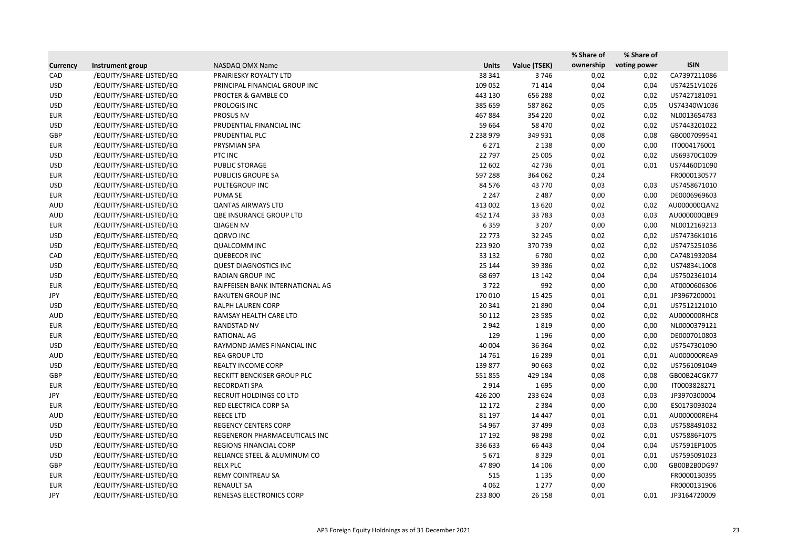|                 |                         |                                  |               |              | % Share of | % Share of   |              |
|-----------------|-------------------------|----------------------------------|---------------|--------------|------------|--------------|--------------|
| <b>Currency</b> | Instrument group        | NASDAQ OMX Name                  | <b>Units</b>  | Value (TSEK) | ownership  | voting power | <b>ISIN</b>  |
| CAD             | /EQUITY/SHARE-LISTED/EQ | PRAIRIESKY ROYALTY LTD           | 38 341        | 3746         | 0,02       | 0,02         | CA7397211086 |
| <b>USD</b>      | /EQUITY/SHARE-LISTED/EQ | PRINCIPAL FINANCIAL GROUP INC    | 109 052       | 71 414       | 0,04       | 0,04         | US74251V1026 |
| <b>USD</b>      | /EQUITY/SHARE-LISTED/EQ | PROCTER & GAMBLE CO              | 443 130       | 656 288      | 0,02       | 0,02         | US7427181091 |
| <b>USD</b>      | /EQUITY/SHARE-LISTED/EQ | PROLOGIS INC                     | 385 659       | 587 862      | 0,05       | 0,05         | US74340W1036 |
| <b>EUR</b>      | /EQUITY/SHARE-LISTED/EQ | PROSUS NV                        | 467884        | 354 220      | 0,02       | 0,02         | NL0013654783 |
| <b>USD</b>      | /EQUITY/SHARE-LISTED/EQ | PRUDENTIAL FINANCIAL INC         | 59 664        | 58 470       | 0,02       | 0,02         | US7443201022 |
| GBP             | /EQUITY/SHARE-LISTED/EQ | PRUDENTIAL PLC                   | 2 2 3 8 9 7 9 | 349 931      | 0,08       | 0,08         | GB0007099541 |
| <b>EUR</b>      | /EQUITY/SHARE-LISTED/EQ | PRYSMIAN SPA                     | 6 2 7 1       | 2 1 3 8      | 0,00       | 0,00         | IT0004176001 |
| <b>USD</b>      | /EQUITY/SHARE-LISTED/EQ | PTC INC                          | 22 797        | 25 005       | 0,02       | 0,02         | US69370C1009 |
| <b>USD</b>      | /EQUITY/SHARE-LISTED/EQ | PUBLIC STORAGE                   | 12 602        | 42 736       | 0,01       | 0,01         | US74460D1090 |
| <b>EUR</b>      | /EQUITY/SHARE-LISTED/EQ | PUBLICIS GROUPE SA               | 597 288       | 364 062      | 0,24       |              | FR0000130577 |
| <b>USD</b>      | /EQUITY/SHARE-LISTED/EQ | PULTEGROUP INC                   | 84 576        | 43 770       | 0,03       | 0,03         | US7458671010 |
| <b>EUR</b>      | /EQUITY/SHARE-LISTED/EQ | <b>PUMA SE</b>                   | 2 2 4 7       | 2 4 8 7      | 0,00       | 0,00         | DE0006969603 |
| AUD             | /EQUITY/SHARE-LISTED/EQ | <b>QANTAS AIRWAYS LTD</b>        | 413 002       | 13 6 20      | 0,02       | 0,02         | AU000000QAN2 |
| <b>AUD</b>      | /EQUITY/SHARE-LISTED/EQ | <b>QBE INSURANCE GROUP LTD</b>   | 452 174       | 33 783       | 0,03       | 0,03         | AU000000QBE9 |
| <b>EUR</b>      | /EQUITY/SHARE-LISTED/EQ | <b>QIAGEN NV</b>                 | 6359          | 3 2 0 7      | 0,00       | 0,00         | NL0012169213 |
| <b>USD</b>      | /EQUITY/SHARE-LISTED/EQ | <b>QORVO INC</b>                 | 22 7 73       | 32 245       | 0,02       | 0,02         | US74736K1016 |
| <b>USD</b>      | /EQUITY/SHARE-LISTED/EQ | <b>QUALCOMM INC</b>              | 223 920       | 370 739      | 0,02       | 0,02         | US7475251036 |
| CAD             | /EQUITY/SHARE-LISTED/EQ | <b>QUEBECOR INC</b>              | 33 132        | 6780         | 0,02       | 0,00         | CA7481932084 |
| <b>USD</b>      | /EQUITY/SHARE-LISTED/EQ | <b>QUEST DIAGNOSTICS INC</b>     | 25 144        | 39 3 86      | 0,02       | 0,02         | US74834L1008 |
| <b>USD</b>      | /EQUITY/SHARE-LISTED/EQ | <b>RADIAN GROUP INC</b>          | 68 697        | 13 142       | 0,04       | 0,04         | US7502361014 |
| <b>EUR</b>      | /EQUITY/SHARE-LISTED/EQ | RAIFFEISEN BANK INTERNATIONAL AG | 3722          | 992          | 0,00       | 0,00         | AT0000606306 |
| JPY             | /EQUITY/SHARE-LISTED/EQ | <b>RAKUTEN GROUP INC</b>         | 170 010       | 15 4 25      | 0,01       | 0,01         | JP3967200001 |
| <b>USD</b>      | /EQUITY/SHARE-LISTED/EQ | RALPH LAUREN CORP                | 20 341        | 21 8 9 0     | 0,04       | 0,01         | US7512121010 |
| <b>AUD</b>      | /EQUITY/SHARE-LISTED/EQ | RAMSAY HEALTH CARE LTD           | 50 112        | 23 5 85      | 0,02       | 0,02         | AU000000RHC8 |
| <b>EUR</b>      | /EQUITY/SHARE-LISTED/EQ | RANDSTAD NV                      | 2 9 4 2       | 1819         | 0,00       | 0,00         | NL0000379121 |
| <b>EUR</b>      | /EQUITY/SHARE-LISTED/EQ | RATIONAL AG                      | 129           | 1 1 9 6      | 0,00       | 0,00         | DE0007010803 |
| <b>USD</b>      | /EQUITY/SHARE-LISTED/EQ | RAYMOND JAMES FINANCIAL INC      | 40 004        | 36 3 64      | 0,02       | 0,02         | US7547301090 |
| <b>AUD</b>      | /EQUITY/SHARE-LISTED/EQ | <b>REA GROUP LTD</b>             | 14 7 61       | 16 289       | 0,01       | 0,01         | AU000000REA9 |
| <b>USD</b>      | /EQUITY/SHARE-LISTED/EQ | <b>REALTY INCOME CORP</b>        | 139 877       | 90 663       | 0,02       | 0,02         | US7561091049 |
| GBP             | /EQUITY/SHARE-LISTED/EQ | RECKITT BENCKISER GROUP PLC      | 551855        | 429 184      | 0,08       | 0,08         | GB00B24CGK77 |
| <b>EUR</b>      | /EQUITY/SHARE-LISTED/EQ | <b>RECORDATI SPA</b>             | 2914          | 1695         | 0,00       | 0,00         | IT0003828271 |
| JPY             | /EQUITY/SHARE-LISTED/EQ | RECRUIT HOLDINGS CO LTD          | 426 200       | 233 624      | 0,03       | 0,03         | JP3970300004 |
| EUR             | /EQUITY/SHARE-LISTED/EQ | RED ELECTRICA CORP SA            | 12 172        | 2 3 8 4      | 0,00       | 0,00         | ES0173093024 |
| AUD             | /EQUITY/SHARE-LISTED/EQ | <b>REECE LTD</b>                 | 81 197        | 14 447       | 0,01       | 0,01         | AU000000REH4 |
| <b>USD</b>      | /EQUITY/SHARE-LISTED/EQ | <b>REGENCY CENTERS CORP</b>      | 54 967        | 37 499       | 0,03       | 0,03         | US7588491032 |
| <b>USD</b>      | /EQUITY/SHARE-LISTED/EQ | REGENERON PHARMACEUTICALS INC    | 17 192        | 98 298       | 0,02       | 0,01         | US75886F1075 |
| <b>USD</b>      | /EQUITY/SHARE-LISTED/EQ | <b>REGIONS FINANCIAL CORP</b>    | 336 633       | 66 443       | 0,04       | 0,04         | US7591EP1005 |
| <b>USD</b>      | /EQUITY/SHARE-LISTED/EQ | RELIANCE STEEL & ALUMINUM CO     | 5 6 7 1       | 8 3 2 9      | 0,01       | 0,01         | US7595091023 |
| GBP             | /EQUITY/SHARE-LISTED/EQ | <b>RELX PLC</b>                  | 47890         | 14 10 6      | 0,00       | 0,00         | GB00B2B0DG97 |
| <b>EUR</b>      | /EQUITY/SHARE-LISTED/EQ | REMY COINTREAU SA                | 515           | 1 1 3 5      | 0,00       |              | FR0000130395 |
| <b>EUR</b>      | /EQUITY/SHARE-LISTED/EQ | <b>RENAULT SA</b>                | 4 0 6 2       | 1 2 7 7      | 0,00       |              | FR0000131906 |
| JPY             | /EQUITY/SHARE-LISTED/EQ | RENESAS ELECTRONICS CORP         | 233 800       | 26 158       | 0,01       | 0,01         | JP3164720009 |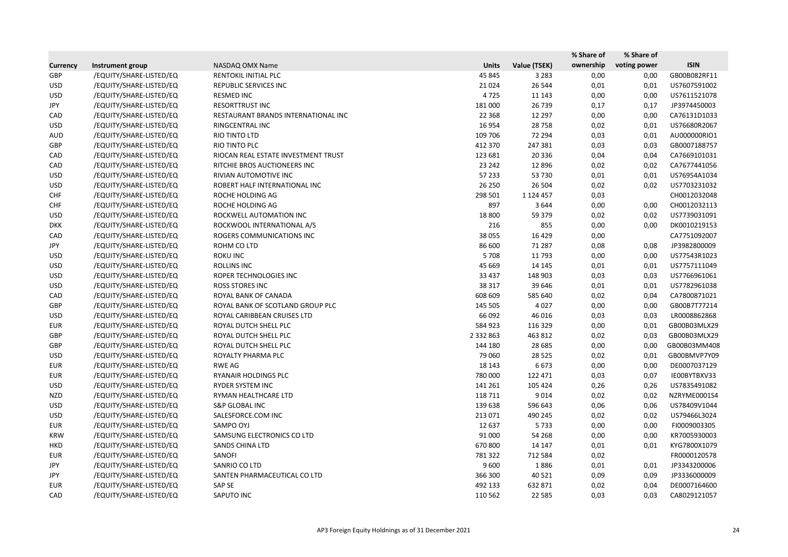|                 |                         |                                     |               |               | % Share of | % Share of   |              |
|-----------------|-------------------------|-------------------------------------|---------------|---------------|------------|--------------|--------------|
| <b>Currency</b> | Instrument group        | NASDAQ OMX Name                     | <b>Units</b>  | Value (TSEK)  | ownership  | voting power | <b>ISIN</b>  |
| GBP             | /EQUITY/SHARE-LISTED/EQ | RENTOKIL INITIAL PLC                | 45 845        | 3 2 8 3       | 0,00       | 0,00         | GB00B082RF11 |
| <b>USD</b>      | /EQUITY/SHARE-LISTED/EQ | REPUBLIC SERVICES INC               | 21 0 24       | 26 544        | 0,01       | 0,01         | US7607591002 |
| <b>USD</b>      | /EQUITY/SHARE-LISTED/EQ | <b>RESMED INC</b>                   | 4725          | 11 143        | 0,00       | 0,00         | US7611521078 |
| JPY             | /EQUITY/SHARE-LISTED/EQ | <b>RESORTTRUST INC</b>              | 181 000       | 26 739        | 0,17       | 0,17         | JP3974450003 |
| CAD             | /EQUITY/SHARE-LISTED/EQ | RESTAURANT BRANDS INTERNATIONAL INC | 22 3 68       | 12 297        | 0,00       | 0,00         | CA76131D1033 |
| <b>USD</b>      | /EQUITY/SHARE-LISTED/EQ | RINGCENTRAL INC                     | 16 9 54       | 28 7 58       | 0,02       | 0,01         | US76680R2067 |
| AUD             | /EQUITY/SHARE-LISTED/EQ | RIO TINTO LTD                       | 109 706       | 72 294        | 0,03       | 0,01         | AU000000RIO1 |
| GBP             | /EQUITY/SHARE-LISTED/EQ | RIO TINTO PLC                       | 412 370       | 247 381       | 0,03       | 0,03         | GB0007188757 |
| CAD             | /EQUITY/SHARE-LISTED/EQ | RIOCAN REAL ESTATE INVESTMENT TRUST | 123 681       | 20 3 36       | 0,04       | 0,04         | CA7669101031 |
| CAD             | /EQUITY/SHARE-LISTED/EQ | RITCHIE BROS AUCTIONEERS INC        | 23 24 2       | 12 8 96       | 0,02       | 0,02         | CA7677441056 |
| <b>USD</b>      | /EQUITY/SHARE-LISTED/EQ | RIVIAN AUTOMOTIVE INC               | 57 233        | 53 730        | 0,01       | 0,01         | US76954A1034 |
| <b>USD</b>      | /EQUITY/SHARE-LISTED/EQ | ROBERT HALF INTERNATIONAL INC       | 26 250        | 26 504        | 0,02       | 0,02         | US7703231032 |
| <b>CHF</b>      | /EQUITY/SHARE-LISTED/EQ | ROCHE HOLDING AG                    | 298 501       | 1 1 2 4 4 5 7 | 0,03       |              | CH0012032048 |
| <b>CHF</b>      | /EQUITY/SHARE-LISTED/EQ | ROCHE HOLDING AG                    | 897           | 3644          | 0,00       | 0,00         | CH0012032113 |
| <b>USD</b>      | /EQUITY/SHARE-LISTED/EQ | ROCKWELL AUTOMATION INC             | 18 800        | 59 379        | 0,02       | 0,02         | US7739031091 |
| <b>DKK</b>      | /EQUITY/SHARE-LISTED/EQ | ROCKWOOL INTERNATIONAL A/S          | 216           | 855           | 0,00       | 0,00         | DK0010219153 |
| CAD             | /EQUITY/SHARE-LISTED/EQ | ROGERS COMMUNICATIONS INC           | 38 055        | 16 4 29       | 0,00       |              | CA7751092007 |
| JPY             | /EQUITY/SHARE-LISTED/EQ | ROHM CO LTD                         | 86 600        | 71 287        | 0,08       | 0,08         | JP3982800009 |
| <b>USD</b>      | /EQUITY/SHARE-LISTED/EQ | <b>ROKU INC</b>                     | 5708          | 11 7 93       | 0,00       | 0,00         | US77543R1023 |
| <b>USD</b>      | /EQUITY/SHARE-LISTED/EQ | <b>ROLLINS INC</b>                  | 45 6 69       | 14 145        | 0,01       | 0,01         | US7757111049 |
| <b>USD</b>      | /EQUITY/SHARE-LISTED/EQ | ROPER TECHNOLOGIES INC              | 33 4 37       | 148 903       | 0,03       | 0,03         | US7766961061 |
| <b>USD</b>      | /EQUITY/SHARE-LISTED/EQ | ROSS STORES INC                     | 38 317        | 39 646        | 0,01       | 0,01         | US7782961038 |
| CAD             | /EQUITY/SHARE-LISTED/EQ | ROYAL BANK OF CANADA                | 608 609       | 585 640       | 0,02       | 0,04         | CA7800871021 |
| GBP             | /EQUITY/SHARE-LISTED/EQ | ROYAL BANK OF SCOTLAND GROUP PLC    | 145 505       | 4 0 2 7       | 0,00       | 0,00         | GB00B7T77214 |
| <b>USD</b>      | /EQUITY/SHARE-LISTED/EQ | ROYAL CARIBBEAN CRUISES LTD         | 66 092        | 46 016        | 0,03       | 0,03         | LR0008862868 |
| EUR             | /EQUITY/SHARE-LISTED/EQ | ROYAL DUTCH SHELL PLC               | 584 923       | 116 329       | 0,00       | 0,01         | GB00B03MLX29 |
| GBP             | /EQUITY/SHARE-LISTED/EQ | ROYAL DUTCH SHELL PLC               | 2 3 3 2 8 6 3 | 463 812       | 0,02       | 0,03         | GB00B03MLX29 |
| GBP             | /EQUITY/SHARE-LISTED/EQ | ROYAL DUTCH SHELL PLC               | 144 180       | 28 6 85       | 0,00       | 0,00         | GB00B03MM408 |
| <b>USD</b>      | /EQUITY/SHARE-LISTED/EQ | ROYALTY PHARMA PLC                  | 79 060        | 28 5 25       | 0,02       | 0,01         | GB00BMVP7Y09 |
| <b>EUR</b>      | /EQUITY/SHARE-LISTED/EQ | RWE AG                              | 18 14 3       | 6 6 7 3       | 0,00       | 0,00         | DE0007037129 |
| <b>EUR</b>      | /EQUITY/SHARE-LISTED/EQ | RYANAIR HOLDINGS PLC                | 780 000       | 122 471       | 0,03       | 0,07         | IE00BYTBXV33 |
| <b>USD</b>      | /EQUITY/SHARE-LISTED/EQ | RYDER SYSTEM INC                    | 141 261       | 105 424       | 0,26       | 0,26         | US7835491082 |
| <b>NZD</b>      | /EQUITY/SHARE-LISTED/EQ | RYMAN HEALTHCARE LTD                | 118 711       | 9014          | 0,02       | 0,02         | NZRYME0001S4 |
| <b>USD</b>      | /EQUITY/SHARE-LISTED/EQ | S&P GLOBAL INC                      | 139 638       | 596 643       | 0,06       | 0,06         | US78409V1044 |
| <b>USD</b>      | /EQUITY/SHARE-LISTED/EQ | SALESFORCE.COM INC                  | 213 071       | 490 245       | 0,02       | 0,02         | US79466L3024 |
| <b>EUR</b>      | /EQUITY/SHARE-LISTED/EQ | SAMPO OYJ                           | 12 637        | 5733          | 0,00       | 0,00         | FI0009003305 |
| KRW             | /EQUITY/SHARE-LISTED/EQ | SAMSUNG ELECTRONICS CO LTD          | 91 000        | 54 268        | 0,00       | 0,00         | KR7005930003 |
| <b>HKD</b>      | /EQUITY/SHARE-LISTED/EQ | <b>SANDS CHINA LTD</b>              | 670 800       | 14 147        | 0,01       | 0,01         | KYG7800X1079 |
| <b>EUR</b>      | /EQUITY/SHARE-LISTED/EQ | SANOFI                              | 781 322       | 712 584       | 0,02       |              | FR0000120578 |
| JPY             | /EQUITY/SHARE-LISTED/EQ | SANRIO CO LTD                       | 9 600         | 1886          | 0,01       | 0,01         | JP3343200006 |
| JPY             | /EQUITY/SHARE-LISTED/EQ | SANTEN PHARMACEUTICAL CO LTD        | 366 300       | 40 5 21       | 0,09       | 0,09         | JP3336000009 |
| EUR             | /EQUITY/SHARE-LISTED/EQ | SAP SE                              | 492 133       | 632 871       | 0,02       | 0,04         | DE0007164600 |
| CAD             | /EQUITY/SHARE-LISTED/EQ | SAPUTO INC                          | 110 562       | 22 5 8 5      | 0,03       | 0,03         | CA8029121057 |
|                 |                         |                                     |               |               |            |              |              |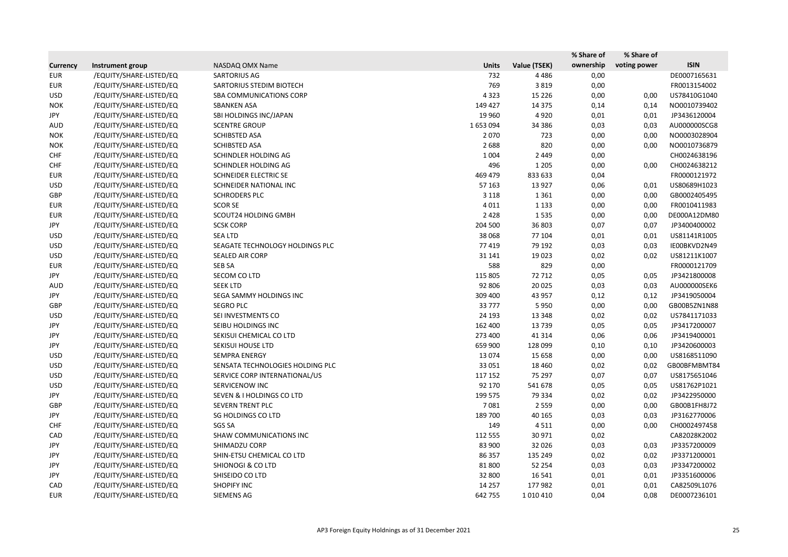|                 |                         |                                      |              |              | % Share of | % Share of   |              |
|-----------------|-------------------------|--------------------------------------|--------------|--------------|------------|--------------|--------------|
| <b>Currency</b> | Instrument group        | NASDAQ OMX Name                      | <b>Units</b> | Value (TSEK) | ownership  | voting power | <b>ISIN</b>  |
| <b>EUR</b>      | /EQUITY/SHARE-LISTED/EQ | <b>SARTORIUS AG</b>                  | 732          | 4 4 8 6      | 0,00       |              | DE0007165631 |
| <b>EUR</b>      | /EQUITY/SHARE-LISTED/EQ | SARTORIUS STEDIM BIOTECH             | 769          | 3819         | 0,00       |              | FR0013154002 |
| <b>USD</b>      | /EQUITY/SHARE-LISTED/EQ | SBA COMMUNICATIONS CORP              | 4 3 2 3      | 15 2 26      | 0,00       | 0,00         | US78410G1040 |
| <b>NOK</b>      | /EQUITY/SHARE-LISTED/EQ | <b>SBANKEN ASA</b>                   | 149 427      | 14 3 7 5     | 0,14       | 0,14         | NO0010739402 |
| JPY             | /EQUITY/SHARE-LISTED/EQ | SBI HOLDINGS INC/JAPAN               | 19 9 60      | 4920         | 0,01       | 0,01         | JP3436120004 |
| AUD             | /EQUITY/SHARE-LISTED/EQ | <b>SCENTRE GROUP</b>                 | 1653094      | 34 386       | 0,03       | 0,03         | AU000000SCG8 |
| <b>NOK</b>      | /EQUITY/SHARE-LISTED/EQ | <b>SCHIBSTED ASA</b>                 | 2 0 7 0      | 723          | 0,00       | 0,00         | NO0003028904 |
| <b>NOK</b>      | /EQUITY/SHARE-LISTED/EQ | <b>SCHIBSTED ASA</b>                 | 2688         | 820          | 0,00       | 0,00         | NO0010736879 |
| <b>CHF</b>      | /EQUITY/SHARE-LISTED/EQ | SCHINDLER HOLDING AG                 | 1 0 0 4      | 2 4 4 9      | 0,00       |              | CH0024638196 |
| <b>CHF</b>      | /EQUITY/SHARE-LISTED/EQ | SCHINDLER HOLDING AG                 | 496          | 1 2 0 5      | 0,00       | 0,00         | CH0024638212 |
| <b>EUR</b>      | /EQUITY/SHARE-LISTED/EQ | SCHNEIDER ELECTRIC SE                | 469 479      | 833 633      | 0,04       |              | FR0000121972 |
| <b>USD</b>      | /EQUITY/SHARE-LISTED/EQ | SCHNEIDER NATIONAL INC               | 57 163       | 13 9 27      | 0,06       | 0,01         | US80689H1023 |
| GBP             | /EQUITY/SHARE-LISTED/EQ | <b>SCHRODERS PLC</b>                 | 3 1 1 8      | 1 3 6 1      | 0,00       | 0,00         | GB0002405495 |
| <b>EUR</b>      | /EQUITY/SHARE-LISTED/EQ | <b>SCOR SE</b>                       | 4 0 1 1      | 1 1 3 3      | 0,00       | 0,00         | FR0010411983 |
| <b>EUR</b>      | /EQUITY/SHARE-LISTED/EQ | SCOUT24 HOLDING GMBH                 | 2 4 2 8      | 1535         | 0,00       | 0,00         | DE000A12DM80 |
| JPY             | /EQUITY/SHARE-LISTED/EQ | <b>SCSK CORP</b>                     | 204 500      | 36 803       | 0,07       | 0,07         | JP3400400002 |
| <b>USD</b>      | /EQUITY/SHARE-LISTED/EQ | <b>SEA LTD</b>                       | 38 0 68      | 77 104       | 0,01       | 0,01         | US81141R1005 |
| <b>USD</b>      | /EQUITY/SHARE-LISTED/EQ | SEAGATE TECHNOLOGY HOLDINGS PLC      | 77 419       | 79 192       | 0,03       | 0,03         | IE00BKVD2N49 |
| <b>USD</b>      | /EQUITY/SHARE-LISTED/EQ | <b>SEALED AIR CORP</b>               | 31 141       | 19 0 23      | 0,02       | 0,02         | US81211K1007 |
| <b>EUR</b>      | /EQUITY/SHARE-LISTED/EQ | <b>SEB SA</b>                        | 588          | 829          | 0,00       |              | FR0000121709 |
| JPY             | /EQUITY/SHARE-LISTED/EQ | SECOM CO LTD                         | 115 805      | 72 712       | 0,05       | 0,05         | JP3421800008 |
| AUD             | /EQUITY/SHARE-LISTED/EQ | <b>SEEK LTD</b>                      | 92 806       | 20 0 25      | 0,03       | 0,03         | AU000000SEK6 |
| JPY             | /EQUITY/SHARE-LISTED/EQ | SEGA SAMMY HOLDINGS INC              | 309 400      | 43 957       | 0,12       | 0,12         | JP3419050004 |
| GBP             | /EQUITY/SHARE-LISTED/EQ | <b>SEGRO PLC</b>                     | 33 777       | 5 9 5 0      | 0,00       | 0,00         | GB00B5ZN1N88 |
| <b>USD</b>      | /EQUITY/SHARE-LISTED/EQ | SEI INVESTMENTS CO                   | 24 193       | 13 3 48      | 0,02       | 0,02         | US7841171033 |
| JPY             | /EQUITY/SHARE-LISTED/EQ | SEIBU HOLDINGS INC                   | 162 400      | 13739        | 0,05       | 0,05         | JP3417200007 |
| JPY             | /EQUITY/SHARE-LISTED/EQ | SEKISUI CHEMICAL CO LTD              | 273 400      | 41 3 14      | 0,06       | 0,06         | JP3419400001 |
| JPY             | /EQUITY/SHARE-LISTED/EQ | SEKISUI HOUSE LTD                    | 659 900      | 128 099      | 0,10       | 0,10         | JP3420600003 |
| <b>USD</b>      | /EQUITY/SHARE-LISTED/EQ | <b>SEMPRA ENERGY</b>                 | 13 0 74      | 15 6 58      | 0,00       | 0,00         | US8168511090 |
| <b>USD</b>      | /EQUITY/SHARE-LISTED/EQ | SENSATA TECHNOLOGIES HOLDING PLC     | 33 0 51      | 18 460       | 0,02       | 0,02         | GB00BFMBMT84 |
| <b>USD</b>      | /EQUITY/SHARE-LISTED/EQ | SERVICE CORP INTERNATIONAL/US        | 117 152      | 75 297       | 0,07       | 0,07         | US8175651046 |
| <b>USD</b>      | /EQUITY/SHARE-LISTED/EQ | SERVICENOW INC                       | 92 170       | 541 678      | 0,05       | 0,05         | US81762P1021 |
| JPY             | /EQUITY/SHARE-LISTED/EQ | <b>SEVEN &amp; I HOLDINGS CO LTD</b> | 199 575      | 79 334       | 0,02       | 0,02         | JP3422950000 |
| GBP             | /EQUITY/SHARE-LISTED/EQ | SEVERN TRENT PLC                     | 7081         | 2 5 5 9      | 0,00       | 0,00         | GB00B1FH8J72 |
| JPY             | /EQUITY/SHARE-LISTED/EQ | SG HOLDINGS CO LTD                   | 189 700      | 40 165       | 0,03       | 0,03         | JP3162770006 |
| <b>CHF</b>      | /EQUITY/SHARE-LISTED/EQ | SGS SA                               | 149          | 4511         | 0,00       | 0,00         | CH0002497458 |
| CAD             | /EQUITY/SHARE-LISTED/EQ | <b>SHAW COMMUNICATIONS INC</b>       | 112 555      | 30 971       | 0,02       |              | CA82028K2002 |
| JPY             | /EQUITY/SHARE-LISTED/EQ | SHIMADZU CORP                        | 83 900       | 32 0 26      | 0,03       | 0,03         | JP3357200009 |
| JPY             | /EQUITY/SHARE-LISTED/EQ | SHIN-ETSU CHEMICAL CO LTD            | 86 357       | 135 249      | 0,02       | 0,02         | JP3371200001 |
| JPY             | /EQUITY/SHARE-LISTED/EQ | <b>SHIONOGI &amp; CO LTD</b>         | 81 800       | 52 254       | 0,03       | 0,03         | JP3347200002 |
| JPY             | /EQUITY/SHARE-LISTED/EQ | SHISEIDO CO LTD                      | 32 800       | 16 541       | 0,01       | 0,01         | JP3351600006 |
| CAD             | /EQUITY/SHARE-LISTED/EQ | <b>SHOPIFY INC</b>                   | 14 2 5 7     | 177 982      | 0,01       | 0,01         | CA82509L1076 |
| EUR             | /EQUITY/SHARE-LISTED/EQ | <b>SIEMENS AG</b>                    | 642 755      | 1010410      | 0,04       | 0,08         | DE0007236101 |
|                 |                         |                                      |              |              |            |              |              |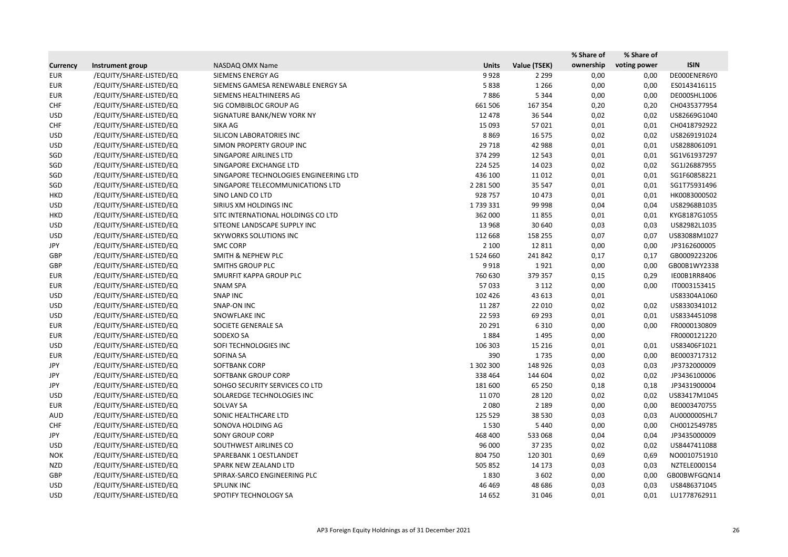|                 |                         |                                        |               |              | % Share of | % Share of   |              |
|-----------------|-------------------------|----------------------------------------|---------------|--------------|------------|--------------|--------------|
| <b>Currency</b> | Instrument group        | NASDAQ OMX Name                        | <b>Units</b>  | Value (TSEK) | ownership  | voting power | <b>ISIN</b>  |
| <b>EUR</b>      | /EQUITY/SHARE-LISTED/EQ | SIEMENS ENERGY AG                      | 9928          | 2 2 9 9      | 0,00       | 0,00         | DE000ENER6Y0 |
| <b>EUR</b>      | /EQUITY/SHARE-LISTED/EQ | SIEMENS GAMESA RENEWABLE ENERGY SA     | 5838          | 1 2 6 6      | 0,00       | 0,00         | ES0143416115 |
| <b>EUR</b>      | /EQUITY/SHARE-LISTED/EQ | SIEMENS HEALTHINEERS AG                | 7886          | 5 3 4 4      | 0,00       | 0,00         | DE000SHL1006 |
| <b>CHF</b>      | /EQUITY/SHARE-LISTED/EQ | SIG COMBIBLOC GROUP AG                 | 661 506       | 167 354      | 0,20       | 0,20         | CH0435377954 |
| <b>USD</b>      | /EQUITY/SHARE-LISTED/EQ | SIGNATURE BANK/NEW YORK NY             | 12 478        | 36 544       | 0,02       | 0,02         | US82669G1040 |
| <b>CHF</b>      | /EQUITY/SHARE-LISTED/EQ | SIKA AG                                | 15 0 93       | 57 0 21      | 0,01       | 0,01         | CH0418792922 |
| <b>USD</b>      | /EQUITY/SHARE-LISTED/EQ | SILICON LABORATORIES INC               | 8869          | 16 575       | 0,02       | 0,02         | US8269191024 |
| <b>USD</b>      | /EQUITY/SHARE-LISTED/EQ | SIMON PROPERTY GROUP INC               | 29 7 18       | 42 988       | 0,01       | 0,01         | US8288061091 |
| SGD             | /EQUITY/SHARE-LISTED/EQ | SINGAPORE AIRLINES LTD                 | 374 299       | 12 5 43      | 0,01       | 0,01         | SG1V61937297 |
| SGD             | /EQUITY/SHARE-LISTED/EQ | SINGAPORE EXCHANGE LTD                 | 224 525       | 14 0 23      | 0,02       | 0,02         | SG1J26887955 |
| SGD             | /EQUITY/SHARE-LISTED/EQ | SINGAPORE TECHNOLOGIES ENGINEERING LTD | 436 100       | 11 0 12      | 0,01       | 0,01         | SG1F60858221 |
| SGD             | /EQUITY/SHARE-LISTED/EQ | SINGAPORE TELECOMMUNICATIONS LTD       | 2 2 8 1 5 0 0 | 35 547       | 0,01       | 0,01         | SG1T75931496 |
| <b>HKD</b>      | /EQUITY/SHARE-LISTED/EQ | SINO LAND CO LTD                       | 928 757       | 10 473       | 0,01       | 0,01         | HK0083000502 |
| <b>USD</b>      | /EQUITY/SHARE-LISTED/EQ | SIRIUS XM HOLDINGS INC                 | 1739331       | 99 998       | 0,04       | 0,04         | US82968B1035 |
| <b>HKD</b>      | /EQUITY/SHARE-LISTED/EQ | SITC INTERNATIONAL HOLDINGS CO LTD     | 362 000       | 11855        | 0,01       | 0,01         | KYG8187G1055 |
| <b>USD</b>      | /EQUITY/SHARE-LISTED/EQ | SITEONE LANDSCAPE SUPPLY INC           | 13 968        | 30 640       | 0,03       | 0,03         | US82982L1035 |
| <b>USD</b>      | /EQUITY/SHARE-LISTED/EQ | <b>SKYWORKS SOLUTIONS INC</b>          | 112 668       | 158 255      | 0,07       | 0,07         | US83088M1027 |
| JPY             | /EQUITY/SHARE-LISTED/EQ | <b>SMC CORP</b>                        | 2 100         | 12 8 11      | 0,00       | 0,00         | JP3162600005 |
| GBP             | /EQUITY/SHARE-LISTED/EQ | <b>SMITH &amp; NEPHEW PLC</b>          | 1524660       | 241 842      | 0,17       | 0,17         | GB0009223206 |
| GBP             | /EQUITY/SHARE-LISTED/EQ | <b>SMITHS GROUP PLC</b>                | 9918          | 1921         | 0,00       | 0,00         | GB00B1WY2338 |
| <b>EUR</b>      | /EQUITY/SHARE-LISTED/EQ | SMURFIT KAPPA GROUP PLC                | 760 630       | 379 357      | 0,15       | 0,29         | IE00B1RR8406 |
| EUR             | /EQUITY/SHARE-LISTED/EQ | <b>SNAM SPA</b>                        | 57 033        | 3 1 1 2      | 0,00       | 0,00         | IT0003153415 |
| <b>USD</b>      | /EQUITY/SHARE-LISTED/EQ | <b>SNAP INC</b>                        | 102 426       | 43 613       | 0,01       |              | US83304A1060 |
| <b>USD</b>      | /EQUITY/SHARE-LISTED/EQ | <b>SNAP-ON INC</b>                     | 11 287        | 22 010       | 0,02       | 0,02         | US8330341012 |
| <b>USD</b>      | /EQUITY/SHARE-LISTED/EQ | SNOWFLAKE INC                          | 22 5 93       | 69 293       | 0,01       | 0,01         | US8334451098 |
| <b>EUR</b>      | /EQUITY/SHARE-LISTED/EQ | SOCIETE GENERALE SA                    | 20 29 1       | 6 3 1 0      | 0,00       | 0,00         | FR0000130809 |
| EUR             | /EQUITY/SHARE-LISTED/EQ | SODEXO SA                              | 1884          | 1495         | 0,00       |              | FR0000121220 |
| <b>USD</b>      | /EQUITY/SHARE-LISTED/EQ | SOFI TECHNOLOGIES INC                  | 106 303       | 15 2 16      | 0,01       | 0,01         | US83406F1021 |
| <b>EUR</b>      | /EQUITY/SHARE-LISTED/EQ | <b>SOFINA SA</b>                       | 390           | 1735         | 0,00       | 0,00         | BE0003717312 |
| JPY             | /EQUITY/SHARE-LISTED/EQ | SOFTBANK CORP                          | 1 302 300     | 148 926      | 0,03       | 0,03         | JP3732000009 |
| JPY             | /EQUITY/SHARE-LISTED/EQ | SOFTBANK GROUP CORP                    | 338 464       | 144 604      | 0,02       | 0,02         | JP3436100006 |
| JPY             | /EQUITY/SHARE-LISTED/EQ | SOHGO SECURITY SERVICES CO LTD         | 181 600       | 65 250       | 0,18       | 0,18         | JP3431900004 |
| <b>USD</b>      | /EQUITY/SHARE-LISTED/EQ | SOLAREDGE TECHNOLOGIES INC             | 11 0 70       | 28 1 20      | 0,02       | 0,02         | US83417M1045 |
| <b>EUR</b>      | /EQUITY/SHARE-LISTED/EQ | SOLVAY SA                              | 2 0 8 0       | 2 1 8 9      | 0,00       | 0,00         | BE0003470755 |
| AUD             | /EQUITY/SHARE-LISTED/EQ | SONIC HEALTHCARE LTD                   | 125 529       | 38 5 30      | 0,03       | 0,03         | AU000000SHL7 |
| <b>CHF</b>      | /EQUITY/SHARE-LISTED/EQ | SONOVA HOLDING AG                      | 1530          | 5 4 4 0      | 0,00       | 0,00         | CH0012549785 |
| JPY             | /EQUITY/SHARE-LISTED/EQ | <b>SONY GROUP CORP</b>                 | 468 400       | 533 068      | 0,04       | 0,04         | JP3435000009 |
| <b>USD</b>      | /EQUITY/SHARE-LISTED/EQ | SOUTHWEST AIRLINES CO                  | 96 000        | 37 235       | 0,02       | 0,02         | US8447411088 |
| <b>NOK</b>      | /EQUITY/SHARE-LISTED/EQ | SPAREBANK 1 OESTLANDET                 | 804 750       | 120 301      | 0,69       | 0,69         | NO0010751910 |
| <b>NZD</b>      | /EQUITY/SHARE-LISTED/EQ | SPARK NEW ZEALAND LTD                  | 505 852       | 14 173       | 0,03       | 0,03         | NZTELE0001S4 |
| GBP             | /EQUITY/SHARE-LISTED/EQ | SPIRAX-SARCO ENGINEERING PLC           | 1830          | 3 6 0 2      | 0,00       | 0,00         | GB00BWFGQN14 |
| <b>USD</b>      | /EQUITY/SHARE-LISTED/EQ | <b>SPLUNK INC</b>                      | 46 4 69       | 48 68 6      | 0,03       | 0,03         | US8486371045 |
| <b>USD</b>      | /EQUITY/SHARE-LISTED/EQ | SPOTIFY TECHNOLOGY SA                  | 14 652        | 31 046       | 0,01       | 0,01         | LU1778762911 |
|                 |                         |                                        |               |              |            |              |              |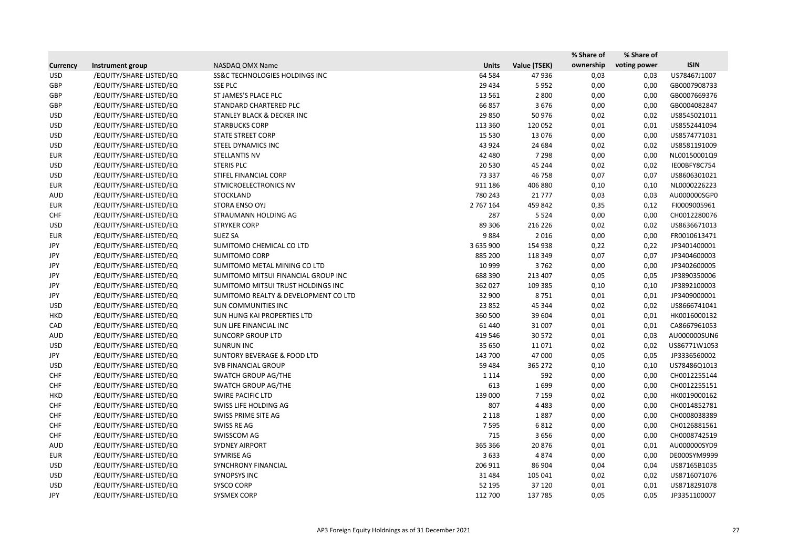|                 |                         |                                        |              |              | % Share of | % Share of   |              |
|-----------------|-------------------------|----------------------------------------|--------------|--------------|------------|--------------|--------------|
| <b>Currency</b> | Instrument group        | NASDAQ OMX Name                        | <b>Units</b> | Value (TSEK) | ownership  | voting power | <b>ISIN</b>  |
| <b>USD</b>      | /EQUITY/SHARE-LISTED/EQ | SS&C TECHNOLOGIES HOLDINGS INC         | 64 5 84      | 47936        | 0,03       | 0,03         | US78467J1007 |
| GBP             | /EQUITY/SHARE-LISTED/EQ | <b>SSE PLC</b>                         | 29 4 34      | 5952         | 0,00       | 0,00         | GB0007908733 |
| GBP             | /EQUITY/SHARE-LISTED/EQ | ST JAMES'S PLACE PLC                   | 13 5 61      | 2 8 0 0      | 0,00       | 0,00         | GB0007669376 |
| GBP             | /EQUITY/SHARE-LISTED/EQ | STANDARD CHARTERED PLC                 | 66 857       | 3676         | 0,00       | 0,00         | GB0004082847 |
| <b>USD</b>      | /EQUITY/SHARE-LISTED/EQ | <b>STANLEY BLACK &amp; DECKER INC</b>  | 29 850       | 50 976       | 0,02       | 0,02         | US8545021011 |
| <b>USD</b>      | /EQUITY/SHARE-LISTED/EQ | <b>STARBUCKS CORP</b>                  | 113 360      | 120 052      | 0,01       | 0,01         | US8552441094 |
| <b>USD</b>      | /EQUITY/SHARE-LISTED/EQ | <b>STATE STREET CORP</b>               | 15 5 30      | 13 0 76      | 0,00       | 0,00         | US8574771031 |
| <b>USD</b>      | /EQUITY/SHARE-LISTED/EQ | STEEL DYNAMICS INC                     | 43 9 24      | 24 684       | 0,02       | 0,02         | US8581191009 |
| <b>EUR</b>      | /EQUITY/SHARE-LISTED/EQ | <b>STELLANTIS NV</b>                   | 42 480       | 7 2 9 8      | 0,00       | 0,00         | NL00150001Q9 |
| <b>USD</b>      | /EQUITY/SHARE-LISTED/EQ | <b>STERIS PLC</b>                      | 20 5 30      | 45 244       | 0,02       | 0,02         | IE00BFY8C754 |
| <b>USD</b>      | /EQUITY/SHARE-LISTED/EQ | STIFEL FINANCIAL CORP                  | 73 337       | 46 758       | 0,07       | 0,07         | US8606301021 |
| <b>EUR</b>      | /EQUITY/SHARE-LISTED/EQ | STMICROELECTRONICS NV                  | 911 186      | 406 880      | 0,10       | 0,10         | NL0000226223 |
| <b>AUD</b>      | /EQUITY/SHARE-LISTED/EQ | <b>STOCKLAND</b>                       | 780 243      | 21 7 7 7     | 0,03       | 0,03         | AU000000SGP0 |
| <b>EUR</b>      | /EQUITY/SHARE-LISTED/EQ | STORA ENSO OYJ                         | 2 767 164    | 459 842      | 0,35       | 0,12         | FI0009005961 |
| <b>CHF</b>      | /EQUITY/SHARE-LISTED/EQ | STRAUMANN HOLDING AG                   | 287          | 5 5 2 4      | 0,00       | 0,00         | CH0012280076 |
| <b>USD</b>      | /EQUITY/SHARE-LISTED/EQ | <b>STRYKER CORP</b>                    | 89 30 6      | 216 226      | 0,02       | 0,02         | US8636671013 |
| <b>EUR</b>      | /EQUITY/SHARE-LISTED/EQ | <b>SUEZ SA</b>                         | 9884         | 2016         | 0,00       | 0,00         | FR0010613471 |
| JPY             | /EQUITY/SHARE-LISTED/EQ | SUMITOMO CHEMICAL CO LTD               | 3 635 900    | 154 938      | 0,22       | 0,22         | JP3401400001 |
| JPY             | /EQUITY/SHARE-LISTED/EQ | SUMITOMO CORP                          | 885 200      | 118 349      | 0,07       | 0,07         | JP3404600003 |
| JPY             | /EQUITY/SHARE-LISTED/EQ | SUMITOMO METAL MINING CO LTD           | 10 999       | 3762         | 0,00       | 0,00         | JP3402600005 |
| JPY             | /EQUITY/SHARE-LISTED/EQ | SUMITOMO MITSUI FINANCIAL GROUP INC    | 688 390      | 213 407      | 0,05       | 0,05         | JP3890350006 |
| JPY             | /EQUITY/SHARE-LISTED/EQ | SUMITOMO MITSUI TRUST HOLDINGS INC     | 362 027      | 109 385      | 0,10       | 0,10         | JP3892100003 |
| JPY             | /EQUITY/SHARE-LISTED/EQ | SUMITOMO REALTY & DEVELOPMENT CO LTD   | 32 900       | 8751         | 0,01       | 0,01         | JP3409000001 |
| <b>USD</b>      | /EQUITY/SHARE-LISTED/EQ | SUN COMMUNITIES INC                    | 23 8 52      | 45 344       | 0,02       | 0,02         | US8666741041 |
| <b>HKD</b>      | /EQUITY/SHARE-LISTED/EQ | SUN HUNG KAI PROPERTIES LTD            | 360 500      | 39 604       | 0,01       | 0,01         | HK0016000132 |
| CAD             | /EQUITY/SHARE-LISTED/EQ | SUN LIFE FINANCIAL INC                 | 61 440       | 31 007       | 0,01       | 0,01         | CA8667961053 |
| AUD             | /EQUITY/SHARE-LISTED/EQ | <b>SUNCORP GROUP LTD</b>               | 419 546      | 30 572       | 0,01       | 0,03         | AU000000SUN6 |
| <b>USD</b>      | /EQUITY/SHARE-LISTED/EQ | <b>SUNRUN INC</b>                      | 35 650       | 11 0 71      | 0,02       | 0,02         | US86771W1053 |
| JPY             | /EQUITY/SHARE-LISTED/EQ | <b>SUNTORY BEVERAGE &amp; FOOD LTD</b> | 143 700      | 47 000       | 0,05       | 0,05         | JP3336560002 |
| <b>USD</b>      | /EQUITY/SHARE-LISTED/EQ | <b>SVB FINANCIAL GROUP</b>             | 59 4 84      | 365 272      | 0,10       | 0,10         | US78486Q1013 |
| <b>CHF</b>      | /EQUITY/SHARE-LISTED/EQ | <b>SWATCH GROUP AG/THE</b>             | 1 1 1 4      | 592          | 0,00       | 0,00         | CH0012255144 |
| <b>CHF</b>      | /EQUITY/SHARE-LISTED/EQ | SWATCH GROUP AG/THE                    | 613          | 1699         | 0,00       | 0,00         | CH0012255151 |
| <b>HKD</b>      | /EQUITY/SHARE-LISTED/EQ | <b>SWIRE PACIFIC LTD</b>               | 139 000      | 7 1 5 9      | 0,02       | 0,00         | HK0019000162 |
| <b>CHF</b>      | /EQUITY/SHARE-LISTED/EQ | SWISS LIFE HOLDING AG                  | 807          | 4 4 8 3      | 0,00       | 0,00         | CH0014852781 |
| <b>CHF</b>      | /EQUITY/SHARE-LISTED/EQ | SWISS PRIME SITE AG                    | 2 1 1 8      | 1887         | 0,00       | 0,00         | CH0008038389 |
| <b>CHF</b>      | /EQUITY/SHARE-LISTED/EQ | SWISS RE AG                            | 7595         | 6812         | 0,00       | 0,00         | CH0126881561 |
| <b>CHF</b>      | /EQUITY/SHARE-LISTED/EQ | SWISSCOM AG                            | 715          | 3656         | 0,00       | 0,00         | CH0008742519 |
| AUD             | /EQUITY/SHARE-LISTED/EQ | <b>SYDNEY AIRPORT</b>                  | 365 366      | 20876        | 0,01       | 0,01         | AU000000SYD9 |
| <b>EUR</b>      | /EQUITY/SHARE-LISTED/EQ | SYMRISE AG                             | 3633         | 4874         | 0,00       | 0,00         | DE000SYM9999 |
| <b>USD</b>      | /EQUITY/SHARE-LISTED/EQ | SYNCHRONY FINANCIAL                    | 206 911      | 86 904       | 0,04       | 0,04         | US87165B1035 |
| <b>USD</b>      | /EQUITY/SHARE-LISTED/EQ | <b>SYNOPSYS INC</b>                    | 31 4 84      | 105 041      | 0,02       | 0,02         | US8716071076 |
| <b>USD</b>      | /EQUITY/SHARE-LISTED/EQ | <b>SYSCO CORP</b>                      | 52 195       | 37 120       | 0,01       | 0,01         | US8718291078 |
| JPY             | /EQUITY/SHARE-LISTED/EQ | <b>SYSMEX CORP</b>                     | 112 700      | 137 785      | 0,05       | 0,05         | JP3351100007 |
|                 |                         |                                        |              |              |            |              |              |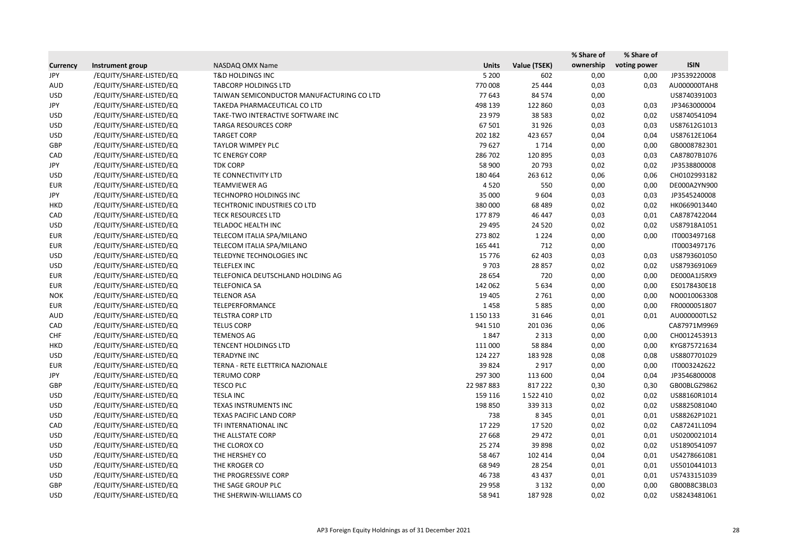|                 |                         |                                           |              |               | % Share of | % Share of   |              |
|-----------------|-------------------------|-------------------------------------------|--------------|---------------|------------|--------------|--------------|
| <b>Currency</b> | Instrument group        | NASDAQ OMX Name                           | <b>Units</b> | Value (TSEK)  | ownership  | voting power | <b>ISIN</b>  |
| JPY             | /EQUITY/SHARE-LISTED/EQ | <b>T&amp;D HOLDINGS INC</b>               | 5 2 0 0      | 602           | 0,00       | 0,00         | JP3539220008 |
| AUD             | /EQUITY/SHARE-LISTED/EQ | <b>TABCORP HOLDINGS LTD</b>               | 770 008      | 25 4 44       | 0,03       | 0,03         | AU000000TAH8 |
| <b>USD</b>      | /EQUITY/SHARE-LISTED/EQ | TAIWAN SEMICONDUCTOR MANUFACTURING CO LTD | 77 643       | 84 574        | 0,00       |              | US8740391003 |
| JPY             | /EQUITY/SHARE-LISTED/EQ | TAKEDA PHARMACEUTICAL CO LTD              | 498 139      | 122 860       | 0,03       | 0,03         | JP3463000004 |
| <b>USD</b>      | /EQUITY/SHARE-LISTED/EQ | TAKE-TWO INTERACTIVE SOFTWARE INC         | 23 979       | 38 5 83       | 0,02       | 0,02         | US8740541094 |
| <b>USD</b>      | /EQUITY/SHARE-LISTED/EQ | <b>TARGA RESOURCES CORP</b>               | 67 501       | 31926         | 0,03       | 0,03         | US87612G1013 |
| <b>USD</b>      | /EQUITY/SHARE-LISTED/EQ | <b>TARGET CORP</b>                        | 202 182      | 423 657       | 0,04       | 0,04         | US87612E1064 |
| GBP             | /EQUITY/SHARE-LISTED/EQ | <b>TAYLOR WIMPEY PLC</b>                  | 79 627       | 1714          | 0,00       | 0,00         | GB0008782301 |
| CAD             | /EQUITY/SHARE-LISTED/EQ | <b>TC ENERGY CORP</b>                     | 286 702      | 120 895       | 0,03       | 0,03         | CA87807B1076 |
| JPY             | /EQUITY/SHARE-LISTED/EQ | <b>TDK CORP</b>                           | 58 900       | 20793         | 0,02       | 0,02         | JP3538800008 |
| <b>USD</b>      | /EQUITY/SHARE-LISTED/EQ | TE CONNECTIVITY LTD                       | 180 464      | 263 612       | 0,06       | 0,06         | CH0102993182 |
| <b>EUR</b>      | /EQUITY/SHARE-LISTED/EQ | TEAMVIEWER AG                             | 4520         | 550           | 0,00       | 0,00         | DE000A2YN900 |
| JPY             | /EQUITY/SHARE-LISTED/EQ | TECHNOPRO HOLDINGS INC                    | 35 000       | 9604          | 0,03       | 0,03         | JP3545240008 |
| <b>HKD</b>      | /EQUITY/SHARE-LISTED/EQ | TECHTRONIC INDUSTRIES CO LTD              | 380 000      | 68 4 89       | 0,02       | 0,02         | HK0669013440 |
| CAD             | /EQUITY/SHARE-LISTED/EQ | <b>TECK RESOURCES LTD</b>                 | 177879       | 46 447        | 0,03       | 0,01         | CA8787422044 |
| <b>USD</b>      | /EQUITY/SHARE-LISTED/EQ | TELADOC HEALTH INC                        | 29 4 95      | 24 5 20       | 0,02       | 0,02         | US87918A1051 |
| <b>EUR</b>      | /EQUITY/SHARE-LISTED/EQ | TELECOM ITALIA SPA/MILANO                 | 273 802      | 1 2 2 4       | 0,00       | 0,00         | IT0003497168 |
| <b>EUR</b>      | /EQUITY/SHARE-LISTED/EQ | TELECOM ITALIA SPA/MILANO                 | 165 441      | 712           | 0,00       |              | IT0003497176 |
| <b>USD</b>      | /EQUITY/SHARE-LISTED/EQ | TELEDYNE TECHNOLOGIES INC                 | 15 7 7 6     | 62 403        | 0,03       | 0,03         | US8793601050 |
| <b>USD</b>      | /EQUITY/SHARE-LISTED/EQ | <b>TELEFLEX INC</b>                       | 9 7 0 3      | 28 857        | 0,02       | 0,02         | US8793691069 |
| <b>EUR</b>      | /EQUITY/SHARE-LISTED/EQ | TELEFONICA DEUTSCHLAND HOLDING AG         | 28 6 54      | 720           | 0,00       | 0,00         | DE000A1J5RX9 |
| <b>EUR</b>      | /EQUITY/SHARE-LISTED/EQ | <b>TELEFONICA SA</b>                      | 142 062      | 5 6 3 4       | 0,00       | 0,00         | ES0178430E18 |
| <b>NOK</b>      | /EQUITY/SHARE-LISTED/EQ | <b>TELENOR ASA</b>                        | 19 4 05      | 2 7 6 1       | 0,00       | 0,00         | NO0010063308 |
| <b>EUR</b>      | /EQUITY/SHARE-LISTED/EQ | TELEPERFORMANCE                           | 1458         | 5885          | 0,00       | 0,00         | FR0000051807 |
| <b>AUD</b>      | /EQUITY/SHARE-LISTED/EQ | TELSTRA CORP LTD                          | 1 150 133    | 31 646        | 0,01       | 0,01         | AU000000TLS2 |
| CAD             | /EQUITY/SHARE-LISTED/EQ | <b>TELUS CORP</b>                         | 941 510      | 201 036       | 0,06       |              | CA87971M9969 |
| <b>CHF</b>      | /EQUITY/SHARE-LISTED/EQ | <b>TEMENOS AG</b>                         | 1847         | 2 3 1 3       | 0,00       | 0,00         | CH0012453913 |
| <b>HKD</b>      | /EQUITY/SHARE-LISTED/EQ | <b>TENCENT HOLDINGS LTD</b>               | 111 000      | 58 8 8 4      | 0,00       | 0,00         | KYG875721634 |
| <b>USD</b>      | /EQUITY/SHARE-LISTED/EQ | <b>TERADYNE INC</b>                       | 124 227      | 183 928       | 0,08       | 0,08         | US8807701029 |
| <b>EUR</b>      | /EQUITY/SHARE-LISTED/EQ | TERNA - RETE ELETTRICA NAZIONALE          | 39 8 24      | 2917          | 0,00       | 0,00         | IT0003242622 |
| JPY             | /EQUITY/SHARE-LISTED/EQ | <b>TERUMO CORP</b>                        | 297 300      | 113 600       | 0,04       | 0,04         | JP3546800008 |
| GBP             | /EQUITY/SHARE-LISTED/EQ | <b>TESCO PLC</b>                          | 22 987 883   | 817 222       | 0,30       | 0,30         | GB00BLGZ9862 |
| <b>USD</b>      | /EQUITY/SHARE-LISTED/EQ | <b>TESLA INC</b>                          | 159 116      | 1 5 2 2 4 1 0 | 0,02       | 0,02         | US88160R1014 |
| <b>USD</b>      | /EQUITY/SHARE-LISTED/EQ | TEXAS INSTRUMENTS INC                     | 198 850      | 339 313       | 0,02       | 0,02         | US8825081040 |
| <b>USD</b>      | /EQUITY/SHARE-LISTED/EQ | TEXAS PACIFIC LAND CORP                   | 738          | 8 3 4 5       | 0,01       | 0,01         | US88262P1021 |
| CAD             | /EQUITY/SHARE-LISTED/EQ | TFI INTERNATIONAL INC                     | 17 2 29      | 17520         | 0,02       | 0,02         | CA87241L1094 |
| <b>USD</b>      | /EQUITY/SHARE-LISTED/EQ | THE ALLSTATE CORP                         | 27 6 68      | 29 4 72       | 0,01       | 0,01         | US0200021014 |
| <b>USD</b>      | /EQUITY/SHARE-LISTED/EQ | THE CLOROX CO                             | 25 274       | 39 8 98       | 0,02       | 0,02         | US1890541097 |
| <b>USD</b>      | /EQUITY/SHARE-LISTED/EQ | THE HERSHEY CO                            | 58 4 67      | 102 414       | 0,04       | 0,01         | US4278661081 |
| <b>USD</b>      | /EQUITY/SHARE-LISTED/EQ | THE KROGER CO                             | 68 949       | 28 2 54       | 0,01       | 0,01         | US5010441013 |
| <b>USD</b>      | /EQUITY/SHARE-LISTED/EQ | THE PROGRESSIVE CORP                      | 46 738       | 43 4 37       | 0,01       | 0,01         | US7433151039 |
| GBP             | /EQUITY/SHARE-LISTED/EQ | THE SAGE GROUP PLC                        | 29 9 58      | 3 1 3 2       | 0,00       | 0,00         | GB00B8C3BL03 |
| <b>USD</b>      | /EQUITY/SHARE-LISTED/EQ | THE SHERWIN-WILLIAMS CO                   | 58 941       | 187928        | 0,02       | 0,02         | US8243481061 |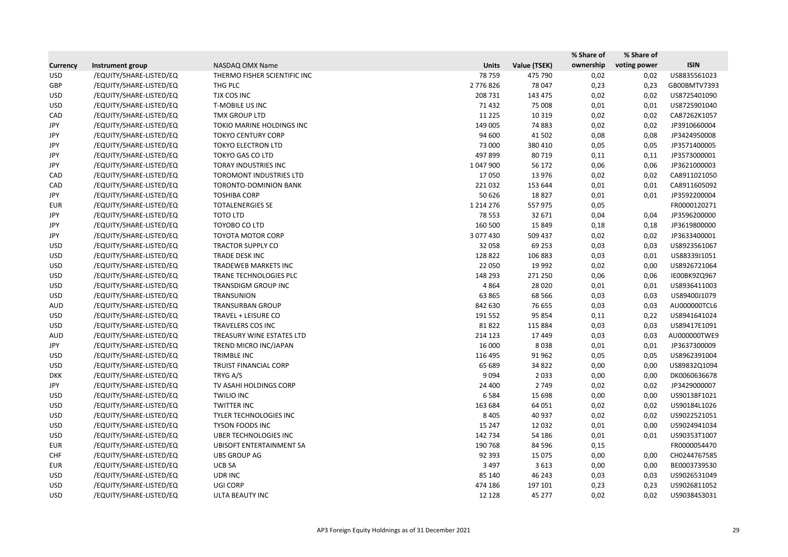|                 |                         |                                 |               |              | % Share of | % Share of   |              |
|-----------------|-------------------------|---------------------------------|---------------|--------------|------------|--------------|--------------|
| <b>Currency</b> | Instrument group        | NASDAQ OMX Name                 | <b>Units</b>  | Value (TSEK) | ownership  | voting power | <b>ISIN</b>  |
| <b>USD</b>      | /EQUITY/SHARE-LISTED/EQ | THERMO FISHER SCIENTIFIC INC    | 78759         | 475 790      | 0,02       | 0,02         | US8835561023 |
| <b>GBP</b>      | /EQUITY/SHARE-LISTED/EQ | THG PLC                         | 2776826       | 78 047       | 0,23       | 0,23         | GB00BMTV7393 |
| <b>USD</b>      | /EQUITY/SHARE-LISTED/EQ | TJX COS INC                     | 208 731       | 143 475      | 0,02       | 0,02         | US8725401090 |
| <b>USD</b>      | /EQUITY/SHARE-LISTED/EQ | <b>T-MOBILE US INC</b>          | 71 432        | 75 008       | 0,01       | 0,01         | US8725901040 |
| CAD             | /EQUITY/SHARE-LISTED/EQ | <b>TMX GROUP LTD</b>            | 11 2 25       | 10 3 19      | 0,02       | 0,02         | CA87262K1057 |
| JPY             | /EQUITY/SHARE-LISTED/EQ | TOKIO MARINE HOLDINGS INC       | 149 005       | 74 883       | 0,02       | 0,02         | JP3910660004 |
| JPY             | /EQUITY/SHARE-LISTED/EQ | <b>TOKYO CENTURY CORP</b>       | 94 600        | 41 502       | 0,08       | 0,08         | JP3424950008 |
| JPY             | /EQUITY/SHARE-LISTED/EQ | <b>TOKYO ELECTRON LTD</b>       | 73 000        | 380 410      | 0,05       | 0,05         | JP3571400005 |
| JPY             | /EQUITY/SHARE-LISTED/EQ | <b>TOKYO GAS CO LTD</b>         | 497 899       | 80 719       | 0,11       | 0,11         | JP3573000001 |
| JPY             | /EQUITY/SHARE-LISTED/EQ | TORAY INDUSTRIES INC            | 1 047 900     | 56 172       | 0,06       | 0,06         | JP3621000003 |
| CAD             | /EQUITY/SHARE-LISTED/EQ | <b>TOROMONT INDUSTRIES LTD</b>  | 17050         | 13 976       | 0,02       | 0,02         | CA8911021050 |
| CAD             | /EQUITY/SHARE-LISTED/EQ | TORONTO-DOMINION BANK           | 221 032       | 153 644      | 0,01       | 0,01         | CA8911605092 |
| JPY             | /EQUITY/SHARE-LISTED/EQ | <b>TOSHIBA CORP</b>             | 50 626        | 18827        | 0,01       | 0,01         | JP3592200004 |
| <b>EUR</b>      | /EQUITY/SHARE-LISTED/EQ | <b>TOTALENERGIES SE</b>         | 1 2 1 4 2 7 6 | 557 975      | 0,05       |              | FR0000120271 |
| JPY             | /EQUITY/SHARE-LISTED/EQ | <b>TOTO LTD</b>                 | 78 5 53       | 32 671       | 0,04       | 0,04         | JP3596200000 |
| JPY             | /EQUITY/SHARE-LISTED/EQ | TOYOBO CO LTD                   | 160 500       | 15 8 49      | 0,18       | 0,18         | JP3619800000 |
| JPY             | /EQUITY/SHARE-LISTED/EQ | <b>TOYOTA MOTOR CORP</b>        | 3 077 430     | 509 437      | 0,02       | 0,02         | JP3633400001 |
| <b>USD</b>      | /EQUITY/SHARE-LISTED/EQ | <b>TRACTOR SUPPLY CO</b>        | 32 058        | 69 253       | 0,03       | 0,03         | US8923561067 |
| <b>USD</b>      | /EQUITY/SHARE-LISTED/EQ | TRADE DESK INC                  | 128 822       | 106 883      | 0,03       | 0,01         | US88339J1051 |
| <b>USD</b>      | /EQUITY/SHARE-LISTED/EQ | <b>TRADEWEB MARKETS INC</b>     | 22 050        | 19 9 92      | 0,02       | 0,00         | US8926721064 |
| <b>USD</b>      | /EQUITY/SHARE-LISTED/EQ | TRANE TECHNOLOGIES PLC          | 148 293       | 271 250      | 0,06       | 0,06         | IE00BK9ZQ967 |
| <b>USD</b>      | /EQUITY/SHARE-LISTED/EQ | TRANSDIGM GROUP INC             | 4864          | 28 0 20      | 0,01       | 0,01         | US8936411003 |
| <b>USD</b>      | /EQUITY/SHARE-LISTED/EQ | <b>TRANSUNION</b>               | 63 865        | 68 5 66      | 0,03       | 0,03         | US89400J1079 |
| <b>AUD</b>      | /EQUITY/SHARE-LISTED/EQ | <b>TRANSURBAN GROUP</b>         | 842 630       | 76 655       | 0,03       | 0,03         | AU000000TCL6 |
| <b>USD</b>      | /EQUITY/SHARE-LISTED/EQ | TRAVEL + LEISURE CO             | 191 552       | 95 854       | 0,11       | 0,22         | US8941641024 |
| <b>USD</b>      | /EQUITY/SHARE-LISTED/EQ | TRAVELERS COS INC               | 81822         | 115 884      | 0,03       | 0,03         | US89417E1091 |
| <b>AUD</b>      | /EQUITY/SHARE-LISTED/EQ | TREASURY WINE ESTATES LTD       | 214 123       | 17 449       | 0,03       | 0,03         | AU000000TWE9 |
| JPY             | /EQUITY/SHARE-LISTED/EQ | TREND MICRO INC/JAPAN           | 16 000        | 8038         | 0,01       | 0,01         | JP3637300009 |
| <b>USD</b>      | /EQUITY/SHARE-LISTED/EQ | TRIMBLE INC                     | 116 495       | 91 962       | 0,05       | 0,05         | US8962391004 |
| <b>USD</b>      | /EQUITY/SHARE-LISTED/EQ | TRUIST FINANCIAL CORP           | 65 689        | 34 822       | 0,00       | 0,00         | US89832Q1094 |
| <b>DKK</b>      | /EQUITY/SHARE-LISTED/EQ | TRYG A/S                        | 9 0 9 4       | 2 0 3 3      | 0,00       | 0,00         | DK0060636678 |
| JPY             | /EQUITY/SHARE-LISTED/EQ | TV ASAHI HOLDINGS CORP          | 24 400        | 2 7 4 9      | 0,02       | 0,02         | JP3429000007 |
| <b>USD</b>      | /EQUITY/SHARE-LISTED/EQ | <b>TWILIO INC</b>               | 6584          | 15 698       | 0,00       | 0,00         | US90138F1021 |
| <b>USD</b>      | /EQUITY/SHARE-LISTED/EQ | <b>TWITTER INC</b>              | 163 684       | 64 051       | 0,02       | 0,02         | US90184L1026 |
| <b>USD</b>      | /EQUITY/SHARE-LISTED/EQ | TYLER TECHNOLOGIES INC          | 8 4 0 5       | 40 937       | 0,02       | 0,02         | US9022521051 |
| <b>USD</b>      | /EQUITY/SHARE-LISTED/EQ | <b>TYSON FOODS INC</b>          | 15 247        | 12 0 32      | 0,01       | 0,00         | US9024941034 |
| <b>USD</b>      | /EQUITY/SHARE-LISTED/EQ | <b>UBER TECHNOLOGIES INC</b>    | 142 734       | 54 186       | 0,01       | 0,01         | US90353T1007 |
| <b>EUR</b>      | /EQUITY/SHARE-LISTED/EQ | <b>UBISOFT ENTERTAINMENT SA</b> | 190 768       | 84 5 96      | 0,15       |              | FR0000054470 |
| <b>CHF</b>      | /EQUITY/SHARE-LISTED/EQ | <b>UBS GROUP AG</b>             | 92 393        | 15 0 75      | 0,00       | 0,00         | CH0244767585 |
| <b>EUR</b>      | /EQUITY/SHARE-LISTED/EQ | UCB SA                          | 3 4 9 7       | 3 6 1 3      | 0,00       | 0,00         | BE0003739530 |
| <b>USD</b>      | /EQUITY/SHARE-LISTED/EQ | UDR INC                         | 85 140        | 46 243       | 0,03       | 0,03         | US9026531049 |
| <b>USD</b>      | /EQUITY/SHARE-LISTED/EQ | UGI CORP                        | 474 186       | 197 101      | 0,23       | 0,23         | US9026811052 |
| <b>USD</b>      | /EQUITY/SHARE-LISTED/EQ | ULTA BEAUTY INC                 | 12 1 28       | 45 277       | 0,02       | 0,02         | US90384S3031 |
|                 |                         |                                 |               |              |            |              |              |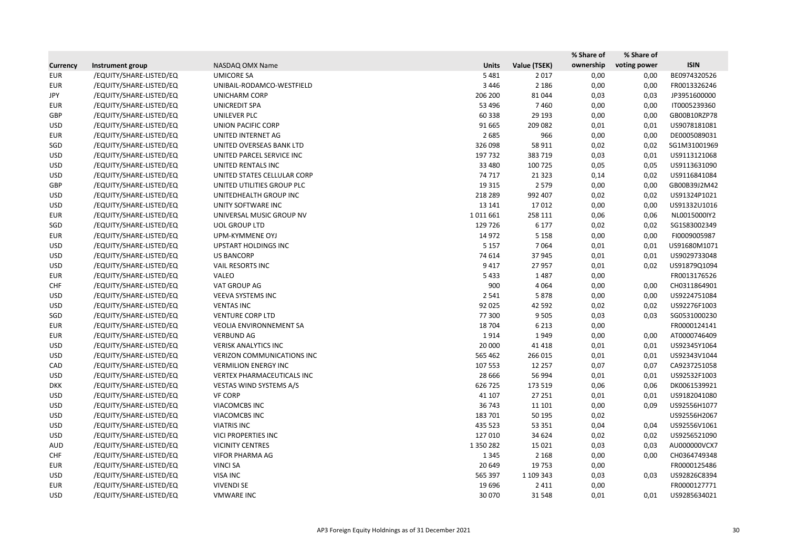| <b>ISIN</b><br>ownership<br>voting power<br>Value (TSEK)<br><b>Currency</b><br>Instrument group<br>NASDAQ OMX Name<br><b>Units</b><br>BE0974320526<br>/EQUITY/SHARE-LISTED/EQ<br><b>UMICORE SA</b><br>5 4 8 1<br>0,00<br>0,00<br><b>EUR</b><br>2017<br>3 4 4 6<br><b>EUR</b><br>/EQUITY/SHARE-LISTED/EQ<br>UNIBAIL-RODAMCO-WESTFIELD<br>2 1 8 6<br>0,00<br>0,00<br>FR0013326246<br>/EQUITY/SHARE-LISTED/EQ<br>206 200<br>0,03<br>0,03<br>JP3951600000<br>JPY<br><b>UNICHARM CORP</b><br>81 044<br>/EQUITY/SHARE-LISTED/EQ<br>53 496<br>7460<br>0,00<br>IT0005239360<br><b>UNICREDIT SPA</b><br>0,00<br><b>EUR</b><br>GBP<br>/EQUITY/SHARE-LISTED/EQ<br>UNILEVER PLC<br>60 338<br>29 193<br>0,00<br>0,00<br>GB00B10RZP78<br>/EQUITY/SHARE-LISTED/EQ<br>91 665<br>209 082<br>0,01<br>0,01<br><b>USD</b><br><b>UNION PACIFIC CORP</b><br>US9078181081<br>2685<br>966<br>DE0005089031<br><b>EUR</b><br>/EQUITY/SHARE-LISTED/EQ<br>UNITED INTERNET AG<br>0,00<br>0,00<br>SGD<br>/EQUITY/SHARE-LISTED/EQ<br>326 098<br>58 911<br>0,02<br>0,02<br>SG1M31001969<br>UNITED OVERSEAS BANK LTD<br>/EQUITY/SHARE-LISTED/EQ<br>197 732<br>383 719<br>0,03<br>US9113121068<br><b>USD</b><br>UNITED PARCEL SERVICE INC<br>0,01<br>/EQUITY/SHARE-LISTED/EQ<br>33 4 80<br>100 725<br>0,05<br>US9113631090<br><b>USD</b><br>UNITED RENTALS INC<br>0,05<br>/EQUITY/SHARE-LISTED/EQ<br>UNITED STATES CELLULAR CORP<br>74 717<br>0,14<br>0,02<br>US9116841084<br><b>USD</b><br>21 3 23<br>UNITED UTILITIES GROUP PLC<br>19 3 15<br>2 5 7 9<br>0,00<br>GB00B39J2M42<br><b>GBP</b><br>/EQUITY/SHARE-LISTED/EQ<br>0,00<br>/EQUITY/SHARE-LISTED/EQ<br>UNITEDHEALTH GROUP INC<br>218 289<br>992 407<br>0,02<br>0,02<br>US91324P1021<br><b>USD</b><br>/EQUITY/SHARE-LISTED/EQ<br>13 14 1<br>0,00<br>US91332U1016<br><b>USD</b><br>UNITY SOFTWARE INC<br>17012<br>0,00<br>/EQUITY/SHARE-LISTED/EQ<br>1011661<br>258 111<br>0,06<br>0,06<br>NL0015000IY2<br><b>EUR</b><br>UNIVERSAL MUSIC GROUP NV<br>SGD<br>/EQUITY/SHARE-LISTED/EQ<br><b>UOL GROUP LTD</b><br>129 726<br>6 1 7 7<br>0,02<br>0,02<br>SG1S83002349<br>/EQUITY/SHARE-LISTED/EQ<br>14 972<br>0,00<br>0,00<br>FI0009005987<br><b>EUR</b><br>UPM-KYMMENE OYJ<br>5 1 5 8<br>/EQUITY/SHARE-LISTED/EQ<br>5 1 5 7<br>7064<br>0,01<br>US91680M1071<br><b>USD</b><br>UPSTART HOLDINGS INC<br>0,01<br>/EQUITY/SHARE-LISTED/EQ<br>0,01<br>US9029733048<br><b>USD</b><br><b>US BANCORP</b><br>74 614<br>37 945<br>0,01<br>/EQUITY/SHARE-LISTED/EQ<br>9 4 1 7<br><b>USD</b><br>VAIL RESORTS INC<br>27 957<br>0,01<br>0,02<br>US91879Q1094<br>/EQUITY/SHARE-LISTED/EQ<br>VALEO<br>5433<br>0,00<br><b>EUR</b><br>1487<br>FR0013176526<br>VAT GROUP AG<br>900<br>4 0 6 4<br>0,00<br>0,00<br>CH0311864901<br><b>CHF</b><br>/EQUITY/SHARE-LISTED/EQ<br>/EQUITY/SHARE-LISTED/EQ<br><b>VEEVA SYSTEMS INC</b><br>2 5 4 1<br>5878<br>0,00<br>0,00<br>US9224751084<br><b>USD</b><br>US92276F1003<br><b>USD</b><br>/EQUITY/SHARE-LISTED/EQ<br><b>VENTAS INC</b><br>92 0 25<br>42 592<br>0,02<br>0,02<br>/EQUITY/SHARE-LISTED/EQ<br>0,03<br>SGD<br><b>VENTURE CORP LTD</b><br>77 300<br>9 5 0 5<br>0,03<br>SG0531000230<br>/EQUITY/SHARE-LISTED/EQ<br>0,00<br>FR0000124141<br><b>EUR</b><br><b>VEOLIA ENVIRONNEMENT SA</b><br>18 704<br>6 2 1 3<br>/EQUITY/SHARE-LISTED/EQ<br>0,00<br>AT0000746409<br><b>EUR</b><br><b>VERBUND AG</b><br>1914<br>1949<br>0,00<br>/EQUITY/SHARE-LISTED/EQ<br>0,01<br>US92345Y1064<br><b>USD</b><br><b>VERISK ANALYTICS INC</b><br>20 000<br>41 4 18<br>0,01<br>/EQUITY/SHARE-LISTED/EQ<br>US92343V1044<br><b>USD</b><br><b>VERIZON COMMUNICATIONS INC</b><br>565 462<br>266 015<br>0,01<br>0,01<br>CAD<br>/EQUITY/SHARE-LISTED/EQ<br><b>VERMILION ENERGY INC</b><br>107 553<br>12 2 5 7<br>0,07<br>0,07<br>CA9237251058<br>/EQUITY/SHARE-LISTED/EQ<br><b>VERTEX PHARMACEUTICALS INC</b><br>28 6 66<br>56 994<br>US92532F1003<br><b>USD</b><br>0,01<br>0,01<br>/EQUITY/SHARE-LISTED/EQ<br>VESTAS WIND SYSTEMS A/S<br>626 725<br>173 519<br>DK0061539921<br>0,06<br>0,06<br><b>DKK</b><br><b>USD</b><br>/EQUITY/SHARE-LISTED/EQ<br><b>VF CORP</b><br>41 107<br>27 251<br>0,01<br>US9182041080<br>0,01<br><b>USD</b><br>/EQUITY/SHARE-LISTED/EQ<br><b>VIACOMCBS INC</b><br>36 743<br>11 101<br>0,00<br>US92556H1077<br>0,09<br>/EQUITY/SHARE-LISTED/EQ<br>183 701<br>0,02<br>US92556H2067<br><b>USD</b><br>VIACOMCBS INC<br>50 195<br>/EQUITY/SHARE-LISTED/EQ<br><b>VIATRIS INC</b><br>0,04<br>US92556V1061<br><b>USD</b><br>435 523<br>53 351<br>0,04<br>/EQUITY/SHARE-LISTED/EQ<br>VICI PROPERTIES INC<br>127 010<br>34 624<br>US9256521090<br><b>USD</b><br>0,02<br>0,02<br>/EQUITY/SHARE-LISTED/EQ<br><b>VICINITY CENTRES</b><br>1 3 5 0 2 8 2<br>0,03<br>AU000000VCX7<br>AUD<br>15 0 21<br>0,03<br>/EQUITY/SHARE-LISTED/EQ<br>CH0364749348<br><b>CHF</b><br><b>VIFOR PHARMA AG</b><br>1 3 4 5<br>2 1 6 8<br>0,00<br>0,00<br>/EQUITY/SHARE-LISTED/EQ<br>20 649<br>19753<br>0,00<br>FR0000125486<br><b>EUR</b><br><b>VINCI SA</b><br>/EQUITY/SHARE-LISTED/EQ<br><b>VISA INC</b><br>1 109 343<br><b>USD</b><br>565 397<br>0,03<br>US92826C8394<br>0,03<br>/EQUITY/SHARE-LISTED/EQ<br><b>VIVENDI SE</b><br>19 6 96<br>FR0000127771<br><b>EUR</b><br>2 4 1 1<br>0,00<br>/EQUITY/SHARE-LISTED/EQ<br><b>VMWARE INC</b><br>30 0 70<br>0,01<br>0,01<br>US9285634021<br><b>USD</b><br>31 548 |  |  | % Share of | % Share of |  |
|------------------------------------------------------------------------------------------------------------------------------------------------------------------------------------------------------------------------------------------------------------------------------------------------------------------------------------------------------------------------------------------------------------------------------------------------------------------------------------------------------------------------------------------------------------------------------------------------------------------------------------------------------------------------------------------------------------------------------------------------------------------------------------------------------------------------------------------------------------------------------------------------------------------------------------------------------------------------------------------------------------------------------------------------------------------------------------------------------------------------------------------------------------------------------------------------------------------------------------------------------------------------------------------------------------------------------------------------------------------------------------------------------------------------------------------------------------------------------------------------------------------------------------------------------------------------------------------------------------------------------------------------------------------------------------------------------------------------------------------------------------------------------------------------------------------------------------------------------------------------------------------------------------------------------------------------------------------------------------------------------------------------------------------------------------------------------------------------------------------------------------------------------------------------------------------------------------------------------------------------------------------------------------------------------------------------------------------------------------------------------------------------------------------------------------------------------------------------------------------------------------------------------------------------------------------------------------------------------------------------------------------------------------------------------------------------------------------------------------------------------------------------------------------------------------------------------------------------------------------------------------------------------------------------------------------------------------------------------------------------------------------------------------------------------------------------------------------------------------------------------------------------------------------------------------------------------------------------------------------------------------------------------------------------------------------------------------------------------------------------------------------------------------------------------------------------------------------------------------------------------------------------------------------------------------------------------------------------------------------------------------------------------------------------------------------------------------------------------------------------------------------------------------------------------------------------------------------------------------------------------------------------------------------------------------------------------------------------------------------------------------------------------------------------------------------------------------------------------------------------------------------------------------------------------------------------------------------------------------------------------------------------------------------------------------------------------------------------------------------------------------------------------------------------------------------------------------------------------------------------------------------------------------------------------------------------------------------------------------------------------------------------------------------------------------------------------------------------------------------------------------------------------------------------------------------------------------------------------------------------------------------------------------------------------------------------------------------------------------------------------------------------------------------------------------------------------------------------------------------------------------------------------------------------------------------------------------------------------------------------------------------------------------------------------------------------------|--|--|------------|------------|--|
|                                                                                                                                                                                                                                                                                                                                                                                                                                                                                                                                                                                                                                                                                                                                                                                                                                                                                                                                                                                                                                                                                                                                                                                                                                                                                                                                                                                                                                                                                                                                                                                                                                                                                                                                                                                                                                                                                                                                                                                                                                                                                                                                                                                                                                                                                                                                                                                                                                                                                                                                                                                                                                                                                                                                                                                                                                                                                                                                                                                                                                                                                                                                                                                                                                                                                                                                                                                                                                                                                                                                                                                                                                                                                                                                                                                                                                                                                                                                                                                                                                                                                                                                                                                                                                                                                                                                                                                                                                                                                                                                                                                                                                                                                                                                                                                                                                                                                                                                                                                                                                                                                                                                                                                                                                                                                                                              |  |  |            |            |  |
|                                                                                                                                                                                                                                                                                                                                                                                                                                                                                                                                                                                                                                                                                                                                                                                                                                                                                                                                                                                                                                                                                                                                                                                                                                                                                                                                                                                                                                                                                                                                                                                                                                                                                                                                                                                                                                                                                                                                                                                                                                                                                                                                                                                                                                                                                                                                                                                                                                                                                                                                                                                                                                                                                                                                                                                                                                                                                                                                                                                                                                                                                                                                                                                                                                                                                                                                                                                                                                                                                                                                                                                                                                                                                                                                                                                                                                                                                                                                                                                                                                                                                                                                                                                                                                                                                                                                                                                                                                                                                                                                                                                                                                                                                                                                                                                                                                                                                                                                                                                                                                                                                                                                                                                                                                                                                                                              |  |  |            |            |  |
|                                                                                                                                                                                                                                                                                                                                                                                                                                                                                                                                                                                                                                                                                                                                                                                                                                                                                                                                                                                                                                                                                                                                                                                                                                                                                                                                                                                                                                                                                                                                                                                                                                                                                                                                                                                                                                                                                                                                                                                                                                                                                                                                                                                                                                                                                                                                                                                                                                                                                                                                                                                                                                                                                                                                                                                                                                                                                                                                                                                                                                                                                                                                                                                                                                                                                                                                                                                                                                                                                                                                                                                                                                                                                                                                                                                                                                                                                                                                                                                                                                                                                                                                                                                                                                                                                                                                                                                                                                                                                                                                                                                                                                                                                                                                                                                                                                                                                                                                                                                                                                                                                                                                                                                                                                                                                                                              |  |  |            |            |  |
|                                                                                                                                                                                                                                                                                                                                                                                                                                                                                                                                                                                                                                                                                                                                                                                                                                                                                                                                                                                                                                                                                                                                                                                                                                                                                                                                                                                                                                                                                                                                                                                                                                                                                                                                                                                                                                                                                                                                                                                                                                                                                                                                                                                                                                                                                                                                                                                                                                                                                                                                                                                                                                                                                                                                                                                                                                                                                                                                                                                                                                                                                                                                                                                                                                                                                                                                                                                                                                                                                                                                                                                                                                                                                                                                                                                                                                                                                                                                                                                                                                                                                                                                                                                                                                                                                                                                                                                                                                                                                                                                                                                                                                                                                                                                                                                                                                                                                                                                                                                                                                                                                                                                                                                                                                                                                                                              |  |  |            |            |  |
|                                                                                                                                                                                                                                                                                                                                                                                                                                                                                                                                                                                                                                                                                                                                                                                                                                                                                                                                                                                                                                                                                                                                                                                                                                                                                                                                                                                                                                                                                                                                                                                                                                                                                                                                                                                                                                                                                                                                                                                                                                                                                                                                                                                                                                                                                                                                                                                                                                                                                                                                                                                                                                                                                                                                                                                                                                                                                                                                                                                                                                                                                                                                                                                                                                                                                                                                                                                                                                                                                                                                                                                                                                                                                                                                                                                                                                                                                                                                                                                                                                                                                                                                                                                                                                                                                                                                                                                                                                                                                                                                                                                                                                                                                                                                                                                                                                                                                                                                                                                                                                                                                                                                                                                                                                                                                                                              |  |  |            |            |  |
|                                                                                                                                                                                                                                                                                                                                                                                                                                                                                                                                                                                                                                                                                                                                                                                                                                                                                                                                                                                                                                                                                                                                                                                                                                                                                                                                                                                                                                                                                                                                                                                                                                                                                                                                                                                                                                                                                                                                                                                                                                                                                                                                                                                                                                                                                                                                                                                                                                                                                                                                                                                                                                                                                                                                                                                                                                                                                                                                                                                                                                                                                                                                                                                                                                                                                                                                                                                                                                                                                                                                                                                                                                                                                                                                                                                                                                                                                                                                                                                                                                                                                                                                                                                                                                                                                                                                                                                                                                                                                                                                                                                                                                                                                                                                                                                                                                                                                                                                                                                                                                                                                                                                                                                                                                                                                                                              |  |  |            |            |  |
|                                                                                                                                                                                                                                                                                                                                                                                                                                                                                                                                                                                                                                                                                                                                                                                                                                                                                                                                                                                                                                                                                                                                                                                                                                                                                                                                                                                                                                                                                                                                                                                                                                                                                                                                                                                                                                                                                                                                                                                                                                                                                                                                                                                                                                                                                                                                                                                                                                                                                                                                                                                                                                                                                                                                                                                                                                                                                                                                                                                                                                                                                                                                                                                                                                                                                                                                                                                                                                                                                                                                                                                                                                                                                                                                                                                                                                                                                                                                                                                                                                                                                                                                                                                                                                                                                                                                                                                                                                                                                                                                                                                                                                                                                                                                                                                                                                                                                                                                                                                                                                                                                                                                                                                                                                                                                                                              |  |  |            |            |  |
|                                                                                                                                                                                                                                                                                                                                                                                                                                                                                                                                                                                                                                                                                                                                                                                                                                                                                                                                                                                                                                                                                                                                                                                                                                                                                                                                                                                                                                                                                                                                                                                                                                                                                                                                                                                                                                                                                                                                                                                                                                                                                                                                                                                                                                                                                                                                                                                                                                                                                                                                                                                                                                                                                                                                                                                                                                                                                                                                                                                                                                                                                                                                                                                                                                                                                                                                                                                                                                                                                                                                                                                                                                                                                                                                                                                                                                                                                                                                                                                                                                                                                                                                                                                                                                                                                                                                                                                                                                                                                                                                                                                                                                                                                                                                                                                                                                                                                                                                                                                                                                                                                                                                                                                                                                                                                                                              |  |  |            |            |  |
|                                                                                                                                                                                                                                                                                                                                                                                                                                                                                                                                                                                                                                                                                                                                                                                                                                                                                                                                                                                                                                                                                                                                                                                                                                                                                                                                                                                                                                                                                                                                                                                                                                                                                                                                                                                                                                                                                                                                                                                                                                                                                                                                                                                                                                                                                                                                                                                                                                                                                                                                                                                                                                                                                                                                                                                                                                                                                                                                                                                                                                                                                                                                                                                                                                                                                                                                                                                                                                                                                                                                                                                                                                                                                                                                                                                                                                                                                                                                                                                                                                                                                                                                                                                                                                                                                                                                                                                                                                                                                                                                                                                                                                                                                                                                                                                                                                                                                                                                                                                                                                                                                                                                                                                                                                                                                                                              |  |  |            |            |  |
|                                                                                                                                                                                                                                                                                                                                                                                                                                                                                                                                                                                                                                                                                                                                                                                                                                                                                                                                                                                                                                                                                                                                                                                                                                                                                                                                                                                                                                                                                                                                                                                                                                                                                                                                                                                                                                                                                                                                                                                                                                                                                                                                                                                                                                                                                                                                                                                                                                                                                                                                                                                                                                                                                                                                                                                                                                                                                                                                                                                                                                                                                                                                                                                                                                                                                                                                                                                                                                                                                                                                                                                                                                                                                                                                                                                                                                                                                                                                                                                                                                                                                                                                                                                                                                                                                                                                                                                                                                                                                                                                                                                                                                                                                                                                                                                                                                                                                                                                                                                                                                                                                                                                                                                                                                                                                                                              |  |  |            |            |  |
|                                                                                                                                                                                                                                                                                                                                                                                                                                                                                                                                                                                                                                                                                                                                                                                                                                                                                                                                                                                                                                                                                                                                                                                                                                                                                                                                                                                                                                                                                                                                                                                                                                                                                                                                                                                                                                                                                                                                                                                                                                                                                                                                                                                                                                                                                                                                                                                                                                                                                                                                                                                                                                                                                                                                                                                                                                                                                                                                                                                                                                                                                                                                                                                                                                                                                                                                                                                                                                                                                                                                                                                                                                                                                                                                                                                                                                                                                                                                                                                                                                                                                                                                                                                                                                                                                                                                                                                                                                                                                                                                                                                                                                                                                                                                                                                                                                                                                                                                                                                                                                                                                                                                                                                                                                                                                                                              |  |  |            |            |  |
|                                                                                                                                                                                                                                                                                                                                                                                                                                                                                                                                                                                                                                                                                                                                                                                                                                                                                                                                                                                                                                                                                                                                                                                                                                                                                                                                                                                                                                                                                                                                                                                                                                                                                                                                                                                                                                                                                                                                                                                                                                                                                                                                                                                                                                                                                                                                                                                                                                                                                                                                                                                                                                                                                                                                                                                                                                                                                                                                                                                                                                                                                                                                                                                                                                                                                                                                                                                                                                                                                                                                                                                                                                                                                                                                                                                                                                                                                                                                                                                                                                                                                                                                                                                                                                                                                                                                                                                                                                                                                                                                                                                                                                                                                                                                                                                                                                                                                                                                                                                                                                                                                                                                                                                                                                                                                                                              |  |  |            |            |  |
|                                                                                                                                                                                                                                                                                                                                                                                                                                                                                                                                                                                                                                                                                                                                                                                                                                                                                                                                                                                                                                                                                                                                                                                                                                                                                                                                                                                                                                                                                                                                                                                                                                                                                                                                                                                                                                                                                                                                                                                                                                                                                                                                                                                                                                                                                                                                                                                                                                                                                                                                                                                                                                                                                                                                                                                                                                                                                                                                                                                                                                                                                                                                                                                                                                                                                                                                                                                                                                                                                                                                                                                                                                                                                                                                                                                                                                                                                                                                                                                                                                                                                                                                                                                                                                                                                                                                                                                                                                                                                                                                                                                                                                                                                                                                                                                                                                                                                                                                                                                                                                                                                                                                                                                                                                                                                                                              |  |  |            |            |  |
|                                                                                                                                                                                                                                                                                                                                                                                                                                                                                                                                                                                                                                                                                                                                                                                                                                                                                                                                                                                                                                                                                                                                                                                                                                                                                                                                                                                                                                                                                                                                                                                                                                                                                                                                                                                                                                                                                                                                                                                                                                                                                                                                                                                                                                                                                                                                                                                                                                                                                                                                                                                                                                                                                                                                                                                                                                                                                                                                                                                                                                                                                                                                                                                                                                                                                                                                                                                                                                                                                                                                                                                                                                                                                                                                                                                                                                                                                                                                                                                                                                                                                                                                                                                                                                                                                                                                                                                                                                                                                                                                                                                                                                                                                                                                                                                                                                                                                                                                                                                                                                                                                                                                                                                                                                                                                                                              |  |  |            |            |  |
|                                                                                                                                                                                                                                                                                                                                                                                                                                                                                                                                                                                                                                                                                                                                                                                                                                                                                                                                                                                                                                                                                                                                                                                                                                                                                                                                                                                                                                                                                                                                                                                                                                                                                                                                                                                                                                                                                                                                                                                                                                                                                                                                                                                                                                                                                                                                                                                                                                                                                                                                                                                                                                                                                                                                                                                                                                                                                                                                                                                                                                                                                                                                                                                                                                                                                                                                                                                                                                                                                                                                                                                                                                                                                                                                                                                                                                                                                                                                                                                                                                                                                                                                                                                                                                                                                                                                                                                                                                                                                                                                                                                                                                                                                                                                                                                                                                                                                                                                                                                                                                                                                                                                                                                                                                                                                                                              |  |  |            |            |  |
|                                                                                                                                                                                                                                                                                                                                                                                                                                                                                                                                                                                                                                                                                                                                                                                                                                                                                                                                                                                                                                                                                                                                                                                                                                                                                                                                                                                                                                                                                                                                                                                                                                                                                                                                                                                                                                                                                                                                                                                                                                                                                                                                                                                                                                                                                                                                                                                                                                                                                                                                                                                                                                                                                                                                                                                                                                                                                                                                                                                                                                                                                                                                                                                                                                                                                                                                                                                                                                                                                                                                                                                                                                                                                                                                                                                                                                                                                                                                                                                                                                                                                                                                                                                                                                                                                                                                                                                                                                                                                                                                                                                                                                                                                                                                                                                                                                                                                                                                                                                                                                                                                                                                                                                                                                                                                                                              |  |  |            |            |  |
|                                                                                                                                                                                                                                                                                                                                                                                                                                                                                                                                                                                                                                                                                                                                                                                                                                                                                                                                                                                                                                                                                                                                                                                                                                                                                                                                                                                                                                                                                                                                                                                                                                                                                                                                                                                                                                                                                                                                                                                                                                                                                                                                                                                                                                                                                                                                                                                                                                                                                                                                                                                                                                                                                                                                                                                                                                                                                                                                                                                                                                                                                                                                                                                                                                                                                                                                                                                                                                                                                                                                                                                                                                                                                                                                                                                                                                                                                                                                                                                                                                                                                                                                                                                                                                                                                                                                                                                                                                                                                                                                                                                                                                                                                                                                                                                                                                                                                                                                                                                                                                                                                                                                                                                                                                                                                                                              |  |  |            |            |  |
|                                                                                                                                                                                                                                                                                                                                                                                                                                                                                                                                                                                                                                                                                                                                                                                                                                                                                                                                                                                                                                                                                                                                                                                                                                                                                                                                                                                                                                                                                                                                                                                                                                                                                                                                                                                                                                                                                                                                                                                                                                                                                                                                                                                                                                                                                                                                                                                                                                                                                                                                                                                                                                                                                                                                                                                                                                                                                                                                                                                                                                                                                                                                                                                                                                                                                                                                                                                                                                                                                                                                                                                                                                                                                                                                                                                                                                                                                                                                                                                                                                                                                                                                                                                                                                                                                                                                                                                                                                                                                                                                                                                                                                                                                                                                                                                                                                                                                                                                                                                                                                                                                                                                                                                                                                                                                                                              |  |  |            |            |  |
|                                                                                                                                                                                                                                                                                                                                                                                                                                                                                                                                                                                                                                                                                                                                                                                                                                                                                                                                                                                                                                                                                                                                                                                                                                                                                                                                                                                                                                                                                                                                                                                                                                                                                                                                                                                                                                                                                                                                                                                                                                                                                                                                                                                                                                                                                                                                                                                                                                                                                                                                                                                                                                                                                                                                                                                                                                                                                                                                                                                                                                                                                                                                                                                                                                                                                                                                                                                                                                                                                                                                                                                                                                                                                                                                                                                                                                                                                                                                                                                                                                                                                                                                                                                                                                                                                                                                                                                                                                                                                                                                                                                                                                                                                                                                                                                                                                                                                                                                                                                                                                                                                                                                                                                                                                                                                                                              |  |  |            |            |  |
|                                                                                                                                                                                                                                                                                                                                                                                                                                                                                                                                                                                                                                                                                                                                                                                                                                                                                                                                                                                                                                                                                                                                                                                                                                                                                                                                                                                                                                                                                                                                                                                                                                                                                                                                                                                                                                                                                                                                                                                                                                                                                                                                                                                                                                                                                                                                                                                                                                                                                                                                                                                                                                                                                                                                                                                                                                                                                                                                                                                                                                                                                                                                                                                                                                                                                                                                                                                                                                                                                                                                                                                                                                                                                                                                                                                                                                                                                                                                                                                                                                                                                                                                                                                                                                                                                                                                                                                                                                                                                                                                                                                                                                                                                                                                                                                                                                                                                                                                                                                                                                                                                                                                                                                                                                                                                                                              |  |  |            |            |  |
|                                                                                                                                                                                                                                                                                                                                                                                                                                                                                                                                                                                                                                                                                                                                                                                                                                                                                                                                                                                                                                                                                                                                                                                                                                                                                                                                                                                                                                                                                                                                                                                                                                                                                                                                                                                                                                                                                                                                                                                                                                                                                                                                                                                                                                                                                                                                                                                                                                                                                                                                                                                                                                                                                                                                                                                                                                                                                                                                                                                                                                                                                                                                                                                                                                                                                                                                                                                                                                                                                                                                                                                                                                                                                                                                                                                                                                                                                                                                                                                                                                                                                                                                                                                                                                                                                                                                                                                                                                                                                                                                                                                                                                                                                                                                                                                                                                                                                                                                                                                                                                                                                                                                                                                                                                                                                                                              |  |  |            |            |  |
|                                                                                                                                                                                                                                                                                                                                                                                                                                                                                                                                                                                                                                                                                                                                                                                                                                                                                                                                                                                                                                                                                                                                                                                                                                                                                                                                                                                                                                                                                                                                                                                                                                                                                                                                                                                                                                                                                                                                                                                                                                                                                                                                                                                                                                                                                                                                                                                                                                                                                                                                                                                                                                                                                                                                                                                                                                                                                                                                                                                                                                                                                                                                                                                                                                                                                                                                                                                                                                                                                                                                                                                                                                                                                                                                                                                                                                                                                                                                                                                                                                                                                                                                                                                                                                                                                                                                                                                                                                                                                                                                                                                                                                                                                                                                                                                                                                                                                                                                                                                                                                                                                                                                                                                                                                                                                                                              |  |  |            |            |  |
|                                                                                                                                                                                                                                                                                                                                                                                                                                                                                                                                                                                                                                                                                                                                                                                                                                                                                                                                                                                                                                                                                                                                                                                                                                                                                                                                                                                                                                                                                                                                                                                                                                                                                                                                                                                                                                                                                                                                                                                                                                                                                                                                                                                                                                                                                                                                                                                                                                                                                                                                                                                                                                                                                                                                                                                                                                                                                                                                                                                                                                                                                                                                                                                                                                                                                                                                                                                                                                                                                                                                                                                                                                                                                                                                                                                                                                                                                                                                                                                                                                                                                                                                                                                                                                                                                                                                                                                                                                                                                                                                                                                                                                                                                                                                                                                                                                                                                                                                                                                                                                                                                                                                                                                                                                                                                                                              |  |  |            |            |  |
|                                                                                                                                                                                                                                                                                                                                                                                                                                                                                                                                                                                                                                                                                                                                                                                                                                                                                                                                                                                                                                                                                                                                                                                                                                                                                                                                                                                                                                                                                                                                                                                                                                                                                                                                                                                                                                                                                                                                                                                                                                                                                                                                                                                                                                                                                                                                                                                                                                                                                                                                                                                                                                                                                                                                                                                                                                                                                                                                                                                                                                                                                                                                                                                                                                                                                                                                                                                                                                                                                                                                                                                                                                                                                                                                                                                                                                                                                                                                                                                                                                                                                                                                                                                                                                                                                                                                                                                                                                                                                                                                                                                                                                                                                                                                                                                                                                                                                                                                                                                                                                                                                                                                                                                                                                                                                                                              |  |  |            |            |  |
|                                                                                                                                                                                                                                                                                                                                                                                                                                                                                                                                                                                                                                                                                                                                                                                                                                                                                                                                                                                                                                                                                                                                                                                                                                                                                                                                                                                                                                                                                                                                                                                                                                                                                                                                                                                                                                                                                                                                                                                                                                                                                                                                                                                                                                                                                                                                                                                                                                                                                                                                                                                                                                                                                                                                                                                                                                                                                                                                                                                                                                                                                                                                                                                                                                                                                                                                                                                                                                                                                                                                                                                                                                                                                                                                                                                                                                                                                                                                                                                                                                                                                                                                                                                                                                                                                                                                                                                                                                                                                                                                                                                                                                                                                                                                                                                                                                                                                                                                                                                                                                                                                                                                                                                                                                                                                                                              |  |  |            |            |  |
|                                                                                                                                                                                                                                                                                                                                                                                                                                                                                                                                                                                                                                                                                                                                                                                                                                                                                                                                                                                                                                                                                                                                                                                                                                                                                                                                                                                                                                                                                                                                                                                                                                                                                                                                                                                                                                                                                                                                                                                                                                                                                                                                                                                                                                                                                                                                                                                                                                                                                                                                                                                                                                                                                                                                                                                                                                                                                                                                                                                                                                                                                                                                                                                                                                                                                                                                                                                                                                                                                                                                                                                                                                                                                                                                                                                                                                                                                                                                                                                                                                                                                                                                                                                                                                                                                                                                                                                                                                                                                                                                                                                                                                                                                                                                                                                                                                                                                                                                                                                                                                                                                                                                                                                                                                                                                                                              |  |  |            |            |  |
|                                                                                                                                                                                                                                                                                                                                                                                                                                                                                                                                                                                                                                                                                                                                                                                                                                                                                                                                                                                                                                                                                                                                                                                                                                                                                                                                                                                                                                                                                                                                                                                                                                                                                                                                                                                                                                                                                                                                                                                                                                                                                                                                                                                                                                                                                                                                                                                                                                                                                                                                                                                                                                                                                                                                                                                                                                                                                                                                                                                                                                                                                                                                                                                                                                                                                                                                                                                                                                                                                                                                                                                                                                                                                                                                                                                                                                                                                                                                                                                                                                                                                                                                                                                                                                                                                                                                                                                                                                                                                                                                                                                                                                                                                                                                                                                                                                                                                                                                                                                                                                                                                                                                                                                                                                                                                                                              |  |  |            |            |  |
|                                                                                                                                                                                                                                                                                                                                                                                                                                                                                                                                                                                                                                                                                                                                                                                                                                                                                                                                                                                                                                                                                                                                                                                                                                                                                                                                                                                                                                                                                                                                                                                                                                                                                                                                                                                                                                                                                                                                                                                                                                                                                                                                                                                                                                                                                                                                                                                                                                                                                                                                                                                                                                                                                                                                                                                                                                                                                                                                                                                                                                                                                                                                                                                                                                                                                                                                                                                                                                                                                                                                                                                                                                                                                                                                                                                                                                                                                                                                                                                                                                                                                                                                                                                                                                                                                                                                                                                                                                                                                                                                                                                                                                                                                                                                                                                                                                                                                                                                                                                                                                                                                                                                                                                                                                                                                                                              |  |  |            |            |  |
|                                                                                                                                                                                                                                                                                                                                                                                                                                                                                                                                                                                                                                                                                                                                                                                                                                                                                                                                                                                                                                                                                                                                                                                                                                                                                                                                                                                                                                                                                                                                                                                                                                                                                                                                                                                                                                                                                                                                                                                                                                                                                                                                                                                                                                                                                                                                                                                                                                                                                                                                                                                                                                                                                                                                                                                                                                                                                                                                                                                                                                                                                                                                                                                                                                                                                                                                                                                                                                                                                                                                                                                                                                                                                                                                                                                                                                                                                                                                                                                                                                                                                                                                                                                                                                                                                                                                                                                                                                                                                                                                                                                                                                                                                                                                                                                                                                                                                                                                                                                                                                                                                                                                                                                                                                                                                                                              |  |  |            |            |  |
|                                                                                                                                                                                                                                                                                                                                                                                                                                                                                                                                                                                                                                                                                                                                                                                                                                                                                                                                                                                                                                                                                                                                                                                                                                                                                                                                                                                                                                                                                                                                                                                                                                                                                                                                                                                                                                                                                                                                                                                                                                                                                                                                                                                                                                                                                                                                                                                                                                                                                                                                                                                                                                                                                                                                                                                                                                                                                                                                                                                                                                                                                                                                                                                                                                                                                                                                                                                                                                                                                                                                                                                                                                                                                                                                                                                                                                                                                                                                                                                                                                                                                                                                                                                                                                                                                                                                                                                                                                                                                                                                                                                                                                                                                                                                                                                                                                                                                                                                                                                                                                                                                                                                                                                                                                                                                                                              |  |  |            |            |  |
|                                                                                                                                                                                                                                                                                                                                                                                                                                                                                                                                                                                                                                                                                                                                                                                                                                                                                                                                                                                                                                                                                                                                                                                                                                                                                                                                                                                                                                                                                                                                                                                                                                                                                                                                                                                                                                                                                                                                                                                                                                                                                                                                                                                                                                                                                                                                                                                                                                                                                                                                                                                                                                                                                                                                                                                                                                                                                                                                                                                                                                                                                                                                                                                                                                                                                                                                                                                                                                                                                                                                                                                                                                                                                                                                                                                                                                                                                                                                                                                                                                                                                                                                                                                                                                                                                                                                                                                                                                                                                                                                                                                                                                                                                                                                                                                                                                                                                                                                                                                                                                                                                                                                                                                                                                                                                                                              |  |  |            |            |  |
|                                                                                                                                                                                                                                                                                                                                                                                                                                                                                                                                                                                                                                                                                                                                                                                                                                                                                                                                                                                                                                                                                                                                                                                                                                                                                                                                                                                                                                                                                                                                                                                                                                                                                                                                                                                                                                                                                                                                                                                                                                                                                                                                                                                                                                                                                                                                                                                                                                                                                                                                                                                                                                                                                                                                                                                                                                                                                                                                                                                                                                                                                                                                                                                                                                                                                                                                                                                                                                                                                                                                                                                                                                                                                                                                                                                                                                                                                                                                                                                                                                                                                                                                                                                                                                                                                                                                                                                                                                                                                                                                                                                                                                                                                                                                                                                                                                                                                                                                                                                                                                                                                                                                                                                                                                                                                                                              |  |  |            |            |  |
|                                                                                                                                                                                                                                                                                                                                                                                                                                                                                                                                                                                                                                                                                                                                                                                                                                                                                                                                                                                                                                                                                                                                                                                                                                                                                                                                                                                                                                                                                                                                                                                                                                                                                                                                                                                                                                                                                                                                                                                                                                                                                                                                                                                                                                                                                                                                                                                                                                                                                                                                                                                                                                                                                                                                                                                                                                                                                                                                                                                                                                                                                                                                                                                                                                                                                                                                                                                                                                                                                                                                                                                                                                                                                                                                                                                                                                                                                                                                                                                                                                                                                                                                                                                                                                                                                                                                                                                                                                                                                                                                                                                                                                                                                                                                                                                                                                                                                                                                                                                                                                                                                                                                                                                                                                                                                                                              |  |  |            |            |  |
|                                                                                                                                                                                                                                                                                                                                                                                                                                                                                                                                                                                                                                                                                                                                                                                                                                                                                                                                                                                                                                                                                                                                                                                                                                                                                                                                                                                                                                                                                                                                                                                                                                                                                                                                                                                                                                                                                                                                                                                                                                                                                                                                                                                                                                                                                                                                                                                                                                                                                                                                                                                                                                                                                                                                                                                                                                                                                                                                                                                                                                                                                                                                                                                                                                                                                                                                                                                                                                                                                                                                                                                                                                                                                                                                                                                                                                                                                                                                                                                                                                                                                                                                                                                                                                                                                                                                                                                                                                                                                                                                                                                                                                                                                                                                                                                                                                                                                                                                                                                                                                                                                                                                                                                                                                                                                                                              |  |  |            |            |  |
|                                                                                                                                                                                                                                                                                                                                                                                                                                                                                                                                                                                                                                                                                                                                                                                                                                                                                                                                                                                                                                                                                                                                                                                                                                                                                                                                                                                                                                                                                                                                                                                                                                                                                                                                                                                                                                                                                                                                                                                                                                                                                                                                                                                                                                                                                                                                                                                                                                                                                                                                                                                                                                                                                                                                                                                                                                                                                                                                                                                                                                                                                                                                                                                                                                                                                                                                                                                                                                                                                                                                                                                                                                                                                                                                                                                                                                                                                                                                                                                                                                                                                                                                                                                                                                                                                                                                                                                                                                                                                                                                                                                                                                                                                                                                                                                                                                                                                                                                                                                                                                                                                                                                                                                                                                                                                                                              |  |  |            |            |  |
|                                                                                                                                                                                                                                                                                                                                                                                                                                                                                                                                                                                                                                                                                                                                                                                                                                                                                                                                                                                                                                                                                                                                                                                                                                                                                                                                                                                                                                                                                                                                                                                                                                                                                                                                                                                                                                                                                                                                                                                                                                                                                                                                                                                                                                                                                                                                                                                                                                                                                                                                                                                                                                                                                                                                                                                                                                                                                                                                                                                                                                                                                                                                                                                                                                                                                                                                                                                                                                                                                                                                                                                                                                                                                                                                                                                                                                                                                                                                                                                                                                                                                                                                                                                                                                                                                                                                                                                                                                                                                                                                                                                                                                                                                                                                                                                                                                                                                                                                                                                                                                                                                                                                                                                                                                                                                                                              |  |  |            |            |  |
|                                                                                                                                                                                                                                                                                                                                                                                                                                                                                                                                                                                                                                                                                                                                                                                                                                                                                                                                                                                                                                                                                                                                                                                                                                                                                                                                                                                                                                                                                                                                                                                                                                                                                                                                                                                                                                                                                                                                                                                                                                                                                                                                                                                                                                                                                                                                                                                                                                                                                                                                                                                                                                                                                                                                                                                                                                                                                                                                                                                                                                                                                                                                                                                                                                                                                                                                                                                                                                                                                                                                                                                                                                                                                                                                                                                                                                                                                                                                                                                                                                                                                                                                                                                                                                                                                                                                                                                                                                                                                                                                                                                                                                                                                                                                                                                                                                                                                                                                                                                                                                                                                                                                                                                                                                                                                                                              |  |  |            |            |  |
|                                                                                                                                                                                                                                                                                                                                                                                                                                                                                                                                                                                                                                                                                                                                                                                                                                                                                                                                                                                                                                                                                                                                                                                                                                                                                                                                                                                                                                                                                                                                                                                                                                                                                                                                                                                                                                                                                                                                                                                                                                                                                                                                                                                                                                                                                                                                                                                                                                                                                                                                                                                                                                                                                                                                                                                                                                                                                                                                                                                                                                                                                                                                                                                                                                                                                                                                                                                                                                                                                                                                                                                                                                                                                                                                                                                                                                                                                                                                                                                                                                                                                                                                                                                                                                                                                                                                                                                                                                                                                                                                                                                                                                                                                                                                                                                                                                                                                                                                                                                                                                                                                                                                                                                                                                                                                                                              |  |  |            |            |  |
|                                                                                                                                                                                                                                                                                                                                                                                                                                                                                                                                                                                                                                                                                                                                                                                                                                                                                                                                                                                                                                                                                                                                                                                                                                                                                                                                                                                                                                                                                                                                                                                                                                                                                                                                                                                                                                                                                                                                                                                                                                                                                                                                                                                                                                                                                                                                                                                                                                                                                                                                                                                                                                                                                                                                                                                                                                                                                                                                                                                                                                                                                                                                                                                                                                                                                                                                                                                                                                                                                                                                                                                                                                                                                                                                                                                                                                                                                                                                                                                                                                                                                                                                                                                                                                                                                                                                                                                                                                                                                                                                                                                                                                                                                                                                                                                                                                                                                                                                                                                                                                                                                                                                                                                                                                                                                                                              |  |  |            |            |  |
|                                                                                                                                                                                                                                                                                                                                                                                                                                                                                                                                                                                                                                                                                                                                                                                                                                                                                                                                                                                                                                                                                                                                                                                                                                                                                                                                                                                                                                                                                                                                                                                                                                                                                                                                                                                                                                                                                                                                                                                                                                                                                                                                                                                                                                                                                                                                                                                                                                                                                                                                                                                                                                                                                                                                                                                                                                                                                                                                                                                                                                                                                                                                                                                                                                                                                                                                                                                                                                                                                                                                                                                                                                                                                                                                                                                                                                                                                                                                                                                                                                                                                                                                                                                                                                                                                                                                                                                                                                                                                                                                                                                                                                                                                                                                                                                                                                                                                                                                                                                                                                                                                                                                                                                                                                                                                                                              |  |  |            |            |  |
|                                                                                                                                                                                                                                                                                                                                                                                                                                                                                                                                                                                                                                                                                                                                                                                                                                                                                                                                                                                                                                                                                                                                                                                                                                                                                                                                                                                                                                                                                                                                                                                                                                                                                                                                                                                                                                                                                                                                                                                                                                                                                                                                                                                                                                                                                                                                                                                                                                                                                                                                                                                                                                                                                                                                                                                                                                                                                                                                                                                                                                                                                                                                                                                                                                                                                                                                                                                                                                                                                                                                                                                                                                                                                                                                                                                                                                                                                                                                                                                                                                                                                                                                                                                                                                                                                                                                                                                                                                                                                                                                                                                                                                                                                                                                                                                                                                                                                                                                                                                                                                                                                                                                                                                                                                                                                                                              |  |  |            |            |  |
|                                                                                                                                                                                                                                                                                                                                                                                                                                                                                                                                                                                                                                                                                                                                                                                                                                                                                                                                                                                                                                                                                                                                                                                                                                                                                                                                                                                                                                                                                                                                                                                                                                                                                                                                                                                                                                                                                                                                                                                                                                                                                                                                                                                                                                                                                                                                                                                                                                                                                                                                                                                                                                                                                                                                                                                                                                                                                                                                                                                                                                                                                                                                                                                                                                                                                                                                                                                                                                                                                                                                                                                                                                                                                                                                                                                                                                                                                                                                                                                                                                                                                                                                                                                                                                                                                                                                                                                                                                                                                                                                                                                                                                                                                                                                                                                                                                                                                                                                                                                                                                                                                                                                                                                                                                                                                                                              |  |  |            |            |  |
|                                                                                                                                                                                                                                                                                                                                                                                                                                                                                                                                                                                                                                                                                                                                                                                                                                                                                                                                                                                                                                                                                                                                                                                                                                                                                                                                                                                                                                                                                                                                                                                                                                                                                                                                                                                                                                                                                                                                                                                                                                                                                                                                                                                                                                                                                                                                                                                                                                                                                                                                                                                                                                                                                                                                                                                                                                                                                                                                                                                                                                                                                                                                                                                                                                                                                                                                                                                                                                                                                                                                                                                                                                                                                                                                                                                                                                                                                                                                                                                                                                                                                                                                                                                                                                                                                                                                                                                                                                                                                                                                                                                                                                                                                                                                                                                                                                                                                                                                                                                                                                                                                                                                                                                                                                                                                                                              |  |  |            |            |  |
|                                                                                                                                                                                                                                                                                                                                                                                                                                                                                                                                                                                                                                                                                                                                                                                                                                                                                                                                                                                                                                                                                                                                                                                                                                                                                                                                                                                                                                                                                                                                                                                                                                                                                                                                                                                                                                                                                                                                                                                                                                                                                                                                                                                                                                                                                                                                                                                                                                                                                                                                                                                                                                                                                                                                                                                                                                                                                                                                                                                                                                                                                                                                                                                                                                                                                                                                                                                                                                                                                                                                                                                                                                                                                                                                                                                                                                                                                                                                                                                                                                                                                                                                                                                                                                                                                                                                                                                                                                                                                                                                                                                                                                                                                                                                                                                                                                                                                                                                                                                                                                                                                                                                                                                                                                                                                                                              |  |  |            |            |  |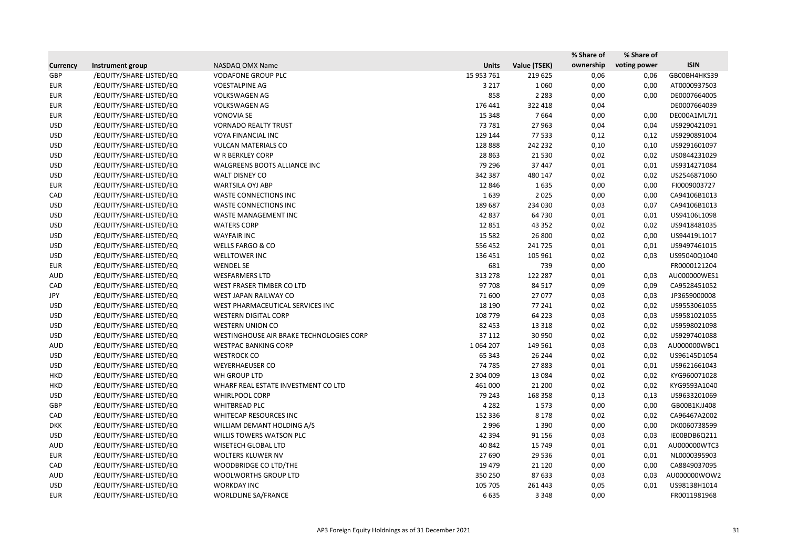|                 |                         |                                          |              |              | % Share of | % Share of   |              |
|-----------------|-------------------------|------------------------------------------|--------------|--------------|------------|--------------|--------------|
| <b>Currency</b> | Instrument group        | NASDAQ OMX Name                          | <b>Units</b> | Value (TSEK) | ownership  | voting power | <b>ISIN</b>  |
| GBP             | /EQUITY/SHARE-LISTED/EQ | <b>VODAFONE GROUP PLC</b>                | 15 953 761   | 219 625      | 0,06       | 0,06         | GB00BH4HKS39 |
| <b>EUR</b>      | /EQUITY/SHARE-LISTED/EQ | <b>VOESTALPINE AG</b>                    | 3 2 1 7      | 1060         | 0,00       | 0,00         | AT0000937503 |
| <b>EUR</b>      | /EQUITY/SHARE-LISTED/EQ | <b>VOLKSWAGEN AG</b>                     | 858          | 2 2 8 3      | 0,00       | 0,00         | DE0007664005 |
| <b>EUR</b>      | /EQUITY/SHARE-LISTED/EQ | <b>VOLKSWAGEN AG</b>                     | 176 441      | 322 418      | 0,04       |              | DE0007664039 |
| <b>EUR</b>      | /EQUITY/SHARE-LISTED/EQ | <b>VONOVIA SE</b>                        | 15 3 48      | 7664         | 0,00       | 0,00         | DE000A1ML7J1 |
| <b>USD</b>      | /EQUITY/SHARE-LISTED/EQ | <b>VORNADO REALTY TRUST</b>              | 73 781       | 27 963       | 0,04       | 0,04         | US9290421091 |
| <b>USD</b>      | /EQUITY/SHARE-LISTED/EQ | <b>VOYA FINANCIAL INC</b>                | 129 144      | 77 533       | 0,12       | 0,12         | US9290891004 |
| <b>USD</b>      | /EQUITY/SHARE-LISTED/EQ | <b>VULCAN MATERIALS CO</b>               | 128 888      | 242 232      | 0,10       | 0,10         | US9291601097 |
| <b>USD</b>      | /EQUITY/SHARE-LISTED/EQ | W R BERKLEY CORP                         | 28 8 63      | 21 5 30      | 0,02       | 0,02         | US0844231029 |
| <b>USD</b>      | /EQUITY/SHARE-LISTED/EQ | WALGREENS BOOTS ALLIANCE INC             | 79 29 6      | 37 447       | 0,01       | 0,01         | US9314271084 |
| <b>USD</b>      | /EQUITY/SHARE-LISTED/EQ | WALT DISNEY CO                           | 342 387      | 480 147      | 0,02       | 0,02         | US2546871060 |
| <b>EUR</b>      | /EQUITY/SHARE-LISTED/EQ | <b>WARTSILA OYJ ABP</b>                  | 12 8 46      | 1635         | 0,00       | 0,00         | FI0009003727 |
| CAD             | /EQUITY/SHARE-LISTED/EQ | <b>WASTE CONNECTIONS INC</b>             | 1639         | 2 0 2 5      | 0,00       | 0,00         | CA94106B1013 |
| <b>USD</b>      | /EQUITY/SHARE-LISTED/EQ | WASTE CONNECTIONS INC                    | 189 687      | 234 030      | 0,03       | 0,07         | CA94106B1013 |
| <b>USD</b>      | /EQUITY/SHARE-LISTED/EQ | WASTE MANAGEMENT INC                     | 42 837       | 64 730       | 0,01       | 0,01         | US94106L1098 |
| <b>USD</b>      | /EQUITY/SHARE-LISTED/EQ | <b>WATERS CORP</b>                       | 12 8 51      | 43 3 52      | 0,02       | 0,02         | US9418481035 |
| <b>USD</b>      | /EQUITY/SHARE-LISTED/EQ | <b>WAYFAIR INC</b>                       | 15 5 82      | 26 800       | 0,02       | 0,00         | US94419L1017 |
| <b>USD</b>      | /EQUITY/SHARE-LISTED/EQ | <b>WELLS FARGO &amp; CO</b>              | 556 452      | 241725       | 0,01       | 0,01         | US9497461015 |
| <b>USD</b>      | /EQUITY/SHARE-LISTED/EQ | WELLTOWER INC                            | 136 451      | 105 961      | 0,02       | 0,03         | US95040Q1040 |
| <b>EUR</b>      | /EQUITY/SHARE-LISTED/EQ | <b>WENDEL SE</b>                         | 681          | 739          | 0,00       |              | FR0000121204 |
| <b>AUD</b>      | /EQUITY/SHARE-LISTED/EQ | <b>WESFARMERS LTD</b>                    | 313 278      | 122 287      | 0,01       | 0,03         | AU000000WES1 |
| CAD             | /EQUITY/SHARE-LISTED/EQ | WEST FRASER TIMBER CO LTD                | 97 708       | 84 517       | 0,09       | 0,09         | CA9528451052 |
| JPY             | /EQUITY/SHARE-LISTED/EQ | WEST JAPAN RAILWAY CO                    | 71 600       | 27 077       | 0,03       | 0,03         | JP3659000008 |
| <b>USD</b>      | /EQUITY/SHARE-LISTED/EQ | WEST PHARMACEUTICAL SERVICES INC         | 18 190       | 77 241       | 0,02       | 0,02         | US9553061055 |
| <b>USD</b>      | /EQUITY/SHARE-LISTED/EQ | <b>WESTERN DIGITAL CORP</b>              | 108 779      | 64 2 23      | 0,03       | 0,03         | US9581021055 |
| <b>USD</b>      | /EQUITY/SHARE-LISTED/EQ | <b>WESTERN UNION CO</b>                  | 82 453       | 13 3 18      | 0,02       | 0,02         | US9598021098 |
| <b>USD</b>      | /EQUITY/SHARE-LISTED/EQ | WESTINGHOUSE AIR BRAKE TECHNOLOGIES CORP | 37 112       | 30 950       | 0,02       | 0,02         | US9297401088 |
| AUD             | /EQUITY/SHARE-LISTED/EQ | <b>WESTPAC BANKING CORP</b>              | 1 0 64 2 0 7 | 149 561      | 0,03       | 0,03         | AU000000WBC1 |
| <b>USD</b>      | /EQUITY/SHARE-LISTED/EQ | <b>WESTROCK CO</b>                       | 65 343       | 26 244       | 0,02       | 0,02         | US96145D1054 |
| <b>USD</b>      | /EQUITY/SHARE-LISTED/EQ | <b>WEYERHAEUSER CO</b>                   | 74 785       | 27883        | 0,01       | 0,01         | US9621661043 |
| <b>HKD</b>      | /EQUITY/SHARE-LISTED/EQ | WH GROUP LTD                             | 2 304 009    | 13 0 84      | 0,02       | 0,02         | KYG960071028 |
| <b>HKD</b>      | /EQUITY/SHARE-LISTED/EQ | WHARF REAL ESTATE INVESTMENT CO LTD      | 461 000      | 21 200       | 0,02       | 0,02         | KYG9593A1040 |
| <b>USD</b>      | /EQUITY/SHARE-LISTED/EQ | <b>WHIRLPOOL CORP</b>                    | 79 243       | 168 358      | 0,13       | 0,13         | US9633201069 |
| GBP             | /EQUITY/SHARE-LISTED/EQ | WHITBREAD PLC                            | 4 2 8 2      | 1573         | 0,00       | 0,00         | GB00B1KJJ408 |
| CAD             | /EQUITY/SHARE-LISTED/EQ | WHITECAP RESOURCES INC                   | 152 336      | 8 1 7 8      | 0,02       | 0,02         | CA96467A2002 |
| <b>DKK</b>      | /EQUITY/SHARE-LISTED/EQ | WILLIAM DEMANT HOLDING A/S               | 2 9 9 6      | 1 3 9 0      | 0,00       | 0,00         | DK0060738599 |
| <b>USD</b>      | /EQUITY/SHARE-LISTED/EQ | WILLIS TOWERS WATSON PLC                 | 42 3 94      | 91 156       | 0,03       | 0,03         | IE00BDB6Q211 |
| AUD             | /EQUITY/SHARE-LISTED/EQ | WISETECH GLOBAL LTD                      | 40 842       | 15 749       | 0,01       | 0,01         | AU000000WTC3 |
| <b>EUR</b>      | /EQUITY/SHARE-LISTED/EQ | <b>WOLTERS KLUWER NV</b>                 | 27 690       | 29 5 36      | 0,01       | 0,01         | NL0000395903 |
| CAD             | /EQUITY/SHARE-LISTED/EQ | WOODBRIDGE CO LTD/THE                    | 19 479       | 21 1 20      | 0,00       | 0,00         | CA8849037095 |
| AUD             | /EQUITY/SHARE-LISTED/EQ | <b>WOOLWORTHS GROUP LTD</b>              | 350 250      | 87 633       | 0,03       | 0,03         | AU000000WOW2 |
| <b>USD</b>      | /EQUITY/SHARE-LISTED/EQ | <b>WORKDAY INC</b>                       | 105 705      | 261 443      | 0,05       | 0,01         | US98138H1014 |
| <b>EUR</b>      | /EQUITY/SHARE-LISTED/EQ | WORLDLINE SA/FRANCE                      | 6635         | 3 3 4 8      | 0,00       |              | FR0011981968 |
|                 |                         |                                          |              |              |            |              |              |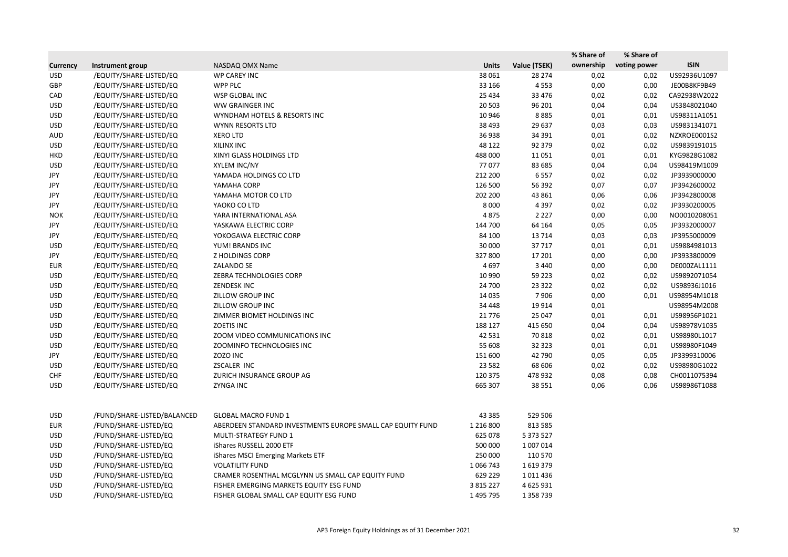|                 |                             |                                                            |               |               | % Share of | % Share of   |              |
|-----------------|-----------------------------|------------------------------------------------------------|---------------|---------------|------------|--------------|--------------|
| <b>Currency</b> | Instrument group            | NASDAQ OMX Name                                            | <b>Units</b>  | Value (TSEK)  | ownership  | voting power | <b>ISIN</b>  |
| <b>USD</b>      | /EQUITY/SHARE-LISTED/EQ     | WP CAREY INC                                               | 38 061        | 28 274        | 0,02       | 0,02         | US92936U1097 |
| <b>GBP</b>      | /EQUITY/SHARE-LISTED/EQ     | <b>WPP PLC</b>                                             | 33 166        | 4553          | 0,00       | 0,00         | JE00B8KF9B49 |
| CAD             | /EQUITY/SHARE-LISTED/EQ     | WSP GLOBAL INC                                             | 25 4 34       | 33 4 76       | 0,02       | 0,02         | CA92938W2022 |
| <b>USD</b>      | /EQUITY/SHARE-LISTED/EQ     | <b>WW GRAINGER INC</b>                                     | 20 503        | 96 201        | 0,04       | 0,04         | US3848021040 |
| <b>USD</b>      | /EQUITY/SHARE-LISTED/EQ     | WYNDHAM HOTELS & RESORTS INC                               | 10 946        | 8885          | 0,01       | 0,01         | US98311A1051 |
| <b>USD</b>      | /EQUITY/SHARE-LISTED/EQ     | WYNN RESORTS LTD                                           | 38 4 93       | 29 637        | 0,03       | 0,03         | US9831341071 |
| <b>AUD</b>      | /EQUITY/SHARE-LISTED/EQ     | <b>XERO LTD</b>                                            | 36 938        | 34 391        | 0,01       | 0,02         | NZXROE0001S2 |
| <b>USD</b>      | /EQUITY/SHARE-LISTED/EQ     | XILINX INC                                                 | 48 122        | 92 379        | 0,02       | 0,02         | US9839191015 |
| <b>HKD</b>      | /EQUITY/SHARE-LISTED/EQ     | XINYI GLASS HOLDINGS LTD                                   | 488 000       | 11 0 51       | 0,01       | 0,01         | KYG9828G1082 |
| <b>USD</b>      | /EQUITY/SHARE-LISTED/EQ     | XYLEM INC/NY                                               | 77077         | 83 685        | 0,04       | 0,04         | US98419M1009 |
| JPY             | /EQUITY/SHARE-LISTED/EQ     | YAMADA HOLDINGS CO LTD                                     | 212 200       | 6557          | 0,02       | 0,02         | JP3939000000 |
| JPY             | /EQUITY/SHARE-LISTED/EQ     | YAMAHA CORP                                                | 126 500       | 56 392        | 0,07       | 0,07         | JP3942600002 |
| JPY             | /EQUITY/SHARE-LISTED/EQ     | YAMAHA MOTOR CO LTD                                        | 202 200       | 43 861        | 0,06       | 0,06         | JP3942800008 |
| JPY             | /EQUITY/SHARE-LISTED/EQ     | YAOKO CO LTD                                               | 8 0 0 0       | 4 3 9 7       | 0,02       | 0,02         | JP3930200005 |
| <b>NOK</b>      | /EQUITY/SHARE-LISTED/EQ     | YARA INTERNATIONAL ASA                                     | 4875          | 2 2 2 7       | 0,00       | 0,00         | NO0010208051 |
| JPY             | /EQUITY/SHARE-LISTED/EQ     | YASKAWA ELECTRIC CORP                                      | 144 700       | 64 164        | 0,05       | 0,05         | JP3932000007 |
| JPY             | /EQUITY/SHARE-LISTED/EQ     | YOKOGAWA ELECTRIC CORP                                     | 84 100        | 13 7 14       | 0,03       | 0,03         | JP3955000009 |
| <b>USD</b>      | /EQUITY/SHARE-LISTED/EQ     | YUM! BRANDS INC                                            | 30 000        | 37717         | 0,01       | 0,01         | US9884981013 |
| JPY             | /EQUITY/SHARE-LISTED/EQ     | Z HOLDINGS CORP                                            | 327 800       | 17 201        | 0,00       | 0,00         | JP3933800009 |
| <b>EUR</b>      | /EQUITY/SHARE-LISTED/EQ     | <b>ZALANDO SE</b>                                          | 4 6 9 7       | 3 4 4 0       | 0,00       | 0,00         | DE000ZAL1111 |
| <b>USD</b>      | /EQUITY/SHARE-LISTED/EQ     | ZEBRA TECHNOLOGIES CORP                                    | 10 990        | 59 2 23       | 0,02       | 0,02         | US9892071054 |
| <b>USD</b>      | /EQUITY/SHARE-LISTED/EQ     | <b>ZENDESK INC</b>                                         | 24 700        | 23 3 22       | 0,02       | 0,02         | US98936J1016 |
| <b>USD</b>      | /EQUITY/SHARE-LISTED/EQ     | ZILLOW GROUP INC                                           | 14 0 35       | 7906          | 0,00       | 0,01         | US98954M1018 |
| <b>USD</b>      | /EQUITY/SHARE-LISTED/EQ     | ZILLOW GROUP INC                                           | 34 4 48       | 19 9 14       | 0,01       |              | US98954M2008 |
| <b>USD</b>      | /EQUITY/SHARE-LISTED/EQ     | ZIMMER BIOMET HOLDINGS INC                                 | 21 7 7 6      | 25 047        | 0,01       | 0,01         | US98956P1021 |
| <b>USD</b>      | /EQUITY/SHARE-LISTED/EQ     | <b>ZOETIS INC</b>                                          | 188 127       | 415 650       | 0,04       | 0,04         | US98978V1035 |
| <b>USD</b>      | /EQUITY/SHARE-LISTED/EQ     | ZOOM VIDEO COMMUNICATIONS INC                              | 42 5 31       | 70818         | 0,02       | 0,01         | US98980L1017 |
| <b>USD</b>      | /EQUITY/SHARE-LISTED/EQ     | ZOOMINFO TECHNOLOGIES INC                                  | 55 608        | 32 32 3       | 0,01       | 0,01         | US98980F1049 |
| JPY             | /EQUITY/SHARE-LISTED/EQ     | ZOZO INC                                                   | 151 600       | 42 790        | 0,05       | 0,05         | JP3399310006 |
| <b>USD</b>      | /EQUITY/SHARE-LISTED/EQ     | ZSCALER INC                                                | 23 5 82       | 68 606        | 0,02       | 0,02         | US98980G1022 |
| <b>CHF</b>      | /EQUITY/SHARE-LISTED/EQ     | ZURICH INSURANCE GROUP AG                                  | 120 375       | 478 932       | 0,08       | 0,08         | CH0011075394 |
| <b>USD</b>      | /EQUITY/SHARE-LISTED/EQ     | <b>ZYNGA INC</b>                                           | 665 307       | 38 5 5 1      | 0,06       | 0,06         | US98986T1088 |
| <b>USD</b>      | /FUND/SHARE-LISTED/BALANCED | <b>GLOBAL MACRO FUND 1</b>                                 | 43 3 8 5      | 529 506       |            |              |              |
| <b>EUR</b>      | /FUND/SHARE-LISTED/EQ       | ABERDEEN STANDARD INVESTMENTS EUROPE SMALL CAP EQUITY FUND | 1 2 1 6 8 0 0 | 813 585       |            |              |              |
| <b>USD</b>      | /FUND/SHARE-LISTED/EQ       | MULTI-STRATEGY FUND 1                                      | 625 078       | 5 373 527     |            |              |              |
| <b>USD</b>      | /FUND/SHARE-LISTED/EQ       | iShares RUSSELL 2000 ETF                                   | 500 000       | 1 007 014     |            |              |              |
| <b>USD</b>      | /FUND/SHARE-LISTED/EQ       | iShares MSCI Emerging Markets ETF                          | 250 000       | 110 570       |            |              |              |
| <b>USD</b>      | /FUND/SHARE-LISTED/EQ       | <b>VOLATILITY FUND</b>                                     | 1 0 6 7 4 3   | 1619379       |            |              |              |
| <b>USD</b>      | /FUND/SHARE-LISTED/EQ       | CRAMER ROSENTHAL MCGLYNN US SMALL CAP EQUITY FUND          | 629 229       | 1011436       |            |              |              |
| <b>USD</b>      | /FUND/SHARE-LISTED/EQ       | FISHER EMERGING MARKETS EQUITY ESG FUND                    | 3 8 1 5 2 2 7 | 4 625 931     |            |              |              |
| <b>USD</b>      | /FUND/SHARE-LISTED/EQ       | FISHER GLOBAL SMALL CAP EQUITY ESG FUND                    | 1 495 795     | 1 3 5 8 7 3 9 |            |              |              |